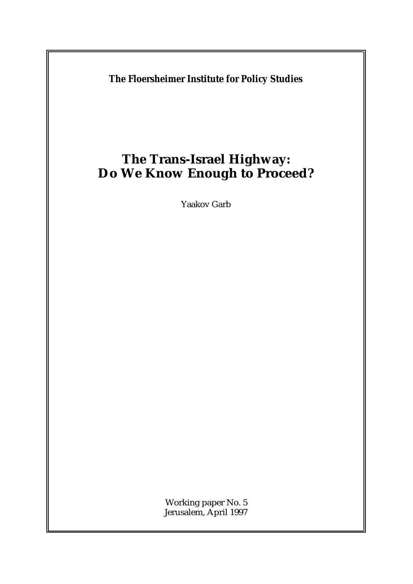**The Floersheimer Institute for Policy Studies**

# **The Trans-Israel Highway: Do We Know Enough to Proceed?**

Yaakov Garb

Working paper No. 5 Jerusalem, April 1997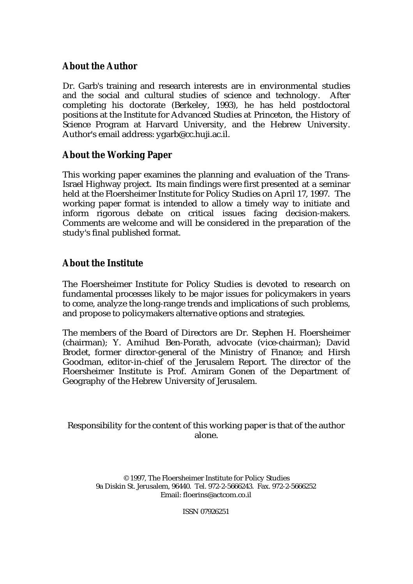## **About the Author**

Dr. Garb's training and research interests are in environmental studies and the social and cultural studies of science and technology. After completing his doctorate (Berkeley, 1993), he has held postdoctoral positions at the Institute for Advanced Studies at Princeton, the History of Science Program at Harvard University, and the Hebrew University. Author's email address: [ygarb@cc.huji.ac.il.](mailto:ygarb@cc.huji.ac.il)

# **About the Working Paper**

This working paper examines the planning and evaluation of the Trans-Israel Highway project. Its main findings were first presented at a seminar held at the Floersheimer Institute for Policy Studies on April 17, 1997. The working paper format is intended to allow a timely way to initiate and inform rigorous debate on critical issues facing decision-makers. Comments are welcome and will be considered in the preparation of the study's final published format.

# **About the Institute**

The Floersheimer Institute for Policy Studies is devoted to research on fundamental processes likely to be major issues for policymakers in years to come, analyze the long-range trends and implications of such problems, and propose to policymakers alternative options and strategies.

The members of the Board of Directors are Dr. Stephen H. Floersheimer (chairman); Y. Amihud Ben-Porath, advocate (vice-chairman); David Brodet, former director-general of the Ministry of Finance; and Hirsh Goodman, editor-in-chief of the Jerusalem Report. The director of the Floersheimer Institute is Prof. Amiram Gonen of the Department of Geography of the Hebrew University of Jerusalem.

Responsibility for the content of this working paper is that of the author alone.

© 1997, The Floersheimer Institute for Policy Studies 9a Diskin St. Jerusalem, 96440. Tel. 972-2-5666243. Fax. 972-2-5666252 Email: [floerins@actcom.co.il](mailto:floerins@actcom.co.il)

ISSN 07926251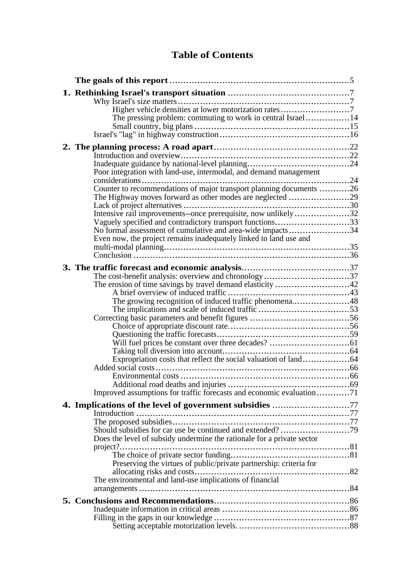# **Table of Contents**

| The pressing problem: commuting to work in central Israel14                                                                 |  |
|-----------------------------------------------------------------------------------------------------------------------------|--|
|                                                                                                                             |  |
|                                                                                                                             |  |
|                                                                                                                             |  |
|                                                                                                                             |  |
|                                                                                                                             |  |
| Poor integration with land-use, intermodal, and demand management                                                           |  |
| Counter to recommendations of major transport planning documents 26                                                         |  |
| The Highway moves forward as other modes are neglected 29                                                                   |  |
|                                                                                                                             |  |
| Intensive rail improvements--once prerequisite, now unlikely32<br>Vaguely specified and contradictory transport functions33 |  |
| No formal assessment of cumulative and area-wide impacts34                                                                  |  |
| Even now, the project remains inadequately linked to land use and                                                           |  |
|                                                                                                                             |  |
|                                                                                                                             |  |
|                                                                                                                             |  |
| The cost-benefit analysis: overview and chronology37                                                                        |  |
|                                                                                                                             |  |
| The growing recognition of induced traffic phenomena48                                                                      |  |
|                                                                                                                             |  |
|                                                                                                                             |  |
|                                                                                                                             |  |
|                                                                                                                             |  |
|                                                                                                                             |  |
|                                                                                                                             |  |
|                                                                                                                             |  |
|                                                                                                                             |  |
| Improved assumptions for traffic forecasts and economic evaluation71                                                        |  |
| 4. Implications of the level of government subsidies 77                                                                     |  |
|                                                                                                                             |  |
|                                                                                                                             |  |
| Does the level of subsidy undermine the rationale for a private sector                                                      |  |
|                                                                                                                             |  |
|                                                                                                                             |  |
| Preserving the virtues of public/private partnership: criteria for                                                          |  |
|                                                                                                                             |  |
|                                                                                                                             |  |
|                                                                                                                             |  |
|                                                                                                                             |  |
|                                                                                                                             |  |
|                                                                                                                             |  |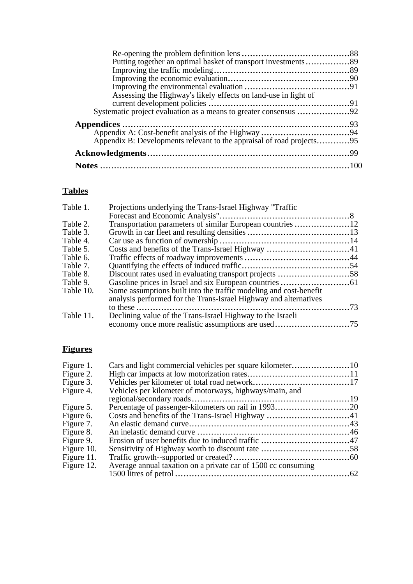| Putting together an optimal basket of transport investments89         |  |
|-----------------------------------------------------------------------|--|
|                                                                       |  |
|                                                                       |  |
|                                                                       |  |
| Assessing the Highway's likely effects on land-use in light of        |  |
|                                                                       |  |
|                                                                       |  |
|                                                                       |  |
|                                                                       |  |
| Appendix B: Developments relevant to the appraisal of road projects95 |  |
|                                                                       |  |
|                                                                       |  |

# **Tables**

| Table 1.  | Projections underlying the Trans-Israel Highway "Traffic          |     |
|-----------|-------------------------------------------------------------------|-----|
|           |                                                                   |     |
| Table 2.  |                                                                   |     |
| Table 3.  |                                                                   |     |
| Table 4.  |                                                                   |     |
| Table 5.  |                                                                   |     |
| Table 6.  |                                                                   |     |
| Table 7.  |                                                                   |     |
| Table 8.  |                                                                   |     |
| Table 9.  |                                                                   |     |
| Table 10. | Some assumptions built into the traffic modeling and cost-benefit |     |
|           | analysis performed for the Trans-Israel Highway and alternatives  |     |
|           | and a construction of the                                         | .73 |
| Table 11. | Declining value of the Trans-Israel Highway to the Israeli        |     |
|           |                                                                   |     |
|           |                                                                   |     |

# **Figures**

| Figure 1.  |                                                               |  |
|------------|---------------------------------------------------------------|--|
| Figure 2.  |                                                               |  |
| Figure 3.  |                                                               |  |
| Figure 4.  | Vehicles per kilometer of motorways, highways/main, and       |  |
|            |                                                               |  |
| Figure 5.  | Percentage of passenger-kilometers on rail in 199320          |  |
| Figure 6.  |                                                               |  |
| Figure 7.  |                                                               |  |
| Figure 8.  |                                                               |  |
| Figure 9.  |                                                               |  |
| Figure 10. |                                                               |  |
| Figure 11. |                                                               |  |
| Figure 12. | Average annual taxation on a private car of 1500 cc consuming |  |
|            |                                                               |  |
|            |                                                               |  |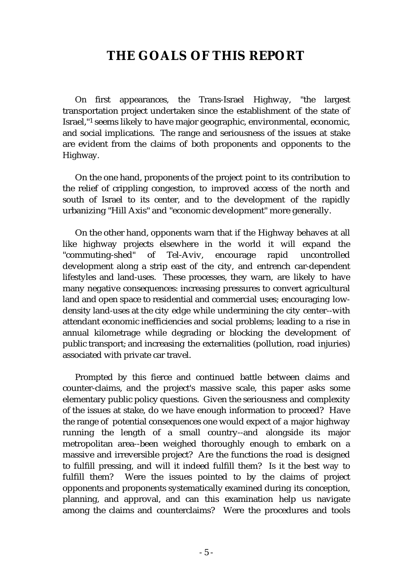# **THE GOALS OF THIS REPORT**

On first appearances, the Trans-Israel Highway, "the largest transportation project undertaken since the establishment of the state of Israel,"<sup>1</sup> seems likely to have major geographic, environmental, economic, and social implications. The range and seriousness of the issues at stake are evident from the claims of both proponents and opponents to the Highway.

On the one hand, proponents of the project point to its contribution to the relief of crippling congestion, to improved access of the north and south of Israel to its center, and to the development of the rapidly urbanizing "Hill Axis" and "economic development" more generally.

On the other hand, opponents warn that if the Highway behaves at all like highway projects elsewhere in the world it will expand the "commuting-shed" of Tel-Aviv, encourage rapid uncontrolled development along a strip east of the city, and entrench car-dependent lifestyles and land-uses. These processes, they warn, are likely to have many negative consequences: increasing pressures to convert agricultural land and open space to residential and commercial uses; encouraging lowdensity land-uses at the city edge while undermining the city center--with attendant economic inefficiencies and social problems; leading to a rise in annual kilometrage while degrading or blocking the development of public transport; and increasing the externalities (pollution, road injuries) associated with private car travel.

Prompted by this fierce and continued battle between claims and counter-claims, and the project's massive scale, this paper asks some elementary public policy questions. Given the seriousness and complexity of the issues at stake, do we have enough information to proceed? Have the range of potential consequences one would expect of a major highway running the length of a small country--and alongside its major metropolitan area--been weighed thoroughly enough to embark on a massive and irreversible project? Are the functions the road is designed to fulfill pressing, and will it indeed fulfill them? Is it the best way to fulfill them? Were the issues pointed to by the claims of project opponents and proponents systematically examined during its conception, planning, and approval, and can this examination help us navigate among the claims and counterclaims? Were the procedures and tools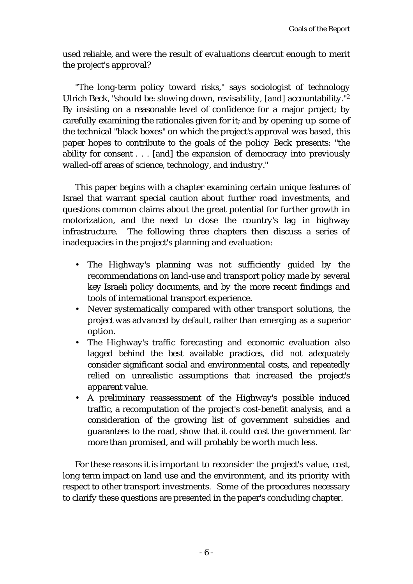used reliable, and were the result of evaluations clearcut enough to merit the project's approval?

"The long-term policy toward risks," says sociologist of technology Ulrich Beck, "should be: slowing down, revisability, [and] accountability."<sup>2</sup> By insisting on a reasonable level of confidence for a major project; by carefully examining the rationales given for it; and by opening up some of the technical "black boxes" on which the project's approval was based, this paper hopes to contribute to the goals of the policy Beck presents: "the ability for consent . . . [and] the expansion of democracy into previously walled-off areas of science, technology, and industry."

This paper begins with a chapter examining certain unique features of Israel that warrant special caution about further road investments, and questions common claims about the great potential for further growth in motorization, and the need to close the country's lag in highway infrastructure. The following three chapters then discuss a series of inadequacies in the project's planning and evaluation:

- The Highway's planning was not sufficiently guided by the recommendations on land-use and transport policy made by several key Israeli policy documents, and by the more recent findings and tools of international transport experience.
- Never systematically compared with other transport solutions, the project was advanced by default, rather than emerging as a superior option.
- The Highway's traffic forecasting and economic evaluation also lagged behind the best available practices, did not adequately consider significant social and environmental costs, and repeatedly relied on unrealistic assumptions that increased the project's apparent value.
- A preliminary reassessment of the Highway's possible induced traffic, a recomputation of the project's cost-benefit analysis, and a consideration of the growing list of government subsidies and guarantees to the road, show that it could cost the government far more than promised, and will probably be worth much less.

For these reasons it is important to reconsider the project's value, cost, long term impact on land use and the environment, and its priority with respect to other transport investments. Some of the procedures necessary to clarify these questions are presented in the paper's concluding chapter.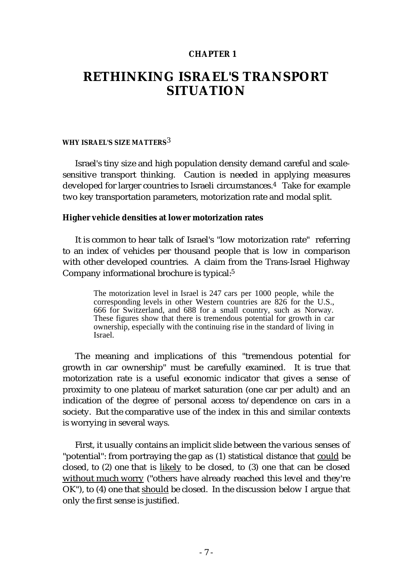## **CHAPTER 1**

# **RETHINKING ISRAEL'S TRANSPORT SITUATION**

#### **WHY ISRAEL'S SIZE MATTERS**3

Israel's tiny size and high population density demand careful and scalesensitive transport thinking. Caution is needed in applying measures developed for larger countries to Israeli circumstances.4 Take for example two key transportation parameters, motorization rate and modal split.

### **Higher vehicle densities at lower motorization rates**

It is common to hear talk of Israel's "low motorization rate" referring to an index of vehicles per thousand people that is low in comparison with other developed countries. A claim from the Trans-Israel Highway Company informational brochure is typical:<sup>5</sup>

> The motorization level in Israel is 247 cars per 1000 people, while the corresponding levels in other Western countries are 826 for the U.S., 666 for Switzerland, and 688 for a small country, such as Norway. These figures show that there is tremendous potential for growth in car ownership, especially with the continuing rise in the standard of living in Israel.

The meaning and implications of this "tremendous potential for growth in car ownership" must be carefully examined. It is true that motorization rate is a useful economic indicator that gives a sense of proximity to one plateau of market saturation (one car per adult) and an indication of the degree of personal access to/dependence on cars in a society. But the comparative use of the index in this and similar contexts is worrying in several ways.

First, it usually contains an implicit slide between the various senses of "potential": from portraying the gap as (1) statistical distance that could be closed, to (2) one that is likely to be closed, to (3) one that can be closed without much worry ("others have already reached this level and they're OK"), to (4) one that should be closed. In the discussion below I argue that only the first sense is justified.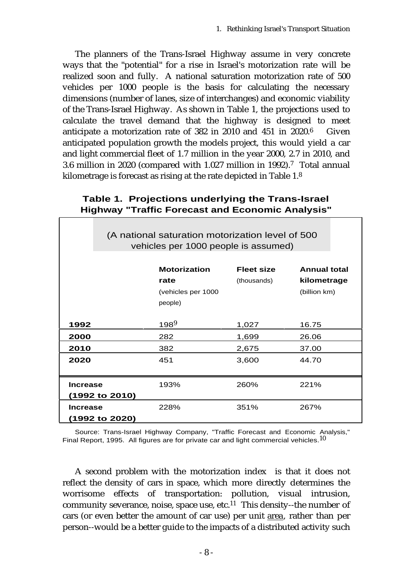The planners of the Trans-Israel Highway assume in very concrete ways that the "potential" for a rise in Israel's motorization rate will be realized soon and fully. A national saturation motorization rate of 500 vehicles per 1000 people is the basis for calculating the necessary dimensions (number of lanes, size of interchanges) and economic viability of the Trans-Israel Highway. As shown in Table 1, the projections used to calculate the travel demand that the highway is designed to meet anticipate a motorization rate of 382 in 2010 and 451 in 2020.6 Given anticipated population growth the models project, this would yield a car and light commercial fleet of 1.7 million in the year 2000, 2.7 in 2010, and 3.6 million in 2020 (compared with 1.027 million in 1992).<sup>7</sup> Total annual kilometrage is forecast as rising at the rate depicted in Table 1.<sup>8</sup>

|                                                                                          | <b>Highway</b> Trainc Forecast and Economic Analysis         |                                  |                                                    |
|------------------------------------------------------------------------------------------|--------------------------------------------------------------|----------------------------------|----------------------------------------------------|
| (A national saturation motorization level of 500<br>vehicles per 1000 people is assumed) |                                                              |                                  |                                                    |
|                                                                                          | <b>Motorization</b><br>rate<br>(vehicles per 1000<br>people) | <b>Fleet size</b><br>(thousands) | <b>Annual total</b><br>kilometrage<br>(billion km) |
| 1992                                                                                     | $198^{9}$                                                    | 1,027                            | 16.75                                              |
| 2000                                                                                     | 282                                                          | 1,699                            | 26.06                                              |
| 2010                                                                                     | 382                                                          | 2,675                            | 37.00                                              |
| 2020                                                                                     | 451                                                          | 3,600                            | 44.70                                              |
| <b>Increase</b><br>(1992 to 2010)                                                        | 193%                                                         | 260%                             | 221%                                               |
| <b>Increase</b><br>(1992 to 2020)                                                        | 228%                                                         | 351%                             | 267%                                               |

## **Table 1. Projections underlying the Trans-Israel Highway "Traffic Forecast and Economic Analysis"**

Source: Trans-Israel Highway Company, "Traffic Forecast and Economic Analysis," Final Report, 1995. All figures are for private car and light commercial vehicles.<sup>10</sup>

A second problem with the motorization index is that it does not reflect the density of cars in space, which more directly determines the worrisome effects of transportation: pollution, visual intrusion, community severance, noise, space use, etc.11 This density--the number of cars (or even better the amount of car use) per unit area, rather than per person--would be a better guide to the impacts of a distributed activity such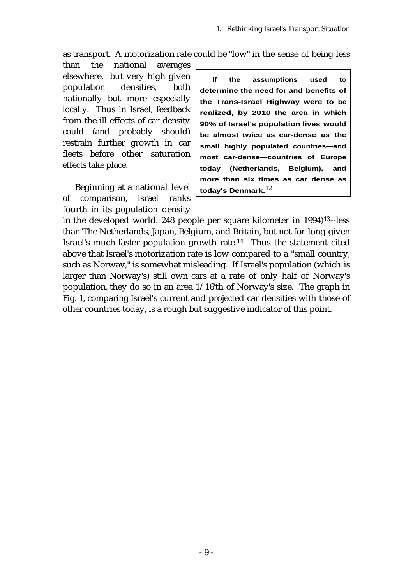as transport. A motorization rate could be "low" in the sense of being less

than the national averages elsewhere, but very high given population densities, both nationally but more especially locally. Thus in Israel, feedback from the ill effects of car density could (and probably should) restrain further growth in car fleets before other saturation effects take place.

Beginning at a national level today's Denmark.<sup>12</sup><br>comparison. Israel ranks of comparison, Israel ranks fourth in its population density

**If the assumptions used to determine the need for and benefits of the Trans-Israel Highway were to be realized, by 2010 the area in which 90% of Israel's population lives would be almost twice as car-dense as the small highly populated countries—and most car-dense—countries of Europe today (Netherlands, Belgium), and more than six times as car dense as**

in the developed world: 248 people per square kilometer in 1994)<sup>13</sup>--less than The Netherlands, Japan, Belgium, and Britain, but not for long given Israel's much faster population growth rate.14 Thus the statement cited above that Israel's motorization rate is low compared to a "small country, such as Norway," is somewhat misleading. If Israel's population (which is larger than Norway's) still own cars at a rate of only half of Norway's population, they do so in an area 1/16'th of Norway's size. The graph in Fig. 1, comparing Israel's current and projected car densities with those of other countries today, is a rough but suggestive indicator of this point.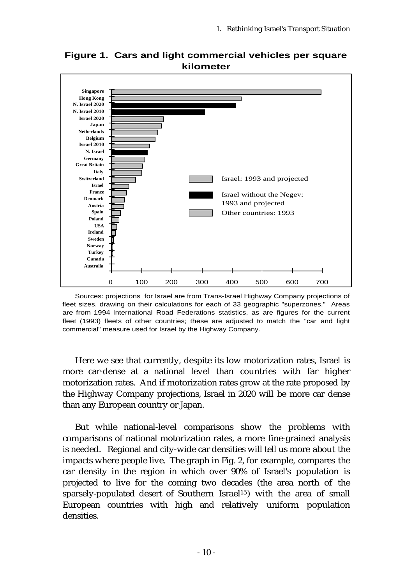

**Figure 1. Cars and light commercial vehicles per square kilometer**

Sources: projections for Israel are from Trans-Israel Highway Company projections of fleet sizes, drawing on their calculations for each of 33 geographic "superzones." Areas are from 1994 International Road Federations statistics, as are figures for the current fleet (1993) fleets of other countries; these are adjusted to match the "car and light commercial" measure used for Israel by the Highway Company.

Here we see that currently, despite its low motorization rates, Israel is more car-dense at a national level than countries with far higher motorization rates. And if motorization rates grow at the rate proposed by the Highway Company projections, Israel in 2020 will be more car dense than any European country or Japan.

But while national-level comparisons show the problems with comparisons of national motorization rates, a more fine-grained analysis is needed. Regional and city-wide car densities will tell us more about the impacts where people live. The graph in Fig. 2, for example, compares the car density in the region in which over 90% of Israel's population is projected to live for the coming two decades (the area north of the sparsely-populated desert of Southern Israel<sup>15</sup>) with the area of small European countries with high and relatively uniform population densities.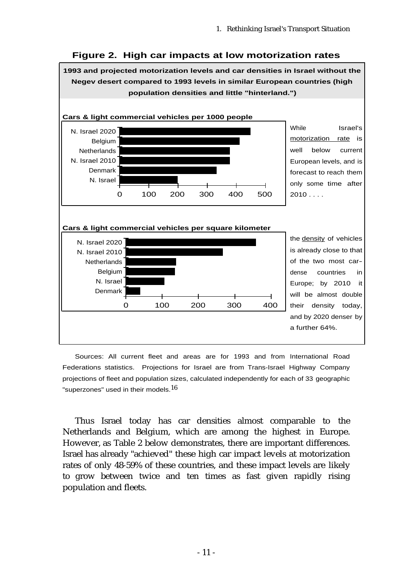# **Figure 2. High car impacts at low motorization rates**

**1993 and projected motorization levels and car densities in Israel without the Negev desert compared to 1993 levels in similar European countries (high population densities and little "hinterland.") Cars & light commercial vehicles per 1000 people** 0 100 200 300 400 500 N. Israel Denmark N. Israel 2010 **Netherlands** Belgium N. Israel 2020 **The Islaming Contract Contract Contract Contract Contract Contract Contract Contract Contract Contract Contract Contract Contract Contract Contract Contract Contract Contract Contract Contract Contract Cont** motorization rate is well below current European levels, and is forecast to reach them only some time after  $2010...$ **Cars & light commercial vehicles per square kilometer** 0 100 200 300 400 Denmark N. Israel **Belgium Netherlands** N. Israel 2010 N. Israel 2020 is already close to that of the two most cardense countries in Europe; by 2010 it will be almost double their density today, and by 2020 denser by a further 64%.

Sources: All current fleet and areas are for 1993 and from International Road Federations statistics. Projections for Israel are from Trans-Israel Highway Company projections of fleet and population sizes, calculated independently for each of 33 geographic "superzones" used in their models. $16$ 

Thus Israel today has car densities almost comparable to the Netherlands and Belgium, which are among the highest in Europe. However, as Table 2 below demonstrates, there are important differences. Israel has already "achieved" these high car impact levels at motorization rates of only 48-59% of these countries, and these impact levels are likely to grow between twice and ten times as fast given rapidly rising population and fleets.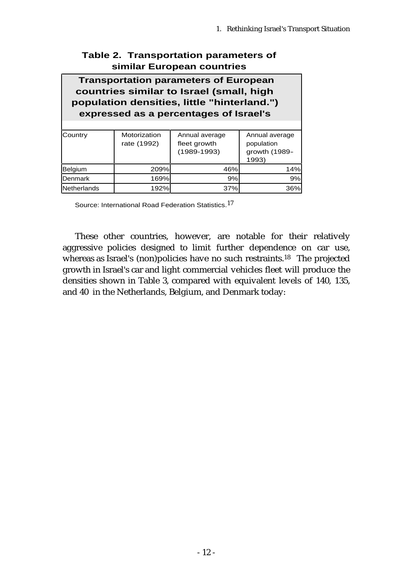## **Table 2. Transportation parameters of similar European countries**

# **Transportation parameters of European countries similar to Israel (small, high population densities, little "hinterland.") expressed as a percentages of Israel's**

| Country            | Motorization<br>rate (1992) | Annual average<br>fleet growth<br>$(1989 - 1993)$ | Annual average<br>population<br>growth (1989-<br>1993) |
|--------------------|-----------------------------|---------------------------------------------------|--------------------------------------------------------|
| Belgium            | 209%                        | 46%                                               | 14%                                                    |
| <b>IDenmark</b>    | 169%l                       | 9%                                                | 9%                                                     |
| <b>Netherlands</b> | 192%                        | 37%                                               | 36%                                                    |

Source: International Road Federation Statistics.17

These other countries, however, are notable for their relatively aggressive policies designed to limit further dependence on car use, whereas as Israel's (non)policies have no such restraints.<sup>18</sup> The projected growth in Israel's car and light commercial vehicles fleet will produce the densities shown in Table 3, compared with equivalent levels of 140, 135, and 40 in the Netherlands, Belgium, and Denmark today: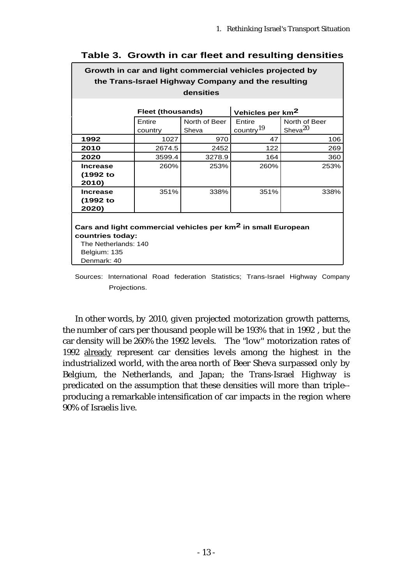| Growth in car and light commercial vehicles projected by                                                                                            |                          |                        |                                 |                             |
|-----------------------------------------------------------------------------------------------------------------------------------------------------|--------------------------|------------------------|---------------------------------|-----------------------------|
| the Trans-Israel Highway Company and the resulting                                                                                                  |                          |                        |                                 |                             |
| densities                                                                                                                                           |                          |                        |                                 |                             |
|                                                                                                                                                     |                          |                        |                                 |                             |
|                                                                                                                                                     | <b>Fleet (thousands)</b> |                        | Vehicles per km <sup>2</sup>    |                             |
|                                                                                                                                                     | Entire<br>country        | North of Beer<br>Sheva | Entire<br>country <sup>19</sup> | North of Beer<br>Sheva $20$ |
| 1992                                                                                                                                                | 1027                     | 970                    | 47                              | 106                         |
| 2010                                                                                                                                                | 2674.5                   | 2452                   | 122                             | 269                         |
| 2020                                                                                                                                                | 3599.4                   | 3278.9                 | 164                             | 360                         |
| <b>Increase</b>                                                                                                                                     | 260%                     | 253%                   | 260%                            | 253%                        |
| (1992 to<br>2010)                                                                                                                                   |                          |                        |                                 |                             |
| <b>Increase</b>                                                                                                                                     | 351%                     | 338%                   | 351%                            | 338%                        |
| (1992 to<br>2020)                                                                                                                                   |                          |                        |                                 |                             |
| Cars and light commercial vehicles per km <sup>2</sup> in small European<br>countries today:<br>The Netherlands: 140<br>Belgium: 135<br>Denmark: 40 |                          |                        |                                 |                             |

## **Table 3. Growth in car fleet and resulting densities**

Sources: International Road federation Statistics; Trans-Israel Highway Company Projections.

In other words, by 2010, given projected motorization growth patterns, the number of cars per thousand people will be 193% that in 1992 , but the car density will be 260% the 1992 levels. The "low" motorization rates of 1992 already represent car densities levels among the highest in the industrialized world, with the area north of Beer Sheva surpassed only by Belgium, the Netherlands, and Japan; the Trans-Israel Highway is predicated on the assumption that these densities will more than triple- producing a remarkable intensification of car impacts in the region where 90% of Israelis live.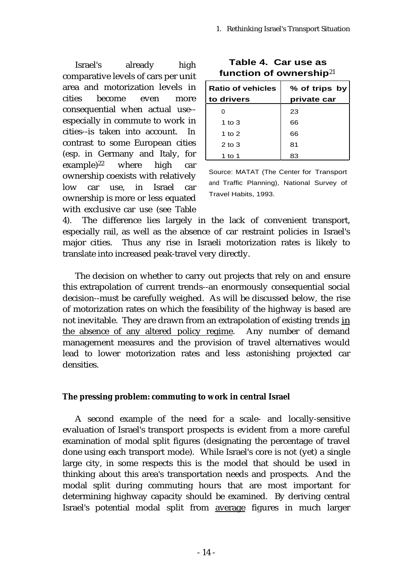Israel's already high comparative levels of cars per unit area and motorization levels in cities become even more consequential when actual use- especially in commute to work in cities--is taken into account. In contrast to some European cities (esp. in Germany and Italy, for  $\exp(-\epsilon)$ <sup>22</sup> where high car ownership coexists with relatively low car use, in Israel car ownership is more or less equated with exclusive car use (see Table

| <b>Ratio of vehicles</b> | % of trips by |  |
|--------------------------|---------------|--|
| to drivers               | private car   |  |
|                          | 23            |  |
| 1 to $3$                 | 66            |  |
| 1 to $2$                 | 66            |  |
| $2$ to $3$               | 81            |  |
| 1 to 1                   | 83            |  |

**Table 4. Car use as function of ownership**<sup>21</sup>

Source: MATAT (The Center for Transport and Traffic Planning), National Survey of Travel Habits, 1993.

4). The difference lies largely in the lack of convenient transport, especially rail, as well as the absence of car restraint policies in Israel's major cities. Thus any rise in Israeli motorization rates is likely to translate into increased peak-travel very directly.

The decision on whether to carry out projects that rely on and ensure this extrapolation of current trends--an enormously consequential social decision--must be carefully weighed. As will be discussed below, the rise of motorization rates on which the feasibility of the highway is based are not inevitable. They are drawn from an extrapolation of existing trends in the absence of any altered policy regime. Any number of demand management measures and the provision of travel alternatives would lead to lower motorization rates and less astonishing projected car densities.

## **The pressing problem: commuting to work in central Israel**

A second example of the need for a scale- and locally-sensitive evaluation of Israel's transport prospects is evident from a more careful examination of modal split figures (designating the percentage of travel done using each transport mode). While Israel's core is not (yet) a single large city, in some respects this is the model that should be used in thinking about this area's transportation needs and prospects. And the modal split during commuting hours that are most important for determining highway capacity should be examined. By deriving central Israel's potential modal split from average figures in much larger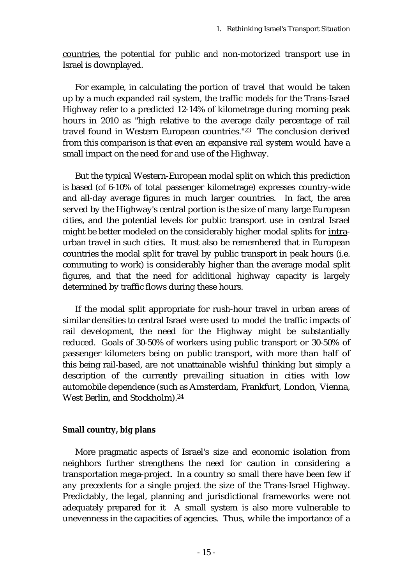countries, the potential for public and non-motorized transport use in Israel is downplayed.

For example, in calculating the portion of travel that would be taken up by a much expanded rail system, the traffic models for the Trans-Israel Highway refer to a predicted 12-14% of kilometrage during morning peak hours in 2010 as "high relative to the average daily percentage of rail travel found in Western European countries."23 The conclusion derived from this comparison is that even an expansive rail system would have a small impact on the need for and use of the Highway.

But the typical Western-European modal split on which this prediction is based (of 6-10% of total passenger kilometrage) expresses country-wide and all-day average figures in much larger countries. In fact, the area served by the Highway's central portion is the size of many large European cities, and the potential levels for public transport use in central Israel might be better modeled on the considerably higher modal splits for intraurban travel in such cities. It must also be remembered that in European countries the modal split for travel by public transport in peak hours (i.e. commuting to work) is considerably higher than the average modal split figures, and that the need for additional highway capacity is largely determined by traffic flows during these hours.

If the modal split appropriate for rush-hour travel in urban areas of similar densities to central Israel were used to model the traffic impacts of rail development, the need for the Highway might be substantially reduced. Goals of 30-50% of workers using public transport or 30-50% of passenger kilometers being on public transport, with more than half of this being rail-based, are not unattainable wishful thinking but simply a description of the currently prevailing situation in cities with low automobile dependence (such as Amsterdam, Frankfurt, London, Vienna, West Berlin, and Stockholm).<sup>24</sup>

## **Small country, big plans**

More pragmatic aspects of Israel's size and economic isolation from neighbors further strengthens the need for caution in considering a transportation mega-project. In a country so small there have been few if any precedents for a single project the size of the Trans-Israel Highway. Predictably, the legal, planning and jurisdictional frameworks were not adequately prepared for it A small system is also more vulnerable to unevenness in the capacities of agencies. Thus, while the importance of a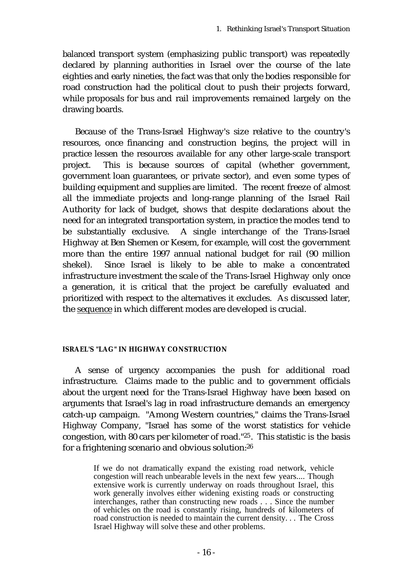balanced transport system (emphasizing public transport) was repeatedly declared by planning authorities in Israel over the course of the late eighties and early nineties, the fact was that only the bodies responsible for road construction had the political clout to push their projects forward, while proposals for bus and rail improvements remained largely on the drawing boards.

Because of the Trans-Israel Highway's size relative to the country's resources, once financing and construction begins, the project will in practice lessen the resources available for any other large-scale transport project. This is because sources of capital (whether government, government loan guarantees, or private sector), and even some types of building equipment and supplies are limited. The recent freeze of almost all the immediate projects and long-range planning of the Israel Rail Authority for lack of budget, shows that despite declarations about the need for an integrated transportation system, in practice the modes tend to be substantially exclusive. A single interchange of the Trans-Israel Highway at Ben Shemen or Kesem, for example, will cost the government more than the entire 1997 annual national budget for rail (90 million shekel). Since Israel is likely to be able to make a concentrated infrastructure investment the scale of the Trans-Israel Highway only once a generation, it is critical that the project be carefully evaluated and prioritized with respect to the alternatives it excludes. As discussed later, the sequence in which different modes are developed is crucial.

### **ISRAEL'S "LAG" IN HIGHWAY CONSTRUCTION**

A sense of urgency accompanies the push for additional road infrastructure. Claims made to the public and to government officials about the urgent need for the Trans-Israel Highway have been based on arguments that Israel's lag in road infrastructure demands an emergency catch-up campaign. "Among Western countries," claims the Trans-Israel Highway Company, "Israel has some of the worst statistics for vehicle congestion, with 80 cars per kilometer of road."25. This statistic is the basis for a frightening scenario and obvious solution:<sup>26</sup>

> If we do not dramatically expand the existing road network, vehicle congestion will reach unbearable levels in the next few years.... Though extensive work is currently underway on roads throughout Israel, this work generally involves either widening existing roads or constructing interchanges, rather than constructing new roads . . . Since the number of vehicles on the road is constantly rising, hundreds of kilometers of road construction is needed to maintain the current density. . . The Cross Israel Highway will solve these and other problems.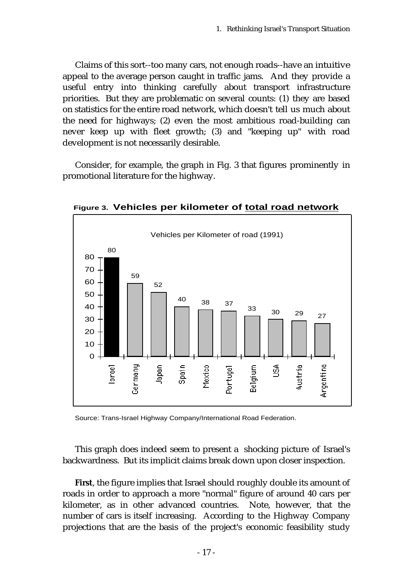Claims of this sort--too many cars, not enough roads--have an intuitive appeal to the average person caught in traffic jams. And they provide a useful entry into thinking carefully about transport infrastructure priorities. But they are problematic on several counts: (1) they are based on statistics for the entire road network, which doesn't tell us much about the need for highways; (2) even the most ambitious road-building can never keep up with fleet growth; (3) and "keeping up" with road development is not necessarily desirable.

Consider, for example, the graph in Fig. 3 that figures prominently in promotional literature for the highway.



**Figure 3. Vehicles per kilometer of total road network**

Source: Trans-Israel Highway Company/International Road Federation.

This graph does indeed seem to present a shocking picture of Israel's backwardness. But its implicit claims break down upon closer inspection.

**First**, the figure implies that Israel should roughly double its amount of roads in order to approach a more "normal" figure of around 40 cars per kilometer, as in other advanced countries. Note, however, that the number of cars is itself increasing. According to the Highway Company projections that are the basis of the project's economic feasibility study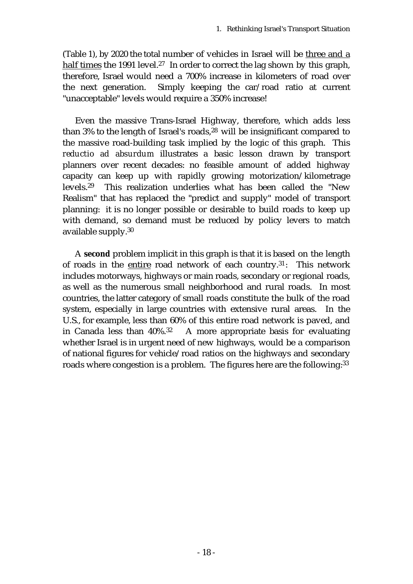(Table 1), by 2020 the total number of vehicles in Israel will be three and a half times the 1991 level.<sup>27</sup> In order to correct the lag shown by this graph, therefore, Israel would need a 700% increase in kilometers of road over the next generation. Simply keeping the car/road ratio at current "unacceptable" levels would require a 350% increase!

Even the massive Trans-Israel Highway, therefore, which adds less than 3% to the length of Israel's roads,<sup>28</sup> will be insignificant compared to the massive road-building task implied by the logic of this graph. This *reductio ad absurdum* illustrates a basic lesson drawn by transport planners over recent decades: no feasible amount of added highway capacity can keep up with rapidly growing motorization/kilometrage levels.<sup>29</sup> This realization underlies what has been called the "New Realism" that has replaced the "predict and supply" model of transport planning: it is no longer possible or desirable to build roads to keep up with demand, so demand must be reduced by policy levers to match available supply.<sup>30</sup>

A **second** problem implicit in this graph is that it is based on the length of roads in the entire road network of each country.<sup>31</sup>: This network includes motorways, highways or main roads, secondary or regional roads, as well as the numerous small neighborhood and rural roads. In most countries, the latter category of small roads constitute the bulk of the road system, especially in large countries with extensive rural areas. In the U.S., for example, less than 60% of this entire road network is paved, and in Canada less than 40%.32 A more appropriate basis for evaluating whether Israel is in urgent need of new highways, would be a comparison of national figures for vehicle/road ratios on the highways and secondary roads where congestion is a problem. The figures here are the following: 33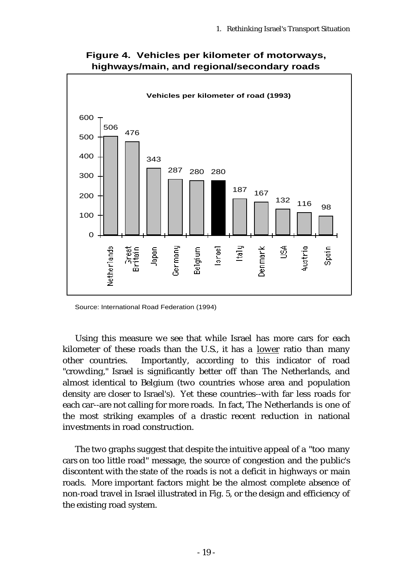

**Figure 4. Vehicles per kilometer of motorways, highways/main, and regional/secondary roads**

Source: International Road Federation (1994)

Using this measure we see that while Israel has more cars for each kilometer of these roads than the U.S., it has a lower ratio than many other countries. Importantly, according to this indicator of road "crowding," Israel is significantly better off than The Netherlands, and almost identical to Belgium (two countries whose area and population density are closer to Israel's). Yet these countries--with far less roads for each car--are not calling for more roads. In fact, The Netherlands is one of the most striking examples of a drastic recent reduction in national investments in road construction.

The two graphs suggest that despite the intuitive appeal of a "too many cars on too little road" message, the source of congestion and the public's discontent with the state of the roads is not a deficit in highways or main roads. More important factors might be the almost complete absence of non-road travel in Israel illustrated in Fig. 5, or the design and efficiency of the existing road system.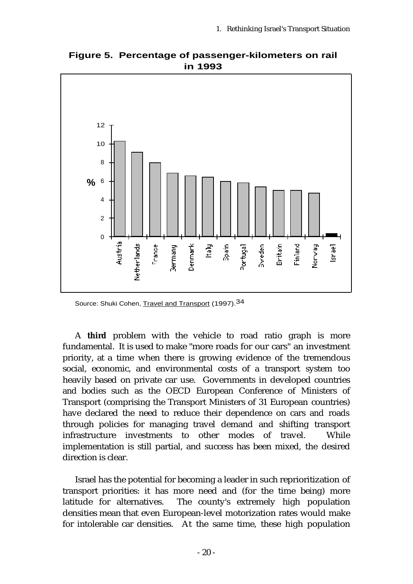

**Figure 5. Percentage of passenger-kilometers on rail in 1993**

Source: Shuki Cohen, Travel and Transport (1997).<sup>34</sup>

A **third** problem with the vehicle to road ratio graph is more fundamental. It is used to make "more roads for our cars" an investment priority, at a time when there is growing evidence of the tremendous social, economic, and environmental costs of a transport system too heavily based on private car use. Governments in developed countries and bodies such as the OECD European Conference of Ministers of Transport (comprising the Transport Ministers of 31 European countries) have declared the need to reduce their dependence on cars and roads through policies for managing travel demand and shifting transport infrastructure investments to other modes of travel. While implementation is still partial, and success has been mixed, the desired direction is clear.

Israel has the potential for becoming a leader in such reprioritization of transport priorities: it has more need and (for the time being) more latitude for alternatives. The county's extremely high population densities mean that even European-level motorization rates would make for intolerable car densities. At the same time, these high population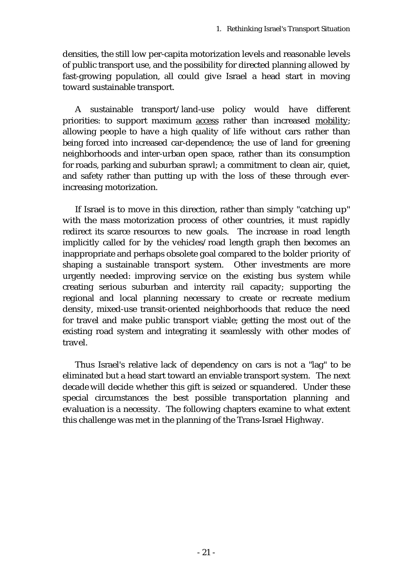densities, the still low per-capita motorization levels and reasonable levels of public transport use, and the possibility for directed planning allowed by fast-growing population, all could give Israel a head start in moving toward sustainable transport.

A sustainable transport/land-use policy would have different priorities: to support maximum access rather than increased mobility; allowing people to have a high quality of life without cars rather than being forced into increased car-dependence; the use of land for greening neighborhoods and inter-urban open space, rather than its consumption for roads, parking and suburban sprawl; a commitment to clean air, quiet, and safety rather than putting up with the loss of these through everincreasing motorization.

If Israel is to move in this direction, rather than simply "catching up" with the mass motorization process of other countries, it must rapidly redirect its scarce resources to new goals. The increase in road length implicitly called for by the vehicles/road length graph then becomes an inappropriate and perhaps obsolete goal compared to the bolder priority of shaping a sustainable transport system. Other investments are more urgently needed: improving service on the existing bus system while creating serious suburban and intercity rail capacity; supporting the regional and local planning necessary to create or recreate medium density, mixed-use transit-oriented neighborhoods that reduce the need for travel and make public transport viable; getting the most out of the existing road system and integrating it seamlessly with other modes of travel.

Thus Israel's relative lack of dependency on cars is not a "lag" to be eliminated but a head start toward an enviable transport system. The next decade will decide whether this gift is seized or squandered. Under these special circumstances the best possible transportation planning and evaluation is a necessity. The following chapters examine to what extent this challenge was met in the planning of the Trans-Israel Highway.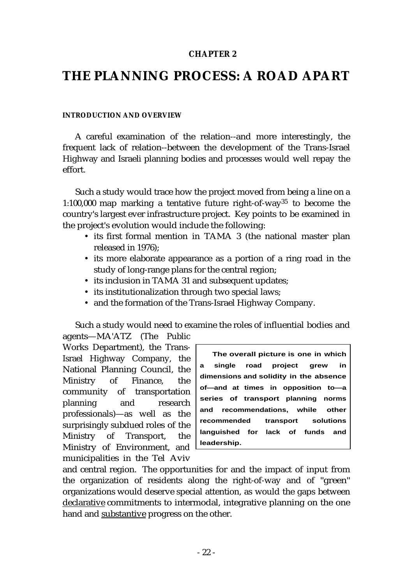## **CHAPTER 2**

# **THE PLANNING PROCESS: A ROAD APART**

### **INTRODUCTION AND OVERVIEW**

A careful examination of the relation--and more interestingly, the frequent lack of relation--between the development of the Trans-Israel Highway and Israeli planning bodies and processes would well repay the effort.

Such a study would trace how the project moved from being a line on a 1:100,000 map marking a tentative future right-of-way35 to become the country's largest ever infrastructure project. Key points to be examined in the project's evolution would include the following:

- its first formal mention in TAMA 3 (the national master plan released in 1976);
- its more elaborate appearance as a portion of a ring road in the study of long-range plans for the central region;
- its inclusion in TAMA 31 and subsequent updates;
- its institutionalization through two special laws;
- and the formation of the Trans-Israel Highway Company.

Such a study would need to examine the roles of influential bodies and agents—MA'ATZ (The Public

Works Department), the Trans-Israel Highway Company, the National Planning Council, the Ministry of Finance, the community of transportation planning and research professionals)—as well as the surprisingly subdued roles of the Ministry of Transport, the Ministry of Environment, and municipalities in the Tel Aviv

**The overall picture is one in which a single road project grew in dimensions and solidity in the absence of—and at times in opposition to—a series of transport planning norms and recommendations, while other recommended transport solutions languished for lack of funds and leadership.**

and central region. The opportunities for and the impact of input from the organization of residents along the right-of-way and of "green" organizations would deserve special attention, as would the gaps between declarative commitments to intermodal, integrative planning on the one hand and substantive progress on the other.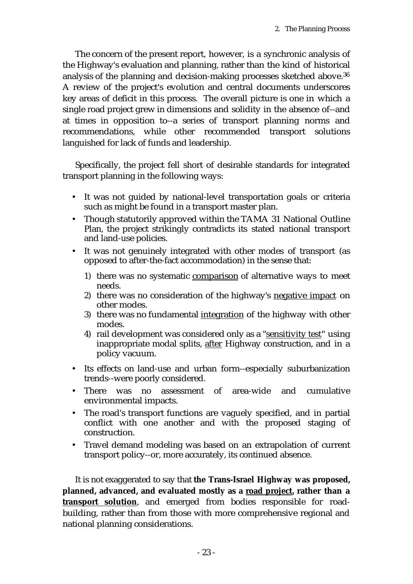The concern of the present report, however, is a synchronic analysis of the Highway's evaluation and planning, rather than the kind of historical analysis of the planning and decision-making processes sketched above.<sup>36</sup> A review of the project's evolution and central documents underscores key areas of deficit in this process. The overall picture is one in which a single road project grew in dimensions and solidity in the absence of--and at times in opposition to--a series of transport planning norms and recommendations, while other recommended transport solutions languished for lack of funds and leadership.

Specifically, the project fell short of desirable standards for integrated transport planning in the following ways:

- It was not guided by national-level transportation goals or criteria such as might be found in a transport master plan.
- Though statutorily approved within the TAMA 31 National Outline Plan, the project strikingly contradicts its stated national transport and land-use policies.
- It was not genuinely integrated with other modes of transport (as opposed to after-the-fact accommodation) in the sense that:
	- 1) there was no systematic comparison of alternative ways to meet needs.
	- 2) there was no consideration of the highway's negative impact on other modes.
	- 3) there was no fundamental integration of the highway with other modes.
	- 4) rail development was considered only as a "sensitivity test" using inappropriate modal splits, after Highway construction, and in a policy vacuum.
- Its effects on land-use and urban form--especially suburbanization trends--were poorly considered.
- There was no assessment of area-wide and cumulative environmental impacts.
- The road's transport functions are vaguely specified, and in partial conflict with one another and with the proposed staging of construction.
- Travel demand modeling was based on an extrapolation of current transport policy--or, more accurately, its continued absence.

It is not exaggerated to say that **the Trans-Israel Highway was proposed, planned, advanced, and evaluated mostly as a road project, rather than a transport solution**, and emerged from bodies responsible for roadbuilding, rather than from those with more comprehensive regional and national planning considerations.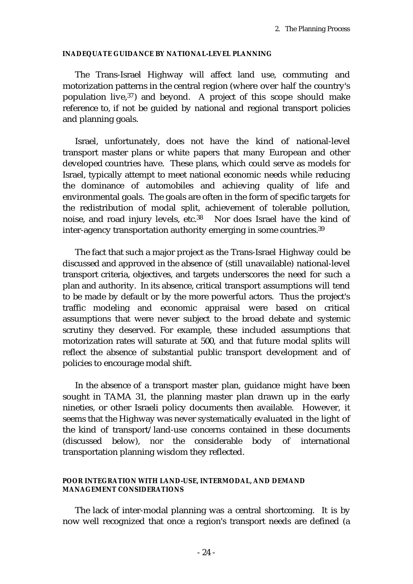### **INADEQUATE GUIDANCE BY NATIONAL-LEVEL PLANNING**

The Trans-Israel Highway will affect land use, commuting and motorization patterns in the central region (where over half the country's population live,  $37$ ) and beyond. A project of this scope should make reference to, if not be guided by national and regional transport policies and planning goals.

Israel, unfortunately, does not have the kind of national-level transport master plans or white papers that many European and other developed countries have. These plans, which could serve as models for Israel, typically attempt to meet national economic needs while reducing the dominance of automobiles and achieving quality of life and environmental goals. The goals are often in the form of specific targets for the redistribution of modal split, achievement of tolerable pollution, noise, and road injury levels, etc.38 Nor does Israel have the kind of inter-agency transportation authority emerging in some countries.<sup>39</sup>

The fact that such a major project as the Trans-Israel Highway could be discussed and approved in the absence of (still unavailable) national-level transport criteria, objectives, and targets underscores the need for such a plan and authority. In its absence, critical transport assumptions will tend to be made by default or by the more powerful actors. Thus the project's traffic modeling and economic appraisal were based on critical assumptions that were never subject to the broad debate and systemic scrutiny they deserved. For example, these included assumptions that motorization rates will saturate at 500, and that future modal splits will reflect the absence of substantial public transport development and of policies to encourage modal shift.

In the absence of a transport master plan, guidance might have been sought in TAMA 31, the planning master plan drawn up in the early nineties, or other Israeli policy documents then available. However, it seems that the Highway was never systematically evaluated in the light of the kind of transport/land-use concerns contained in these documents (discussed below), nor the considerable body of international transportation planning wisdom they reflected.

### **POOR INTEGRATION WITH LAND-USE, INTERMODAL, AND DEMAND MANAGEMENT CONSIDERATIONS**

The lack of inter-modal planning was a central shortcoming. It is by now well recognized that once a region's transport needs are defined (a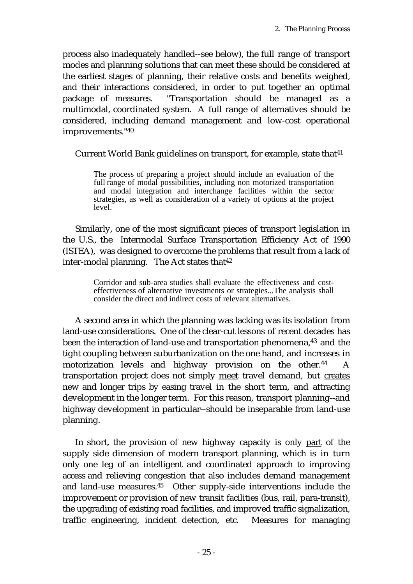process also inadequately handled--see below), the full range of transport modes and planning solutions that can meet these should be considered at the earliest stages of planning, their relative costs and benefits weighed, and their interactions considered, in order to put together an optimal package of measures. "Transportation should be managed as a multimodal, coordinated system. A full range of alternatives should be considered, including demand management and low-cost operational improvements."<sup>40</sup>

Current World Bank guidelines on transport, for example, state that<sup>41</sup>

The process of preparing a project should include an evaluation of the full range of modal possibilities, including non motorized transportation and modal integration and interchange facilities within the sector strategies, as well as consideration of a variety of options at the project level.

Similarly, one of the most significant pieces of transport legislation in the U.S., the Intermodal Surface Transportation Efficiency Act of 1990 (ISTEA), was designed to overcome the problems that result from a lack of inter-modal planning. The Act states that  $42$ 

> Corridor and sub-area studies shall evaluate the effectiveness and costeffectiveness of alternative investments or strategies...The analysis shall consider the direct and indirect costs of relevant alternatives.

A second area in which the planning was lacking was its isolation from land-use considerations. One of the clear-cut lessons of recent decades has been the interaction of land-use and transportation phenomena,<sup>43</sup> and the tight coupling between suburbanization on the one hand, and increases in motorization levels and highway provision on the other.44 A transportation project does not simply meet travel demand, but creates new and longer trips by easing travel in the short term, and attracting development in the longer term. For this reason, transport planning--and highway development in particular--should be inseparable from land-use planning.

In short, the provision of new highway capacity is only part of the supply side dimension of modern transport planning, which is in turn only one leg of an intelligent and coordinated approach to improving access and relieving congestion that also includes demand management and land-use measures.45 Other supply-side interventions include the improvement or provision of new transit facilities (bus, rail, para-transit), the upgrading of existing road facilities, and improved traffic signalization, traffic engineering, incident detection, etc. Measures for managing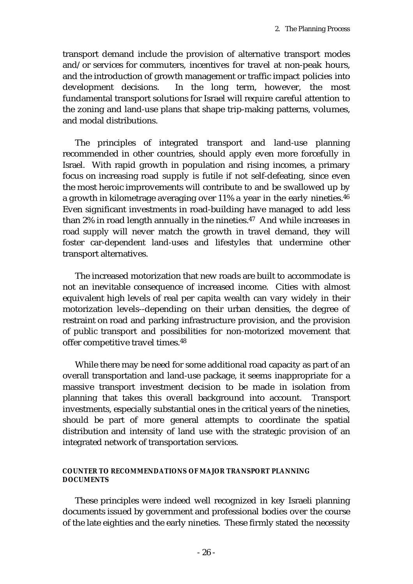transport demand include the provision of alternative transport modes and/or services for commuters, incentives for travel at non-peak hours, and the introduction of growth management or traffic impact policies into development decisions. In the long term, however, the most fundamental transport solutions for Israel will require careful attention to the zoning and land-use plans that shape trip-making patterns, volumes, and modal distributions.

The principles of integrated transport and land-use planning recommended in other countries, should apply even more forcefully in Israel. With rapid growth in population and rising incomes, a primary focus on increasing road supply is futile if not self-defeating, since even the most heroic improvements will contribute to and be swallowed up by a growth in kilometrage averaging over 11% a year in the early nineties.<sup>46</sup> Even significant investments in road-building have managed to add less than 2% in road length annually in the nineties.<sup>47</sup> And while increases in road supply will never match the growth in travel demand, they will foster car-dependent land-uses and lifestyles that undermine other transport alternatives.

The increased motorization that new roads are built to accommodate is not an inevitable consequence of increased income. Cities with almost equivalent high levels of real per capita wealth can vary widely in their motorization levels--depending on their urban densities, the degree of restraint on road and parking infrastructure provision, and the provision of public transport and possibilities for non-motorized movement that offer competitive travel times.<sup>48</sup>

While there may be need for some additional road capacity as part of an overall transportation and land-use package, it seems inappropriate for a massive transport investment decision to be made in isolation from planning that takes this overall background into account. Transport investments, especially substantial ones in the critical years of the nineties, should be part of more general attempts to coordinate the spatial distribution and intensity of land use with the strategic provision of an integrated network of transportation services.

#### **COUNTER TO RECOMMENDATIONS OF MAJOR TRANSPORT PLANNING DOCUMENTS**

These principles were indeed well recognized in key Israeli planning documents issued by government and professional bodies over the course of the late eighties and the early nineties. These firmly stated the necessity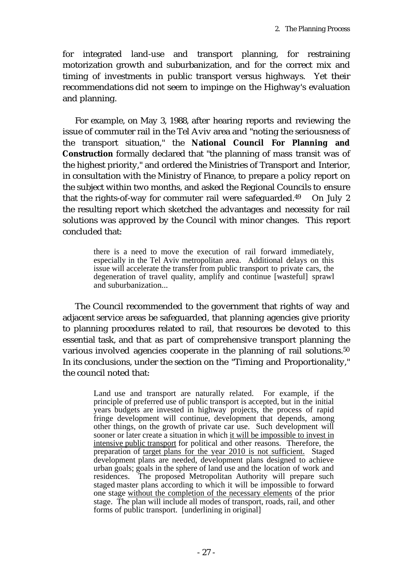for integrated land-use and transport planning, for restraining motorization growth and suburbanization, and for the correct mix and timing of investments in public transport versus highways. Yet their recommendations did not seem to impinge on the Highway's evaluation and planning.

For example, on May 3, 1988, after hearing reports and reviewing the issue of commuter rail in the Tel Aviv area and "noting the seriousness of the transport situation," the **National Council For Planning and Construction** formally declared that "the planning of mass transit was of the highest priority," and ordered the Ministries of Transport and Interior, in consultation with the Ministry of Finance, to prepare a policy report on the subject within two months, and asked the Regional Councils to ensure that the rights-of-way for commuter rail were safeguarded. $49$  On July 2 the resulting report which sketched the advantages and necessity for rail solutions was approved by the Council with minor changes. This report concluded that:

> there is a need to move the execution of rail forward immediately, especially in the Tel Aviv metropolitan area. Additional delays on this issue will accelerate the transfer from public transport to private cars, the degeneration of travel quality, amplify and continue [wasteful] sprawl and suburbanization...

The Council recommended to the government that rights of way and adjacent service areas be safeguarded, that planning agencies give priority to planning procedures related to rail, that resources be devoted to this essential task, and that as part of comprehensive transport planning the various involved agencies cooperate in the planning of rail solutions.<sup>50</sup> In its conclusions, under the section on the "Timing and Proportionality," the council noted that:

> Land use and transport are naturally related. For example, if the principle of preferred use of public transport is accepted, but in the initial years budgets are invested in highway projects, the process of rapid fringe development will continue, development that depends, among other things, on the growth of private car use. Such development will sooner or later create a situation in which it will be impossible to invest in intensive public transport for political and other reasons. Therefore, the preparation of target plans for the year 2010 is not sufficient. Staged development plans are needed, development plans designed to achieve urban goals; goals in the sphere of land use and the location of work and residences. The proposed Metropolitan Authority will prepare such staged master plans according to which it will be impossible to forward one stage without the completion of the necessary elements of the prior stage. The plan will include all modes of transport, roads, rail, and other forms of public transport. [underlining in original]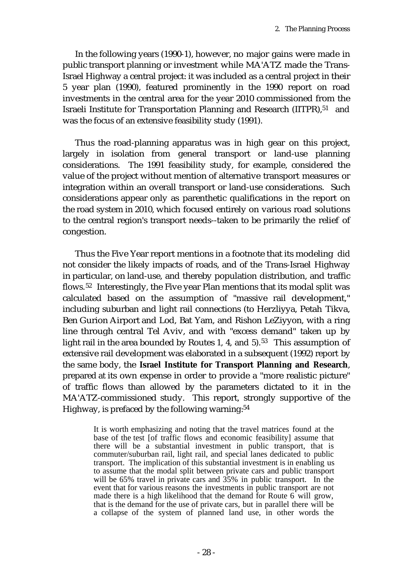In the following years (1990-1), however, no major gains were made in public transport planning or investment while MA'ATZ made the Trans-Israel Highway a central project: it was included as a central project in their 5 year plan (1990), featured prominently in the 1990 report on road investments in the central area for the year 2010 commissioned from the Israeli Institute for Transportation Planning and Research (IITPR),<sup>51</sup> and was the focus of an extensive feasibility study (1991).

Thus the road-planning apparatus was in high gear on this project, largely in isolation from general transport or land-use planning considerations. The 1991 feasibility study, for example, considered the value of the project without mention of alternative transport measures or integration within an overall transport or land-use considerations. Such considerations appear only as parenthetic qualifications in the report on the road system in 2010, which focused entirely on various road solutions to the central region's transport needs--taken to be primarily the relief of congestion.

Thus the Five Year report mentions in a footnote that its modeling did not consider the likely impacts of roads, and of the Trans-Israel Highway in particular, on land-use, and thereby population distribution, and traffic flows.52 Interestingly, the Five year Plan mentions that its modal split was calculated based on the assumption of "massive rail development," including suburban and light rail connections (to Herzliyya, Petah Tikva, Ben Gurion Airport and Lod, Bat Yam, and Rishon LeZiyyon, with a ring line through central Tel Aviv, and with "excess demand" taken up by light rail in the area bounded by Routes 1, 4, and  $5$ ).<sup>53</sup> This assumption of extensive rail development was elaborated in a subsequent (1992) report by the same body, the **Israel Institute for Transport Planning and Research**, prepared at its own expense in order to provide a "more realistic picture" of traffic flows than allowed by the parameters dictated to it in the MA'ATZ-commissioned study. This report, strongly supportive of the Highway, is prefaced by the following warning:<sup>54</sup>

> It is worth emphasizing and noting that the travel matrices found at the base of the test [of traffic flows and economic feasibility] assume that there will be a substantial investment in public transport, that is commuter/suburban rail, light rail, and special lanes dedicated to public transport. The implication of this substantial investment is in enabling us to assume that the modal split between private cars and public transport will be 65% travel in private cars and 35% in public transport. In the event that for various reasons the investments in public transport are not made there is a high likelihood that the demand for Route 6 will grow, that is the demand for the use of private cars, but in parallel there will be a collapse of the system of planned land use, in other words the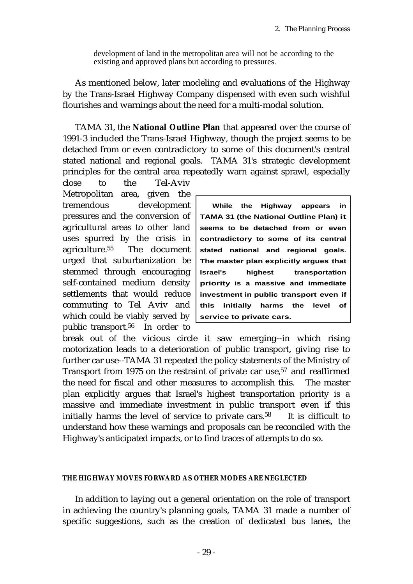development of land in the metropolitan area will not be according to the existing and approved plans but according to pressures.

As mentioned below, later modeling and evaluations of the Highway by the Trans-Israel Highway Company dispensed with even such wishful flourishes and warnings about the need for a multi-modal solution.

TAMA 31, the **National Outline Plan** that appeared over the course of 1991-3 included the Trans-Israel Highway, though the project seems to be detached from or even contradictory to some of this document's central stated national and regional goals. TAMA 31's strategic development principles for the central area repeatedly warn against sprawl, especially

close to the Tel-Aviv Metropolitan area, given the tremendous development pressures and the conversion of agricultural areas to other land uses spurred by the crisis in agriculture.55 The document urged that suburbanization be stemmed through encouraging self-contained medium density settlements that would reduce commuting to Tel Aviv and which could be viably served by public transport.56 In order to

**While the Highway appears in TAMA 31 (the National Outline Plan) it seems to be detached from or even contradictory to some of its central stated national and regional goals. The master plan explicitly argues that Israel's** highest transportation **priority is a massive and immediate investment in public transport even if this initially harms the level of service to private cars.**

break out of the vicious circle it saw emerging--in which rising motorization leads to a deterioration of public transport, giving rise to further car use--TAMA 31 repeated the policy statements of the Ministry of Transport from 1975 on the restraint of private car use,<sup>57</sup> and reaffirmed the need for fiscal and other measures to accomplish this. The master plan explicitly argues that Israel's highest transportation priority is a massive and immediate investment in public transport even if this initially harms the level of service to private cars.<sup>58</sup> It is difficult to understand how these warnings and proposals can be reconciled with the Highway's anticipated impacts, or to find traces of attempts to do so.

### **THE HIGHWAY MOVES FORWARD AS OTHER MODES ARE NEGLECTED**

In addition to laying out a general orientation on the role of transport in achieving the country's planning goals, TAMA 31 made a number of specific suggestions, such as the creation of dedicated bus lanes, the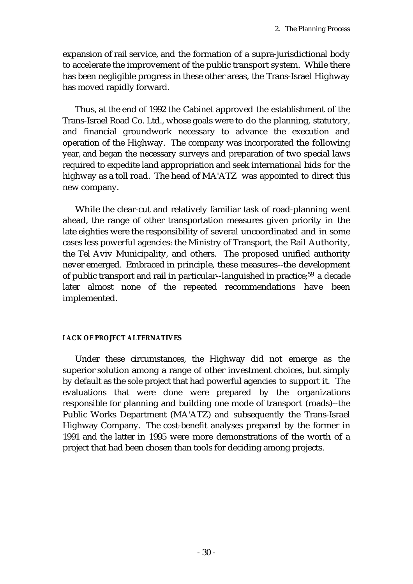expansion of rail service, and the formation of a supra-jurisdictional body to accelerate the improvement of the public transport system. While there has been negligible progress in these other areas, the Trans-Israel Highway has moved rapidly forward.

Thus, at the end of 1992 the Cabinet approved the establishment of the Trans-Israel Road Co. Ltd., whose goals were to do the planning, statutory, and financial groundwork necessary to advance the execution and operation of the Highway. The company was incorporated the following year, and began the necessary surveys and preparation of two special laws required to expedite land appropriation and seek international bids for the highway as a toll road. The head of MA'ATZ was appointed to direct this new company.

While the clear-cut and relatively familiar task of road-planning went ahead, the range of other transportation measures given priority in the late eighties were the responsibility of several uncoordinated and in some cases less powerful agencies: the Ministry of Transport, the Rail Authority, the Tel Aviv Municipality, and others. The proposed unified authority never emerged. Embraced in principle, these measures--the development of public transport and rail in particular--languished in practice;59 a decade later almost none of the repeated recommendations have been implemented.

## **LACK OF PROJECT ALTERNATIVES**

Under these circumstances, the Highway did not emerge as the superior solution among a range of other investment choices, but simply by default as the sole project that had powerful agencies to support it. The evaluations that were done were prepared by the organizations responsible for planning and building one mode of transport (roads)--the Public Works Department (MA'ATZ) and subsequently the Trans-Israel Highway Company. The cost-benefit analyses prepared by the former in 1991 and the latter in 1995 were more demonstrations of the worth of a project that had been chosen than tools for deciding among projects.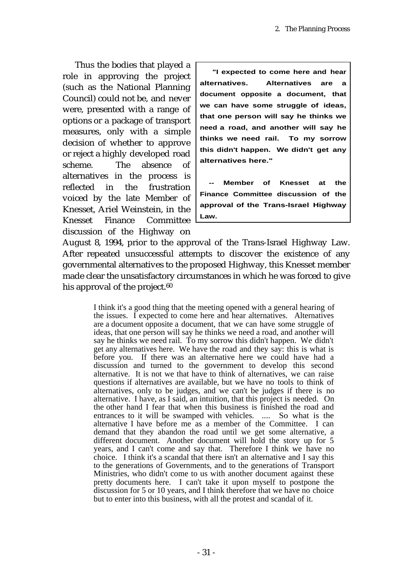Thus the bodies that played a role in approving the project (such as the National Planning Council) could not be, and never were, presented with a range of options or a package of transport measures, only with a simple decision of whether to approve or reject a highly developed road scheme. The absence of alternatives in the process is reflected in the frustration voiced by the late Member of Knesset, Ariel Weinstein, in the Knesset Finance Committee discussion of the Highway on

**"I expected to come here and hear alternatives. Alternatives are a document opposite a document, that we can have some struggle of ideas, that one person will say he thinks we need a road, and another will say he thinks we need rail. To my sorrow this didn't happen. We didn't get any alternatives here."**

**Member of Knesset at the Finance Committee discussion of the approval of the Trans-Israel Highway Law.**

August 8, 1994, prior to the approval of the Trans-Israel Highway Law. After repeated unsuccessful attempts to discover the existence of any governmental alternatives to the proposed Highway, this Knesset member made clear the unsatisfactory circumstances in which he was forced to give his approval of the project. $60$ 

> I think it's a good thing that the meeting opened with a general hearing of the issues. I expected to come here and hear alternatives. Alternatives are a document opposite a document, that we can have some struggle of ideas, that one person will say he thinks we need a road, and another will say he thinks we need rail. To my sorrow this didn't happen. We didn't get any alternatives here. We have the road and they say: this is what is before you. If there was an alternative here we could have had a discussion and turned to the government to develop this second alternative. It is not we that have to think of alternatives, we can raise questions if alternatives are available, but we have no tools to think of alternatives, only to be judges, and we can't be judges if there is no alternative. I have, as I said, an intuition, that this project is needed. On the other hand I fear that when this business is finished the road and entrances to it will be swamped with vehicles. .... So what is the alternative I have before me as a member of the Committee. I can demand that they abandon the road until we get some alternative, a different document. Another document will hold the story up for 5 years, and I can't come and say that. Therefore I think we have no choice. I think it's a scandal that there isn't an alternative and I say this to the generations of Governments, and to the generations of Transport Ministries, who didn't come to us with another document against these pretty documents here. I can't take it upon myself to postpone the discussion for 5 or 10 years, and I think therefore that we have no choice but to enter into this business, with all the protest and scandal of it.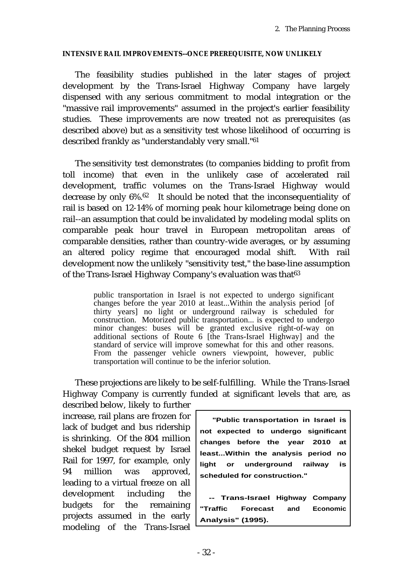## **INTENSIVE RAIL IMPROVEMENTS--ONCE PREREQUISITE, NOW UNLIKELY**

The feasibility studies published in the later stages of project development by the Trans-Israel Highway Company have largely dispensed with any serious commitment to modal integration or the "massive rail improvements" assumed in the project's earlier feasibility studies. These improvements are now treated not as prerequisites (as described above) but as a sensitivity test whose likelihood of occurring is described frankly as "understandably very small."<sup>61</sup>

The sensitivity test demonstrates (to companies bidding to profit from toll income) that even in the unlikely case of accelerated rail development, traffic volumes on the Trans-Israel Highway would decrease by only 6%.62 It should be noted that the inconsequentiality of rail is based on 12-14% of morning peak hour kilometrage being done on rail--an assumption that could be invalidated by modeling modal splits on comparable peak hour travel in European metropolitan areas of comparable densities, rather than country-wide averages, or by assuming an altered policy regime that encouraged modal shift. With rail development now the unlikely "sensitivity test," the base-line assumption of the Trans-Israel Highway Company's evaluation was that<sup>63</sup>

> public transportation in Israel is not expected to undergo significant changes before the year 2010 at least...Within the analysis period [of thirty years] no light or underground railway is scheduled for construction. Motorized public transportation... is expected to undergo minor changes: buses will be granted exclusive right-of-way on additional sections of Route 6 [the Trans-Israel Highway] and the standard of service will improve somewhat for this and other reasons. From the passenger vehicle owners viewpoint, however, public transportation will continue to be the inferior solution.

These projections are likely to be self-fulfilling. While the Trans-Israel Highway Company is currently funded at significant levels that are, as

described below, likely to further increase, rail plans are frozen for lack of budget and bus ridership is shrinking. Of the 804 million shekel budget request by Israel Rail for 1997, for example, only 94 million was approved, leading to a virtual freeze on all development including the budgets for the remaining projects assumed in the early modeling of the Trans-Israel

**"Public transportation in Israel is not expected to undergo significant changes before the year 2010 at least...Within the analysis period no light or underground railway is scheduled for construction."**

**-- Trans-Israel Highway Company "Traffic Forecast and Economic Analysis" (1995).**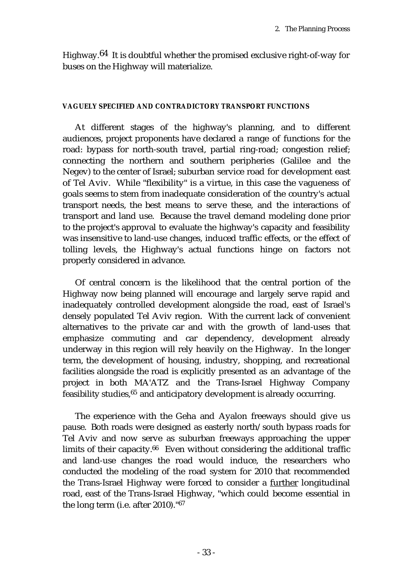Highway.64 It is doubtful whether the promised exclusive right-of-way for buses on the Highway will materialize.

### **VAGUELY SPECIFIED AND CONTRADICTORY TRANSPORT FUNCTIONS**

At different stages of the highway's planning, and to different audiences, project proponents have declared a range of functions for the road: bypass for north-south travel, partial ring-road; congestion relief; connecting the northern and southern peripheries (Galilee and the Negev) to the center of Israel; suburban service road for development east of Tel Aviv. While "flexibility" is a virtue, in this case the vagueness of goals seems to stem from inadequate consideration of the country's actual transport needs, the best means to serve these, and the interactions of transport and land use. Because the travel demand modeling done prior to the project's approval to evaluate the highway's capacity and feasibility was insensitive to land-use changes, induced traffic effects, or the effect of tolling levels, the Highway's actual functions hinge on factors not properly considered in advance.

Of central concern is the likelihood that the central portion of the Highway now being planned will encourage and largely serve rapid and inadequately controlled development alongside the road, east of Israel's densely populated Tel Aviv region. With the current lack of convenient alternatives to the private car and with the growth of land-uses that emphasize commuting and car dependency, development already underway in this region will rely heavily on the Highway. In the longer term, the development of housing, industry, shopping, and recreational facilities alongside the road is explicitly presented as an advantage of the project in both MA'ATZ and the Trans-Israel Highway Company feasibility studies,65 and anticipatory development is already occurring.

The experience with the Geha and Ayalon freeways should give us pause. Both roads were designed as easterly north/south bypass roads for Tel Aviv and now serve as suburban freeways approaching the upper limits of their capacity.<sup>66</sup> Even without considering the additional traffic and land-use changes the road would induce, the researchers who conducted the modeling of the road system for 2010 that recommended the Trans-Israel Highway were forced to consider a further longitudinal road, east of the Trans-Israel Highway, "which could become essential in the long term (i.e. after 2010)."<sup>67</sup>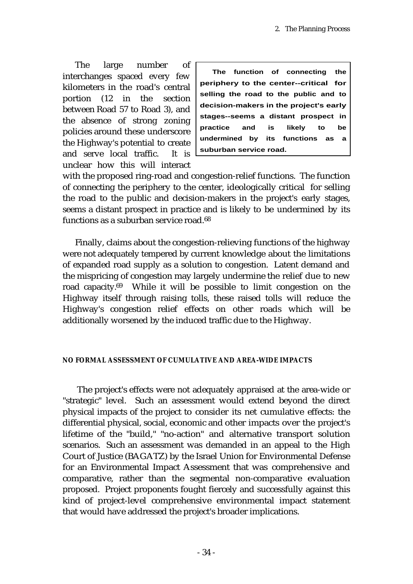The large number of interchanges spaced every few kilometers in the road's central portion (12 in the section between Road 57 to Road 3), and the absence of strong zoning policies around these underscore the Highway's potential to create and serve local traffic. It is unclear how this will interact

**The function of connecting the periphery to the center--critical for selling the road to the public and to decision-makers in the project's early stages--seems a distant prospect in practice and is likely to be undermined by its functions as a suburban service road.**

with the proposed ring-road and congestion-relief functions. The function of connecting the periphery to the center, ideologically critical for selling the road to the public and decision-makers in the project's early stages, seems a distant prospect in practice and is likely to be undermined by its functions as a suburban service road.<sup>68</sup>

Finally, claims about the congestion-relieving functions of the highway were not adequately tempered by current knowledge about the limitations of expanded road supply as a solution to congestion. Latent demand and the mispricing of congestion may largely undermine the relief due to new road capacity.<sup>69</sup> While it will be possible to limit congestion on the Highway itself through raising tolls, these raised tolls will reduce the Highway's congestion relief effects on other roads which will be additionally worsened by the induced traffic due to the Highway.

### **NO FORMAL ASSESSMENT OF CUMULATIVE AND AREA-WIDE IMPACTS**

The project's effects were not adequately appraised at the area-wide or "strategic" level. Such an assessment would extend beyond the direct physical impacts of the project to consider its net cumulative effects: the differential physical, social, economic and other impacts over the project's lifetime of the "build," "no-action" and alternative transport solution scenarios. Such an assessment was demanded in an appeal to the High Court of Justice (BAGATZ) by the Israel Union for Environmental Defense for an Environmental Impact Assessment that was comprehensive and comparative, rather than the segmental non-comparative evaluation proposed. Project proponents fought fiercely and successfully against this kind of project-level comprehensive environmental impact statement that would have addressed the project's broader implications.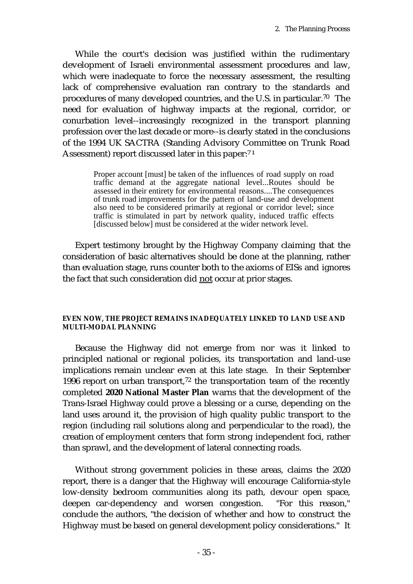While the court's decision was justified within the rudimentary development of Israeli environmental assessment procedures and law, which were inadequate to force the necessary assessment, the resulting lack of comprehensive evaluation ran contrary to the standards and procedures of many developed countries, and the U.S. in particular.<sup>70</sup> The need for evaluation of highway impacts at the regional, corridor, or conurbation level--increasingly recognized in the transport planning profession over the last decade or more--is clearly stated in the conclusions of the 1994 UK SACTRA (Standing Advisory Committee on Trunk Road Assessment) report discussed later in this paper:71

> Proper account [must] be taken of the influences of road supply on road traffic demand at the aggregate national level...Routes should be assessed in their entirety for environmental reasons....The consequences of trunk road improvements for the pattern of land-use and development also need to be considered primarily at regional or corridor level; since traffic is stimulated in part by network quality, induced traffic effects [discussed below] must be considered at the wider network level.

Expert testimony brought by the Highway Company claiming that the consideration of basic alternatives should be done at the planning, rather than evaluation stage, runs counter both to the axioms of EISs and ignores the fact that such consideration did not occur at prior stages.

### **EVEN NOW, THE PROJECT REMAINS INADEQUATELY LINKED TO LAND USE AND MULTI-MODAL PLANNING**

Because the Highway did not emerge from nor was it linked to principled national or regional policies, its transportation and land-use implications remain unclear even at this late stage. In their September 1996 report on urban transport,<sup>72</sup> the transportation team of the recently completed **2020 National Master Plan** warns that the development of the Trans-Israel Highway could prove a blessing or a curse, depending on the land uses around it, the provision of high quality public transport to the region (including rail solutions along and perpendicular to the road), the creation of employment centers that form strong independent foci, rather than sprawl, and the development of lateral connecting roads.

Without strong government policies in these areas, claims the 2020 report, there is a danger that the Highway will encourage California-style low-density bedroom communities along its path, devour open space, deepen car-dependency and worsen congestion. "For this reason," conclude the authors, "the decision of whether and how to construct the Highway must be based on general development policy considerations." It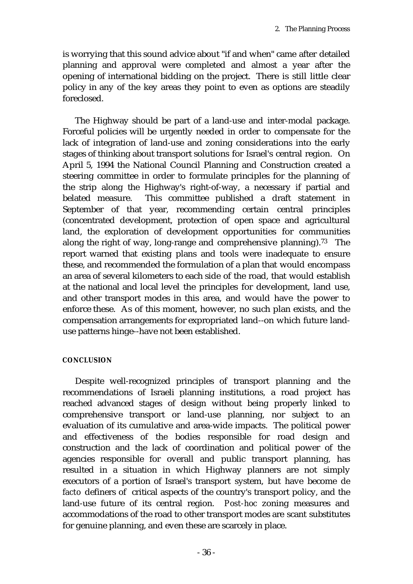is worrying that this sound advice about "if and when" came after detailed planning and approval were completed and almost a year after the opening of international bidding on the project. There is still little clear policy in any of the key areas they point to even as options are steadily foreclosed.

The Highway should be part of a land-use and inter-modal package. Forceful policies will be urgently needed in order to compensate for the lack of integration of land-use and zoning considerations into the early stages of thinking about transport solutions for Israel's central region. On April 5, 1994 the National Council Planning and Construction created a steering committee in order to formulate principles for the planning of the strip along the Highway's right-of-way, a necessary if partial and belated measure. This committee published a draft statement in September of that year, recommending certain central principles (concentrated development, protection of open space and agricultural land, the exploration of development opportunities for communities along the right of way, long-range and comprehensive planning).<sup>73</sup> The report warned that existing plans and tools were inadequate to ensure these, and recommended the formulation of a plan that would encompass an area of several kilometers to each side of the road, that would establish at the national and local level the principles for development, land use, and other transport modes in this area, and would have the power to enforce these. As of this moment, however, no such plan exists, and the compensation arrangements for expropriated land--on which future landuse patterns hinge--have not been established.

#### **CONCLUSION**

Despite well-recognized principles of transport planning and the recommendations of Israeli planning institutions, a road project has reached advanced stages of design without being properly linked to comprehensive transport or land-use planning, nor subject to an evaluation of its cumulative and area-wide impacts. The political power and effectiveness of the bodies responsible for road design and construction and the lack of coordination and political power of the agencies responsible for overall and public transport planning, has resulted in a situation in which Highway planners are not simply executors of a portion of Israel's transport system, but have become *de facto* definers of critical aspects of the country's transport policy, and the land-use future of its central region. *Post-hoc* zoning measures and accommodations of the road to other transport modes are scant substitutes for genuine planning, and even these are scarcely in place.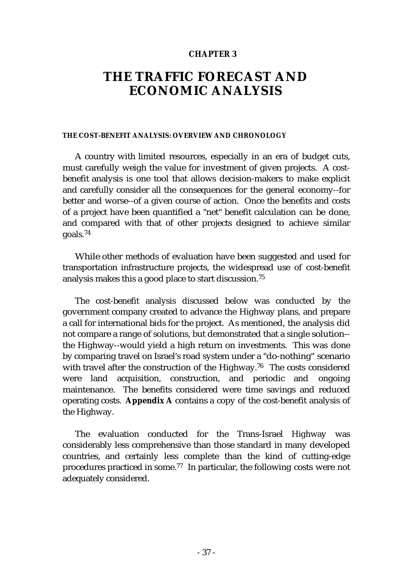#### **CHAPTER 3**

# **THE TRAFFIC FORECAST AND ECONOMIC ANALYSIS**

#### **THE COST-BENEFIT ANALYSIS: OVERVIEW AND CHRONOLOGY**

A country with limited resources, especially in an era of budget cuts, must carefully weigh the value for investment of given projects. A costbenefit analysis is one tool that allows decision-makers to make explicit and carefully consider all the consequences for the general economy--for better and worse--of a given course of action. Once the benefits and costs of a project have been quantified a "net" benefit calculation can be done, and compared with that of other projects designed to achieve similar goals.74

While other methods of evaluation have been suggested and used for transportation infrastructure projects, the widespread use of cost-benefit analysis makes this a good place to start discussion.<sup>75</sup>

The cost-benefit analysis discussed below was conducted by the government company created to advance the Highway plans, and prepare a call for international bids for the project. As mentioned, the analysis did not compare a range of solutions, but demonstrated that a single solution- the Highway--would yield a high return on investments. This was done by comparing travel on Israel's road system under a "do-nothing" scenario with travel after the construction of the Highway.<sup>76</sup> The costs considered were land acquisition, construction, and periodic and ongoing maintenance. The benefits considered were time savings and reduced operating costs. **Appendix A** contains a copy of the cost-benefit analysis of the Highway.

The evaluation conducted for the Trans-Israel Highway was considerably less comprehensive than those standard in many developed countries, and certainly less complete than the kind of cutting-edge procedures practiced in some.77 In particular, the following costs were not adequately considered.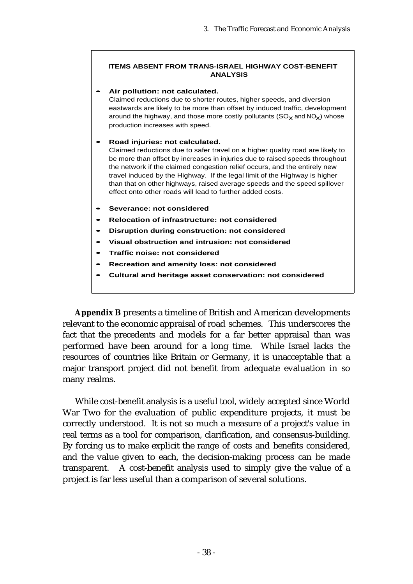#### **ITEMS ABSENT FROM TRANS-ISRAEL HIGHWAY COST-BENEFIT ANALYSIS**

#### **• Air pollution: not calculated.**

Claimed reductions due to shorter routes, higher speeds, and diversion eastwards are likely to be more than offset by induced traffic, development around the highway, and those more costly pollutants  $(SO_X \text{ and } NO_X)$  whose production increases with speed.

#### **• Road injuries: not calculated.**

Claimed reductions due to safer travel on a higher quality road are likely to be more than offset by increases in injuries due to raised speeds throughout the network if the claimed congestion relief occurs, and the entirely new travel induced by the Highway. If the legal limit of the Highway is higher than that on other highways, raised average speeds and the speed spillover effect onto other roads will lead to further added costs.

- **• Severance: not considered**
- **• Relocation of infrastructure: not considered**
- **• Disruption during construction: not considered**
- **• Visual obstruction and intrusion: not considered**
- **• Traffic noise: not considered**
- **• Recreation and amenity loss: not considered**
- **• Cultural and heritage asset conservation: not considered**

**Appendix B** presents a timeline of British and American developments relevant to the economic appraisal of road schemes. This underscores the fact that the precedents and models for a far better appraisal than was performed have been around for a long time. While Israel lacks the resources of countries like Britain or Germany, it is unacceptable that a major transport project did not benefit from adequate evaluation in so many realms.

While cost-benefit analysis is a useful tool, widely accepted since World War Two for the evaluation of public expenditure projects, it must be correctly understood. It is not so much a measure of a project's value in real terms as a tool for comparison, clarification, and consensus-building. By forcing us to make explicit the range of costs and benefits considered, and the value given to each, the decision-making process can be made transparent. A cost-benefit analysis used to simply give the value of a project is far less useful than a comparison of several solutions.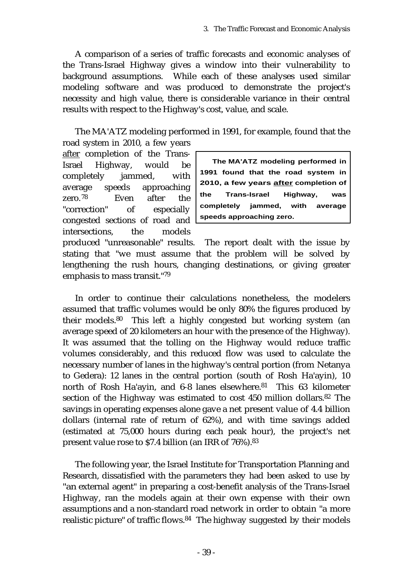A comparison of a series of traffic forecasts and economic analyses of the Trans-Israel Highway gives a window into their vulnerability to background assumptions. While each of these analyses used similar modeling software and was produced to demonstrate the project's necessity and high value, there is considerable variance in their central results with respect to the Highway's cost, value, and scale.

The MA'ATZ modeling performed in 1991, for example, found that the road system in 2010, a few years

after completion of the Trans-Israel Highway, would be completely jammed, with average speeds approaching zero.78 Even after the "correction" of especially congested sections of road and intersections, the models

**The MA'ATZ modeling performed in 1991 found that the road system in 2010, a few years after completion of the Trans-Israel Highway, was completely jammed, with average speeds approaching zero.**

produced "unreasonable" results. The report dealt with the issue by stating that "we must assume that the problem will be solved by lengthening the rush hours, changing destinations, or giving greater emphasis to mass transit."<sup>79</sup>

In order to continue their calculations nonetheless, the modelers assumed that traffic volumes would be only 80% the figures produced by their models.80 This left a highly congested but working system (an average speed of 20 kilometers an hour with the presence of the Highway). It was assumed that the tolling on the Highway would reduce traffic volumes considerably, and this reduced flow was used to calculate the necessary number of lanes in the highway's central portion (from Netanya to Gedera): 12 lanes in the central portion (south of Rosh Ha'ayin), 10 north of Rosh Ha'ayin, and 6-8 lanes elsewhere.<sup>81</sup> This 63 kilometer section of the Highway was estimated to cost 450 million dollars.<sup>82</sup> The savings in operating expenses alone gave a net present value of 4.4 billion dollars (internal rate of return of 62%), and with time savings added (estimated at 75,000 hours during each peak hour), the project's net present value rose to \$7.4 billion (an IRR of 76%).<sup>83</sup>

The following year, the Israel Institute for Transportation Planning and Research, dissatisfied with the parameters they had been asked to use by "an external agent" in preparing a cost-benefit analysis of the Trans-Israel Highway, ran the models again at their own expense with their own assumptions and a non-standard road network in order to obtain "a more realistic picture" of traffic flows.84 The highway suggested by their models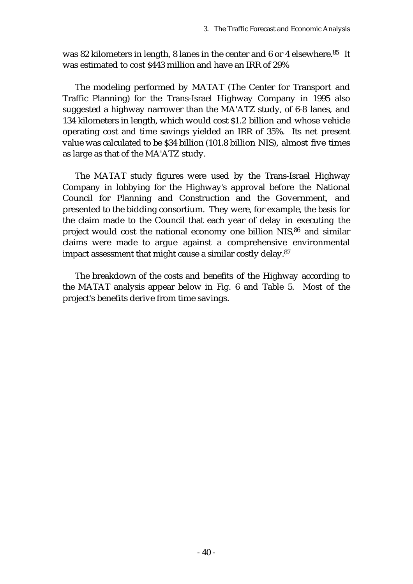was 82 kilometers in length, 8 lanes in the center and 6 or 4 elsewhere.<sup>85</sup> It was estimated to cost \$443 million and have an IRR of 29%

The modeling performed by MATAT (The Center for Transport and Traffic Planning) for the Trans-Israel Highway Company in 1995 also suggested a highway narrower than the MA'ATZ study, of 6-8 lanes, and 134 kilometers in length, which would cost \$1.2 billion and whose vehicle operating cost and time savings yielded an IRR of 35%. Its net present value was calculated to be \$34 billion (101.8 billion NIS), almost five times as large as that of the MA'ATZ study.

The MATAT study figures were used by the Trans-Israel Highway Company in lobbying for the Highway's approval before the National Council for Planning and Construction and the Government, and presented to the bidding consortium. They were, for example, the basis for the claim made to the Council that each year of delay in executing the project would cost the national economy one billion NIS,86 and similar claims were made to argue against a comprehensive environmental impact assessment that might cause a similar costly delay.<sup>87</sup>

The breakdown of the costs and benefits of the Highway according to the MATAT analysis appear below in Fig. 6 and Table 5. Most of the project's benefits derive from time savings.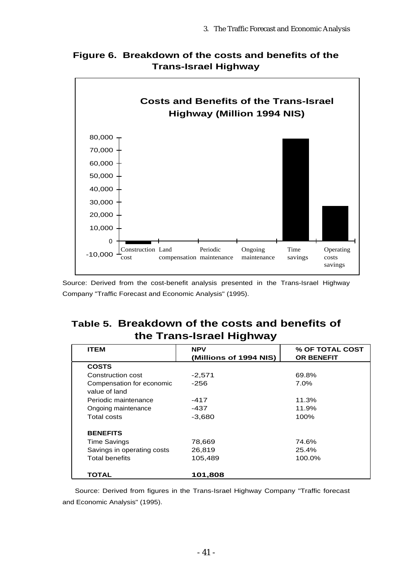



Source: Derived from the cost-benefit analysis presented in the Trans-Israel Highway Company "Traffic Forecast and Economic Analysis" (1995).

# **Table 5. Breakdown of the costs and benefits of the Trans-Israel Highway**

| <b>ITEM</b>                | <b>NPV</b>             | % OF TOTAL COST   |  |
|----------------------------|------------------------|-------------------|--|
|                            | (Millions of 1994 NIS) | <b>OR BENEFIT</b> |  |
| <b>COSTS</b>               |                        |                   |  |
| Construction cost          | $-2,571$               | 69.8%             |  |
| Compensation for economic  | $-256$                 | $7.0\%$           |  |
| value of land              |                        |                   |  |
| Periodic maintenance       | -417                   | 11.3%             |  |
| Ongoing maintenance        | -437                   | 11.9%             |  |
| Total costs                | $-3,680$               | 100%              |  |
| <b>BENEFITS</b>            |                        |                   |  |
| <b>Time Savings</b>        | 78,669                 | 74.6%             |  |
| Savings in operating costs | 26,819                 | 25.4%             |  |
| <b>Total benefits</b>      | 105,489                | 100.0%            |  |
| TOTAL                      | 101,808                |                   |  |

Source: Derived from figures in the Trans-Israel Highway Company "Traffic forecast and Economic Analysis" (1995).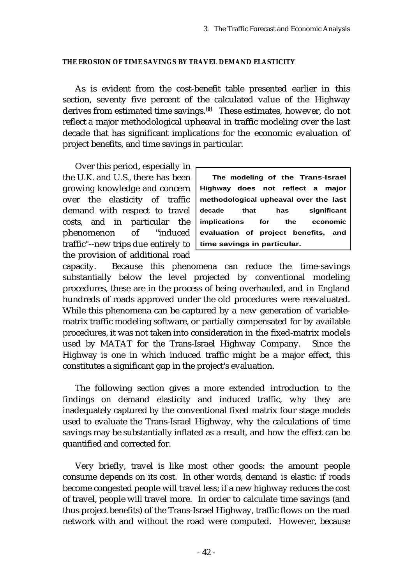#### **THE EROSION OF TIME SAVINGS BY TRAVEL DEMAND ELASTICITY**

As is evident from the cost-benefit table presented earlier in this section, seventy five percent of the calculated value of the Highway derives from estimated time savings.<sup>88</sup> These estimates, however, do not reflect a major methodological upheaval in traffic modeling over the last decade that has significant implications for the economic evaluation of project benefits, and time savings in particular.

Over this period, especially in the U.K. and U.S., there has been growing knowledge and concern over the elasticity of traffic demand with respect to travel costs, and in particular the phenomenon of "induced traffic"--new trips due entirely to the provision of additional road

**The modeling of the Trans-Israel Highway does not reflect a major methodological upheaval over the last decade that has significant implications for the economic evaluation of project benefits, and time savings in particular.**

capacity. Because this phenomena can reduce the time-savings substantially below the level projected by conventional modeling procedures, these are in the process of being overhauled, and in England hundreds of roads approved under the old procedures were reevaluated. While this phenomena can be captured by a new generation of variablematrix traffic modeling software, or partially compensated for by available procedures, it was not taken into consideration in the fixed-matrix models used by MATAT for the Trans-Israel Highway Company. Since the Highway is one in which induced traffic might be a major effect, this constitutes a significant gap in the project's evaluation.

The following section gives a more extended introduction to the findings on demand elasticity and induced traffic, why they are inadequately captured by the conventional fixed matrix four stage models used to evaluate the Trans-Israel Highway, why the calculations of time savings may be substantially inflated as a result, and how the effect can be quantified and corrected for.

Very briefly, travel is like most other goods: the amount people consume depends on its cost. In other words, demand is elastic: if roads become congested people will travel less; if a new highway reduces the cost of travel, people will travel more. In order to calculate time savings (and thus project benefits) of the Trans-Israel Highway, traffic flows on the road network with and without the road were computed. However, because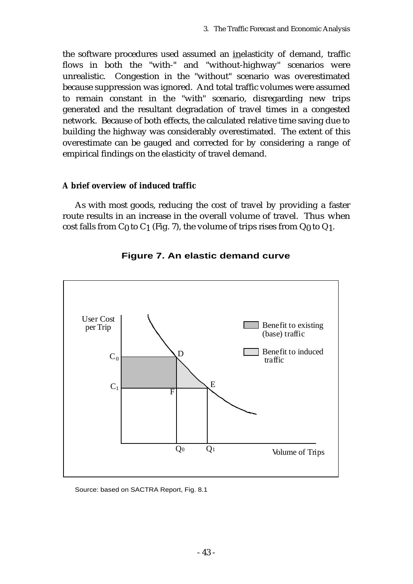the software procedures used assumed an inelasticity of demand, traffic flows in both the "with-" and "without-highway" scenarios were unrealistic. Congestion in the "without" scenario was overestimated because suppression was ignored. And total traffic volumes were assumed to remain constant in the "with" scenario, disregarding new trips generated and the resultant degradation of travel times in a congested network. Because of both effects, the calculated relative time saving due to building the highway was considerably overestimated. The extent of this overestimate can be gauged and corrected for by considering a range of empirical findings on the elasticity of travel demand.

### **A brief overview of induced traffic**

As with most goods, reducing the cost of travel by providing a faster route results in an increase in the overall volume of travel. Thus when cost falls from  $C_0$  to  $C_1$  (Fig. 7), the volume of trips rises from  $Q_0$  to  $Q_1$ .



# **Figure 7. An elastic demand curve**

Source: based on SACTRA Report, Fig. 8.1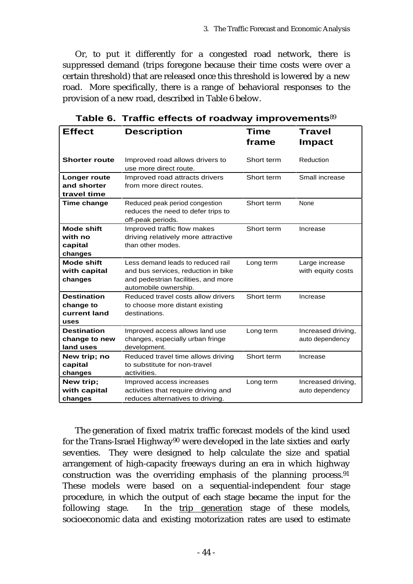Or, to put it differently for a congested road network, there is suppressed demand (trips foregone because their time costs were over a certain threshold) that are released once this threshold is lowered by a new road. More specifically, there is a range of behavioral responses to the provision of a new road, described in Table 6 below.

| <b>Effect</b>        | <b>Travel</b><br>Time               |            |                    |  |
|----------------------|-------------------------------------|------------|--------------------|--|
|                      | <b>Description</b>                  |            |                    |  |
|                      |                                     | frame      | <b>Impact</b>      |  |
|                      |                                     |            |                    |  |
| <b>Shorter route</b> | Improved road allows drivers to     | Short term | Reduction          |  |
|                      | use more direct route.              |            |                    |  |
| Longer route         | Improved road attracts drivers      | Short term | Small increase     |  |
| and shorter          | from more direct routes.            |            |                    |  |
| travel time          |                                     |            |                    |  |
| Time change          | Reduced peak period congestion      | Short term | None               |  |
|                      | reduces the need to defer trips to  |            |                    |  |
|                      | off-peak periods.                   |            |                    |  |
| <b>Mode shift</b>    | Improved traffic flow makes         | Short term | Increase           |  |
| with no              | driving relatively more attractive  |            |                    |  |
| capital              | than other modes.                   |            |                    |  |
| changes              |                                     |            |                    |  |
| <b>Mode shift</b>    | Less demand leads to reduced rail   | Long term  | Large increase     |  |
| with capital         | and bus services, reduction in bike |            | with equity costs  |  |
| changes              | and pedestrian facilities, and more |            |                    |  |
|                      | automobile ownership.               |            |                    |  |
| <b>Destination</b>   | Reduced travel costs allow drivers  | Short term | Increase           |  |
| change to            | to choose more distant existing     |            |                    |  |
| current land         | destinations.                       |            |                    |  |
| uses                 |                                     |            |                    |  |
| <b>Destination</b>   | Improved access allows land use     | Long term  | Increased driving, |  |
| change to new        | changes, especially urban fringe    |            | auto dependency    |  |
| land uses            | development.                        |            |                    |  |
| New trip; no         | Reduced travel time allows driving  | Short term | Increase           |  |
| capital              | to substitute for non-travel        |            |                    |  |
| changes              | activities.                         |            |                    |  |
| New trip;            | Improved access increases           | Long term  | Increased driving, |  |
| with capital         | activities that require driving and |            | auto dependency    |  |
| changes              | reduces alternatives to driving.    |            |                    |  |

**Table 6. Traffic effects of roadway improvements**<sup>89</sup>

The generation of fixed matrix traffic forecast models of the kind used for the Trans-Israel Highway90 were developed in the late sixties and early seventies. They were designed to help calculate the size and spatial arrangement of high-capacity freeways during an era in which highway construction was the overriding emphasis of the planning process.<sup>91</sup> These models were based on a sequential-independent four stage procedure, in which the output of each stage became the input for the following stage. In the trip generation stage of these models, socioeconomic data and existing motorization rates are used to estimate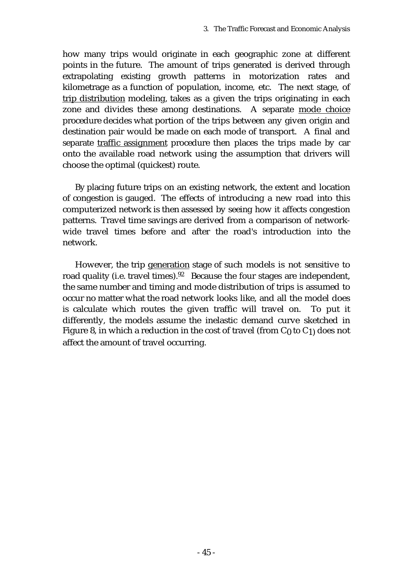how many trips would originate in each geographic zone at different points in the future. The amount of trips generated is derived through extrapolating existing growth patterns in motorization rates and kilometrage as a function of population, income, etc. The next stage, of trip distribution modeling, takes as a given the trips originating in each zone and divides these among destinations. A separate mode choice procedure decides what portion of the trips between any given origin and destination pair would be made on each mode of transport. A final and separate traffic assignment procedure then places the trips made by car onto the available road network using the assumption that drivers will choose the optimal (quickest) route.

By placing future trips on an existing network, the extent and location of congestion is gauged. The effects of introducing a new road into this computerized network is then assessed by seeing how it affects congestion patterns. Travel time savings are derived from a comparison of networkwide travel times before and after the road's introduction into the network.

However, the trip generation stage of such models is not sensitive to road quality (i.e. travel times).<sup>92</sup> Because the four stages are independent, the same number and timing and mode distribution of trips is assumed to occur no matter what the road network looks like, and all the model does is calculate which routes the given traffic will travel on. To put it differently, the models assume the inelastic demand curve sketched in Figure 8, in which a reduction in the cost of travel (from  $C_0$  to  $C_1$ ) does not affect the amount of travel occurring.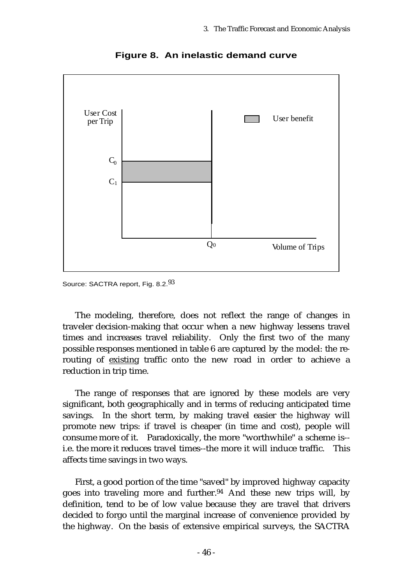

**Figure 8. An inelastic demand curve**

Source: SACTRA report, Fig. 8.2.93

The modeling, therefore, does not reflect the range of changes in traveler decision-making that occur when a new highway lessens travel times and increases travel reliability. Only the first two of the many possible responses mentioned in table 6 are captured by the model: the rerouting of existing traffic onto the new road in order to achieve a reduction in trip time.

The range of responses that are ignored by these models are very significant, both geographically and in terms of reducing anticipated time savings. In the short term, by making travel easier the highway will promote new trips: if travel is cheaper (in time and cost), people will consume more of it. Paradoxically, the more "worthwhile" a scheme is- i.e. the more it reduces travel times--the more it will induce traffic. This affects time savings in two ways.

First, a good portion of the time "saved" by improved highway capacity goes into traveling more and further.94 And these new trips will, by definition, tend to be of low value because they are travel that drivers decided to forgo until the marginal increase of convenience provided by the highway. On the basis of extensive empirical surveys, the SACTRA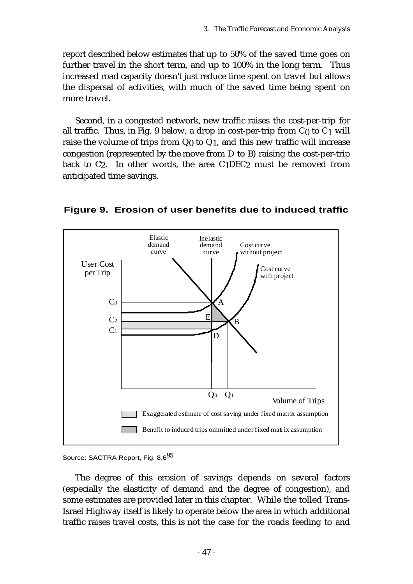report described below estimates that up to 50% of the saved time goes on further travel in the short term, and up to 100% in the long term. Thus increased road capacity doesn't just reduce time spent on travel but allows the dispersal of activities, with much of the saved time being spent on more travel.

Second, in a congested network, new traffic raises the cost-per-trip for all traffic. Thus, in Fig. 9 below, a drop in cost-per-trip from  $C_0$  to  $C_1$  will raise the volume of trips from  $Q_0$  to  $Q_1$ , and this new traffic will increase congestion (represented by the move from D to B) raising the cost-per-trip back to  $C_2$ . In other words, the area  $C_1$ DEC<sub>2</sub> must be removed from anticipated time savings.



**Figure 9. Erosion of user benefits due to induced traffic**

#### Source: SACTRA Report, Fig. 8.6<sup>95</sup>

The degree of this erosion of savings depends on several factors (especially the elasticity of demand and the degree of congestion), and some estimates are provided later in this chapter. While the tolled Trans-Israel Highway itself is likely to operate below the area in which additional traffic raises travel costs, this is not the case for the roads feeding to and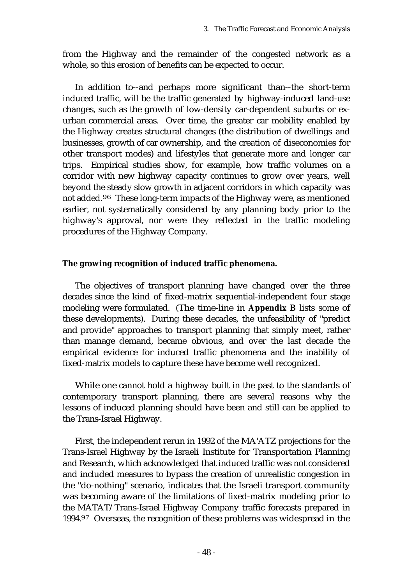from the Highway and the remainder of the congested network as a whole, so this erosion of benefits can be expected to occur.

In addition to--and perhaps more significant than--the short-term induced traffic, will be the traffic generated by highway-induced land-use changes, such as the growth of low-density car-dependent suburbs or exurban commercial areas. Over time, the greater car mobility enabled by the Highway creates structural changes (the distribution of dwellings and businesses, growth of car ownership, and the creation of diseconomies for other transport modes) and lifestyles that generate more and longer car trips. Empirical studies show, for example, how traffic volumes on a corridor with new highway capacity continues to grow over years, well beyond the steady slow growth in adjacent corridors in which capacity was not added.96 These long-term impacts of the Highway were, as mentioned earlier, not systematically considered by any planning body prior to the highway's approval, nor were they reflected in the traffic modeling procedures of the Highway Company.

### **The growing recognition of induced traffic phenomena.**

The objectives of transport planning have changed over the three decades since the kind of fixed-matrix sequential-independent four stage modeling were formulated. (The time-line in **Appendix B** lists some of these developments). During these decades, the unfeasibility of "predict and provide" approaches to transport planning that simply meet, rather than manage demand, became obvious, and over the last decade the empirical evidence for induced traffic phenomena and the inability of fixed-matrix models to capture these have become well recognized.

While one cannot hold a highway built in the past to the standards of contemporary transport planning, there are several reasons why the lessons of induced planning should have been and still can be applied to the Trans-Israel Highway.

First, the independent rerun in 1992 of the MA'ATZ projections for the Trans-Israel Highway by the Israeli Institute for Transportation Planning and Research, which acknowledged that induced traffic was not considered and included measures to bypass the creation of unrealistic congestion in the "do-nothing" scenario, indicates that the Israeli transport community was becoming aware of the limitations of fixed-matrix modeling prior to the MATAT/Trans-Israel Highway Company traffic forecasts prepared in 1994.97 Overseas, the recognition of these problems was widespread in the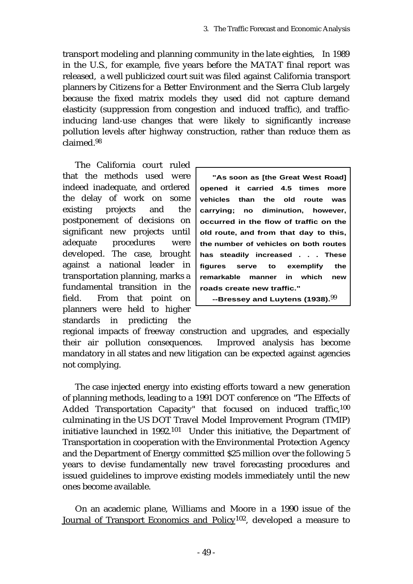transport modeling and planning community in the late eighties, In 1989 in the U.S., for example, five years before the MATAT final report was released, a well publicized court suit was filed against California transport planners by Citizens for a Better Environment and the Sierra Club largely because the fixed matrix models they used did not capture demand elasticity (suppression from congestion and induced traffic), and trafficinducing land-use changes that were likely to significantly increase pollution levels after highway construction, rather than reduce them as claimed.<sup>98</sup>

The California court ruled that the methods used were indeed inadequate, and ordered the delay of work on some existing projects and the postponement of decisions on significant new projects until adequate procedures were developed. The case, brought against a national leader in transportation planning, marks a fundamental transition in the field. From that point on planners were held to higher standards in predicting the

**"As soon as [the Great West Road] opened it carried 4.5 times more vehicles than the old route was carrying; no diminution, however, occurred in the flow of traffic on the old route, and from that day to this, the number of vehicles on both routes has steadily increased . . . These figures serve to exemplify the remarkable manner in which new roads create new traffic."**

**--Bressey and Luytens (1938).**99

regional impacts of freeway construction and upgrades, and especially their air pollution consequences. Improved analysis has become mandatory in all states and new litigation can be expected against agencies not complying.

The case injected energy into existing efforts toward a new generation of planning methods, leading to a 1991 DOT conference on "The Effects of Added Transportation Capacity" that focused on induced traffic,100 culminating in the US DOT Travel Model Improvement Program (TMIP) initiative launched in 1992.101 Under this initiative, the Department of Transportation in cooperation with the Environmental Protection Agency and the Department of Energy committed \$25 million over the following 5 years to devise fundamentally new travel forecasting procedures and issued guidelines to improve existing models immediately until the new ones become available.

On an academic plane, Williams and Moore in a 1990 issue of the Journal of Transport Economics and Policy102, developed a measure to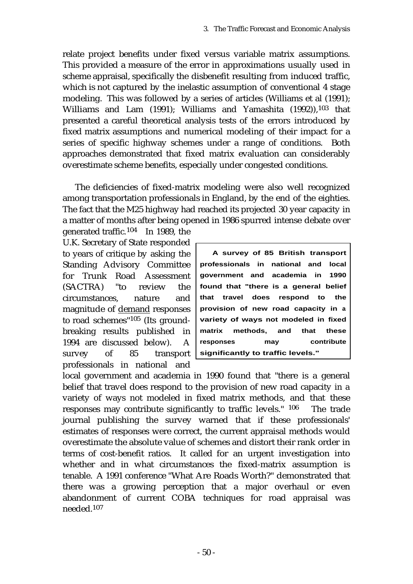relate project benefits under fixed versus variable matrix assumptions. This provided a measure of the error in approximations usually used in scheme appraisal, specifically the disbenefit resulting from induced traffic, which is not captured by the inelastic assumption of conventional 4 stage modeling. This was followed by a series of articles (Williams et al (1991); Williams and Lam (1991); Williams and Yamashita (1992)),<sup>103</sup> that presented a careful theoretical analysis tests of the errors introduced by fixed matrix assumptions and numerical modeling of their impact for a series of specific highway schemes under a range of conditions. Both approaches demonstrated that fixed matrix evaluation can considerably overestimate scheme benefits, especially under congested conditions.

The deficiencies of fixed-matrix modeling were also well recognized among transportation professionals in England, by the end of the eighties. The fact that the M25 highway had reached its projected 30 year capacity in a matter of months after being opened in 1986 spurred intense debate over

generated traffic.104 In 1989, the U.K. Secretary of State responded to years of critique by asking the Standing Advisory Committee for Trunk Road Assessment (SACTRA) "to review the circumstances, nature and magnitude of demand responses to road schemes"105 (Its groundbreaking results published in 1994 are discussed below). A survey of 85 transport professionals in national and

**A survey of 85 British transport professionals in national and local government and academia in 1990 found that "there is a general belief that travel does respond to the provision of new road capacity in a variety of ways not modeled in fixed matrix methods, and that these responses may contribute significantly to traffic levels."**

local government and academia in 1990 found that "there is a general belief that travel does respond to the provision of new road capacity in a variety of ways not modeled in fixed matrix methods, and that these responses may contribute significantly to traffic levels." 106 The trade journal publishing the survey warned that if these professionals' estimates of responses were correct, the current appraisal methods would overestimate the absolute value of schemes and distort their rank order in terms of cost-benefit ratios. It called for an urgent investigation into whether and in what circumstances the fixed-matrix assumption is tenable. A 1991 conference "What Are Roads Worth?" demonstrated that there was a growing perception that a major overhaul or even abandonment of current COBA techniques for road appraisal was needed.107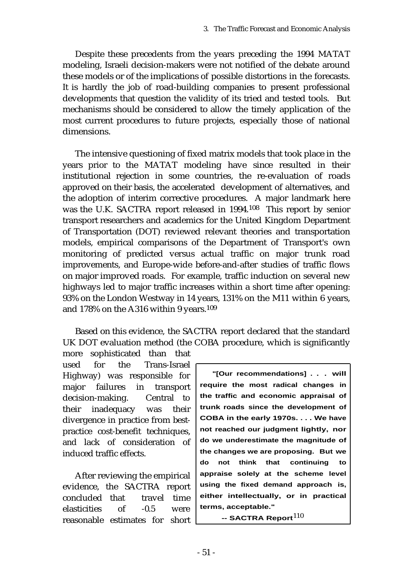Despite these precedents from the years preceding the 1994 MATAT modeling, Israeli decision-makers were not notified of the debate around these models or of the implications of possible distortions in the forecasts. It is hardly the job of road-building companies to present professional developments that question the validity of its tried and tested tools. But mechanisms should be considered to allow the timely application of the most current procedures to future projects, especially those of national dimensions.

The intensive questioning of fixed matrix models that took place in the years prior to the MATAT modeling have since resulted in their institutional rejection in some countries, the re-evaluation of roads approved on their basis, the accelerated development of alternatives, and the adoption of interim corrective procedures. A major landmark here was the U.K. SACTRA report released in 1994.108 This report by senior transport researchers and academics for the United Kingdom Department of Transportation (DOT) reviewed relevant theories and transportation models, empirical comparisons of the Department of Transport's own monitoring of predicted versus actual traffic on major trunk road improvements, and Europe-wide before-and-after studies of traffic flows on major improved roads. For example, traffic induction on several new highways led to major traffic increases within a short time after opening: 93% on the London Westway in 14 years, 131% on the M11 within 6 years, and 178% on the A316 within 9 years.109

Based on this evidence, the SACTRA report declared that the standard UK DOT evaluation method (the COBA procedure, which is significantly

more sophisticated than that used for the Trans-Israel Highway) was responsible for major failures in transport decision-making. Central to their inadequacy was their divergence in practice from bestpractice cost-benefit techniques, and lack of consideration of induced traffic effects.

After reviewing the empirical evidence, the SACTRA report concluded that travel time elasticities of -0.5 were reasonable estimates for short

**"[Our recommendations] . . . will require the most radical changes in the traffic and economic appraisal of trunk roads since the development of COBA in the early 1970s. . . . We have not reached our judgment lightly, nor do we underestimate the magnitude of the changes we are proposing. But we do not think that continuing to appraise solely at the scheme level using the fixed demand approach is, either intellectually, or in practical terms, acceptable."**

 **-- SACTRA Report**110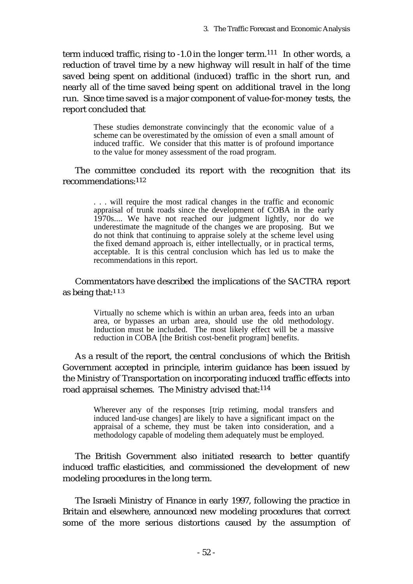term induced traffic, rising to -1.0 in the longer term.111 In other words, a reduction of travel time by a new highway will result in half of the time saved being spent on additional (induced) traffic in the short run, and nearly all of the time saved being spent on additional travel in the long run. Since time saved is a major component of value-for-money tests, the report concluded that

> These studies demonstrate convincingly that the economic value of a scheme can be overestimated by the omission of even a small amount of induced traffic. We consider that this matter is of profound importance to the value for money assessment of the road program.

The committee concluded its report with the recognition that its recommendations:112

> . . . will require the most radical changes in the traffic and economic appraisal of trunk roads since the development of COBA in the early 1970s.... We have not reached our judgment lightly, nor do we underestimate the magnitude of the changes we are proposing. But we do not think that continuing to appraise solely at the scheme level using the fixed demand approach is, either intellectually, or in practical terms, acceptable. It is this central conclusion which has led us to make the recommendations in this report.

Commentators have described the implications of the SACTRA report as being that: $113$ 

> Virtually no scheme which is within an urban area, feeds into an urban area, or bypasses an urban area, should use the old methodology. Induction must be included. The most likely effect will be a massive reduction in COBA [the British cost-benefit program] benefits.

As a result of the report, the central conclusions of which the British Government accepted in principle, interim guidance has been issued by the Ministry of Transportation on incorporating induced traffic effects into road appraisal schemes. The Ministry advised that:114

> Wherever any of the responses [trip retiming, modal transfers and induced land-use changes] are likely to have a significant impact on the appraisal of a scheme, they must be taken into consideration, and a methodology capable of modeling them adequately must be employed.

The British Government also initiated research to better quantify induced traffic elasticities, and commissioned the development of new modeling procedures in the long term.

The Israeli Ministry of Finance in early 1997, following the practice in Britain and elsewhere, announced new modeling procedures that correct some of the more serious distortions caused by the assumption of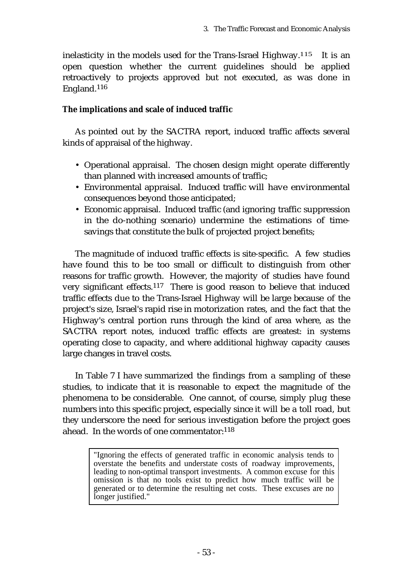inelasticity in the models used for the Trans-Israel Highway.<sup>115</sup> It is an open question whether the current guidelines should be applied retroactively to projects approved but not executed, as was done in England.116

# **The implications and scale of induced traffic**

As pointed out by the SACTRA report, induced traffic affects several kinds of appraisal of the highway.

- Operational appraisal. The chosen design might operate differently than planned with increased amounts of traffic;
- Environmental appraisal. Induced traffic will have environmental consequences beyond those anticipated;
- Economic appraisal. Induced traffic (and ignoring traffic suppression in the do-nothing scenario) undermine the estimations of timesavings that constitute the bulk of projected project benefits;

The magnitude of induced traffic effects is site-specific. A few studies have found this to be too small or difficult to distinguish from other reasons for traffic growth. However, the majority of studies have found very significant effects.117 There is good reason to believe that induced traffic effects due to the Trans-Israel Highway will be large because of the project's size, Israel's rapid rise in motorization rates, and the fact that the Highway's central portion runs through the kind of area where, as the SACTRA report notes, induced traffic effects are greatest: in systems operating close to capacity, and where additional highway capacity causes large changes in travel costs.

In Table 7 I have summarized the findings from a sampling of these studies, to indicate that it is reasonable to expect the magnitude of the phenomena to be considerable. One cannot, of course, simply plug these numbers into this specific project, especially since it will be a toll road, but they underscore the need for serious investigation before the project goes ahead. In the words of one commentator:118

> "Ignoring the effects of generated traffic in economic analysis tends to overstate the benefits and understate costs of roadway improvements, leading to non-optimal transport investments. A common excuse for this omission is that no tools exist to predict how much traffic will be generated or to determine the resulting net costs. These excuses are no longer justified."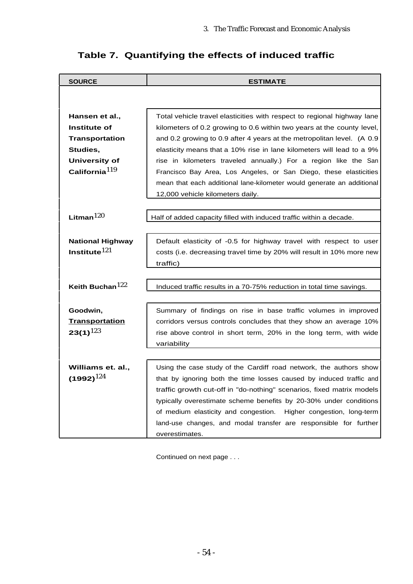| <b>SOURCE</b>                  | <b>ESTIMATE</b>                                                                                                                                                                                                |  |  |  |
|--------------------------------|----------------------------------------------------------------------------------------------------------------------------------------------------------------------------------------------------------------|--|--|--|
|                                |                                                                                                                                                                                                                |  |  |  |
|                                |                                                                                                                                                                                                                |  |  |  |
| Hansen et al.,<br>Institute of | Total vehicle travel elasticities with respect to regional highway lane<br>kilometers of 0.2 growing to 0.6 within two years at the county level,                                                              |  |  |  |
| <b>Transportation</b>          | and 0.2 growing to 0.9 after 4 years at the metropolitan level. (A 0.9                                                                                                                                         |  |  |  |
| Studies,                       | elasticity means that a 10% rise in lane kilometers will lead to a 9%<br>rise in kilometers traveled annually.) For a region like the San<br>Francisco Bay Area, Los Angeles, or San Diego, these elasticities |  |  |  |
| <b>University of</b>           |                                                                                                                                                                                                                |  |  |  |
| California $119$               |                                                                                                                                                                                                                |  |  |  |
|                                | mean that each additional lane-kilometer would generate an additional                                                                                                                                          |  |  |  |
|                                | 12,000 vehicle kilometers daily.                                                                                                                                                                               |  |  |  |
|                                |                                                                                                                                                                                                                |  |  |  |
| Litman $120$                   | Half of added capacity filled with induced traffic within a decade.                                                                                                                                            |  |  |  |
|                                |                                                                                                                                                                                                                |  |  |  |
| <b>National Highway</b>        | Default elasticity of -0.5 for highway travel with respect to user                                                                                                                                             |  |  |  |
| Institute $121$                | costs (i.e. decreasing travel time by 20% will result in 10% more new                                                                                                                                          |  |  |  |
|                                | traffic)                                                                                                                                                                                                       |  |  |  |
|                                |                                                                                                                                                                                                                |  |  |  |
| Keith Buchan <sup>122</sup>    | Induced traffic results in a 70-75% reduction in total time savings.                                                                                                                                           |  |  |  |
|                                |                                                                                                                                                                                                                |  |  |  |
| Goodwin,                       | Summary of findings on rise in base traffic volumes in improved                                                                                                                                                |  |  |  |
| <b>Transportation</b>          | corridors versus controls concludes that they show an average 10%                                                                                                                                              |  |  |  |
| $23(1)^{123}$                  | rise above control in short term, 20% in the long term, with wide                                                                                                                                              |  |  |  |
|                                | variability                                                                                                                                                                                                    |  |  |  |
|                                |                                                                                                                                                                                                                |  |  |  |
| Williams et. al.,              | Using the case study of the Cardiff road network, the authors show                                                                                                                                             |  |  |  |
| (1992) $^{124}$                | that by ignoring both the time losses caused by induced traffic and                                                                                                                                            |  |  |  |
|                                | traffic growth cut-off in "do-nothing" scenarios, fixed matrix models                                                                                                                                          |  |  |  |
|                                | typically overestimate scheme benefits by 20-30% under conditions                                                                                                                                              |  |  |  |
|                                | of medium elasticity and congestion.<br>Higher congestion, long-term                                                                                                                                           |  |  |  |
|                                | land-use changes, and modal transfer are responsible for further                                                                                                                                               |  |  |  |
|                                | overestimates.                                                                                                                                                                                                 |  |  |  |

# **Table 7. Quantifying the effects of induced traffic**

Continued on next page . . .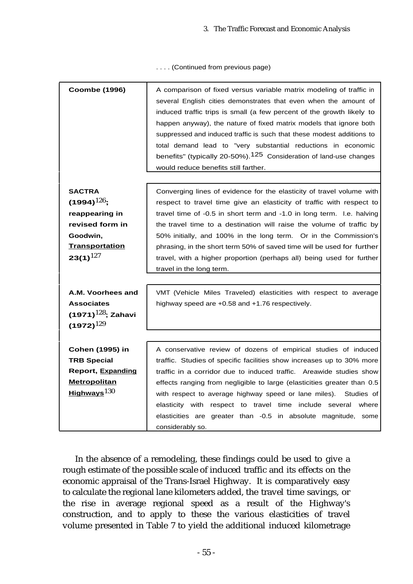. . . . (Continued from previous page)

| <b>Coombe (1996)</b>                                                                                                         | A comparison of fixed versus variable matrix modeling of traffic in<br>several English cities demonstrates that even when the amount of<br>induced traffic trips is small (a few percent of the growth likely to<br>happen anyway), the nature of fixed matrix models that ignore both<br>suppressed and induced traffic is such that these modest additions to<br>total demand lead to "very substantial reductions in economic<br>benefits" (typically 20-50%). <sup>125</sup> Consideration of land-use changes<br>would reduce benefits still farther. |  |  |
|------------------------------------------------------------------------------------------------------------------------------|------------------------------------------------------------------------------------------------------------------------------------------------------------------------------------------------------------------------------------------------------------------------------------------------------------------------------------------------------------------------------------------------------------------------------------------------------------------------------------------------------------------------------------------------------------|--|--|
| <b>SACTRA</b><br>$(1994)^{126}$ ;<br>reappearing in<br>revised form in<br>Goodwin,<br><b>Transportation</b><br>$23(1)^{127}$ | Converging lines of evidence for the elasticity of travel volume with<br>respect to travel time give an elasticity of traffic with respect to<br>travel time of -0.5 in short term and -1.0 in long term. I.e. halving<br>the travel time to a destination will raise the volume of traffic by<br>50% initially, and 100% in the long term. Or in the Commission's<br>phrasing, in the short term 50% of saved time will be used for further<br>travel, with a higher proportion (perhaps all) being used for further<br>travel in the long term.          |  |  |
| A.M. Voorhees and<br><b>Associates</b><br>(1971) $^{128}$ ; Zahavi<br>$(1972)^{129}$                                         | VMT (Vehicle Miles Traveled) elasticities with respect to average<br>highway speed are +0.58 and +1.76 respectively.                                                                                                                                                                                                                                                                                                                                                                                                                                       |  |  |
| <b>Cohen (1995) in</b><br><b>TRB Special</b><br><b>Report, Expanding</b><br><b>Metropolitan</b><br>Highways $130$            | A conservative review of dozens of empirical studies of induced<br>traffic. Studies of specific facilities show increases up to 30% more<br>traffic in a corridor due to induced traffic. Areawide studies show<br>effects ranging from negligible to large (elasticities greater than 0.5<br>with respect to average highway speed or lane miles).<br>Studies of<br>respect to travel time include several<br>elasticity with<br>where<br>elasticities are greater than -0.5 in absolute magnitude, some<br>considerably so.                              |  |  |

In the absence of a remodeling, these findings could be used to give a rough estimate of the possible scale of induced traffic and its effects on the economic appraisal of the Trans-Israel Highway. It is comparatively easy to calculate the regional lane kilometers added, the travel time savings, or the rise in average regional speed as a result of the Highway's construction, and to apply to these the various elasticities of travel volume presented in Table 7 to yield the additional induced kilometrage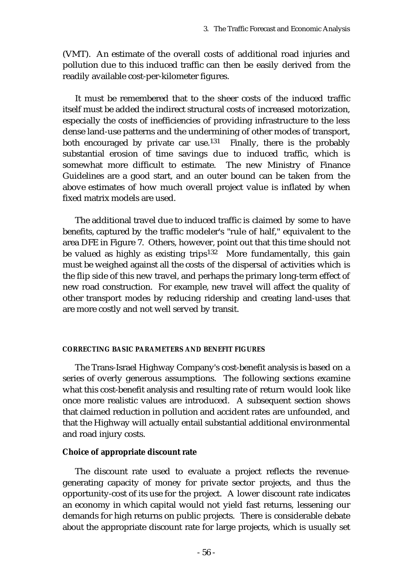(VMT). An estimate of the overall costs of additional road injuries and pollution due to this induced traffic can then be easily derived from the readily available cost-per-kilometer figures.

It must be remembered that to the sheer costs of the induced traffic itself must be added the indirect structural costs of increased motorization, especially the costs of inefficiencies of providing infrastructure to the less dense land-use patterns and the undermining of other modes of transport, both encouraged by private car use.<sup>131</sup> Finally, there is the probably substantial erosion of time savings due to induced traffic, which is somewhat more difficult to estimate. The new Ministry of Finance Guidelines are a good start, and an outer bound can be taken from the above estimates of how much overall project value is inflated by when fixed matrix models are used.

The additional travel due to induced traffic is claimed by some to have benefits, captured by the traffic modeler's "rule of half," equivalent to the area DFE in Figure 7. Others, however, point out that this time should not be valued as highly as existing trips<sup>132</sup> More fundamentally, this gain must be weighed against all the costs of the dispersal of activities which is the flip side of this new travel, and perhaps the primary long-term effect of new road construction. For example, new travel will affect the quality of other transport modes by reducing ridership and creating land-uses that are more costly and not well served by transit.

### **CORRECTING BASIC PARAMETERS AND BENEFIT FIGURES**

The Trans-Israel Highway Company's cost-benefit analysis is based on a series of overly generous assumptions. The following sections examine what this cost-benefit analysis and resulting rate of return would look like once more realistic values are introduced. A subsequent section shows that claimed reduction in pollution and accident rates are unfounded, and that the Highway will actually entail substantial additional environmental and road injury costs.

# **Choice of appropriate discount rate**

The discount rate used to evaluate a project reflects the revenuegenerating capacity of money for private sector projects, and thus the opportunity-cost of its use for the project. A lower discount rate indicates an economy in which capital would not yield fast returns, lessening our demands for high returns on public projects. There is considerable debate about the appropriate discount rate for large projects, which is usually set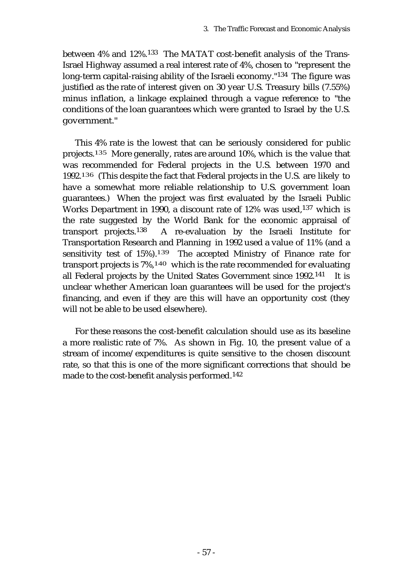between 4% and 12%.133 The MATAT cost-benefit analysis of the Trans-Israel Highway assumed a real interest rate of 4%, chosen to "represent the long-term capital-raising ability of the Israeli economy."134 The figure was justified as the rate of interest given on 30 year U.S. Treasury bills (7.55%) minus inflation, a linkage explained through a vague reference to "the conditions of the loan guarantees which were granted to Israel by the U.S. government."

This 4% rate is the lowest that can be seriously considered for public projects.135 More generally, rates are around 10%, which is the value that was recommended for Federal projects in the U.S. between 1970 and 1992.136 (This despite the fact that Federal projects in the U.S. are likely to have a somewhat more reliable relationship to U.S. government loan guarantees.) When the project was first evaluated by the Israeli Public Works Department in 1990, a discount rate of 12% was used,137 which is the rate suggested by the World Bank for the economic appraisal of transport projects.138 A re-evaluation by the Israeli Institute for Transportation Research and Planning in 1992 used a value of 11% (and a sensitivity test of 15%).139 The accepted Ministry of Finance rate for transport projects is 7%,140 which is the rate recommended for evaluating all Federal projects by the United States Government since 1992.141 It is unclear whether American loan guarantees will be used for the project's financing, and even if they are this will have an opportunity cost (they will not be able to be used elsewhere).

For these reasons the cost-benefit calculation should use as its baseline a more realistic rate of 7%. As shown in Fig. 10, the present value of a stream of income/expenditures is quite sensitive to the chosen discount rate, so that this is one of the more significant corrections that should be made to the cost-benefit analysis performed.142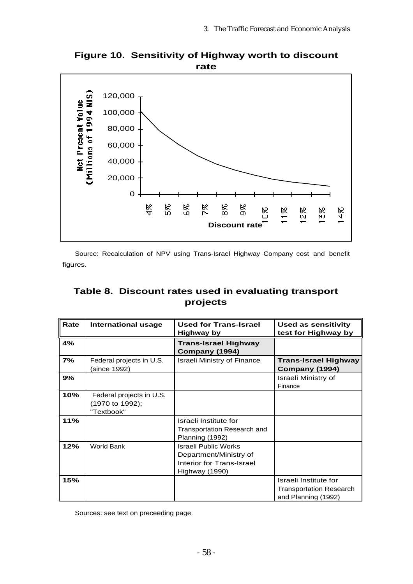

**Figure 10. Sensitivity of Highway worth to discount rate**

Source: Recalculation of NPV using Trans-Israel Highway Company cost and benefit figures.

# **Table 8. Discount rates used in evaluating transport projects**

| Rate | International usage                                       | <b>Used for Trans-Israel</b><br>Highway by                                                    | <b>Used as sensitivity</b><br>test for Highway by                              |
|------|-----------------------------------------------------------|-----------------------------------------------------------------------------------------------|--------------------------------------------------------------------------------|
| 4%   |                                                           | <b>Trans-Israel Highway</b><br>Company (1994)                                                 |                                                                                |
| 7%   | Federal projects in U.S.<br>(since 1992)                  | <b>Israeli Ministry of Finance</b>                                                            | <b>Trans-Israel Highway</b><br>Company (1994)                                  |
| 9%   |                                                           |                                                                                               | Israeli Ministry of<br>Finance                                                 |
| 10%  | Federal projects in U.S.<br>(1970 to 1992);<br>"Textbook" |                                                                                               |                                                                                |
| 11%  |                                                           | Israeli Institute for<br>Transportation Research and<br>Planning (1992)                       |                                                                                |
| 12%  | <b>World Bank</b>                                         | Israeli Public Works<br>Department/Ministry of<br>Interior for Trans-Israel<br>Highway (1990) |                                                                                |
| 15%  |                                                           |                                                                                               | Israeli Institute for<br><b>Transportation Research</b><br>and Planning (1992) |

Sources: see text on preceeding page.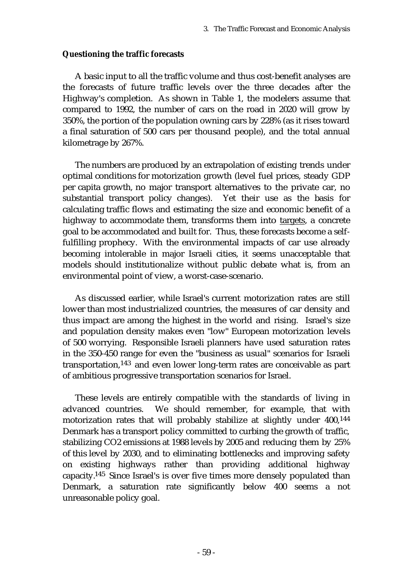### **Questioning the traffic forecasts**

A basic input to all the traffic volume and thus cost-benefit analyses are the forecasts of future traffic levels over the three decades after the Highway's completion. As shown in Table 1, the modelers assume that compared to 1992, the number of cars on the road in 2020 will grow by 350%, the portion of the population owning cars by 228% (as it rises toward a final saturation of 500 cars per thousand people), and the total annual kilometrage by 267%.

The numbers are produced by an extrapolation of existing trends under optimal conditions for motorization growth (level fuel prices, steady GDP per capita growth, no major transport alternatives to the private car, no substantial transport policy changes). Yet their use as the basis for calculating traffic flows and estimating the size and economic benefit of a highway to accommodate them, transforms them into targets, a concrete goal to be accommodated and built for. Thus, these forecasts become a selffulfilling prophecy. With the environmental impacts of car use already becoming intolerable in major Israeli cities, it seems unacceptable that models should institutionalize without public debate what is, from an environmental point of view, a worst-case-scenario.

As discussed earlier, while Israel's current motorization rates are still lower than most industrialized countries, the measures of car density and thus impact are among the highest in the world and rising. Israel's size and population density makes even "low" European motorization levels of 500 worrying. Responsible Israeli planners have used saturation rates in the 350-450 range for even the "business as usual" scenarios for Israeli transportation,143 and even lower long-term rates are conceivable as part of ambitious progressive transportation scenarios for Israel.

These levels are entirely compatible with the standards of living in advanced countries. We should remember, for example, that with motorization rates that will probably stabilize at slightly under 400,144 Denmark has a transport policy committed to curbing the growth of traffic, stabilizing CO2 emissions at 1988 levels by 2005 and reducing them by 25% of this level by 2030, and to eliminating bottlenecks and improving safety on existing highways rather than providing additional highway capacity.145 Since Israel's is over five times more densely populated than Denmark, a saturation rate significantly below 400 seems a not unreasonable policy goal.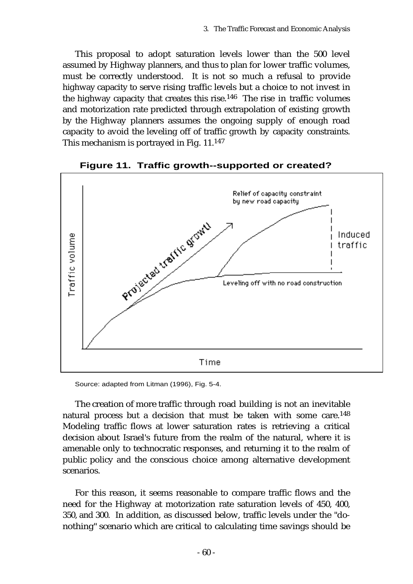This proposal to adopt saturation levels lower than the 500 level assumed by Highway planners, and thus to plan for lower traffic volumes, must be correctly understood. It is not so much a refusal to provide highway capacity to serve rising traffic levels but a choice to not invest in the highway capacity that creates this rise.<sup>146</sup> The rise in traffic volumes and motorization rate predicted through extrapolation of existing growth by the Highway planners assumes the ongoing supply of enough road capacity to avoid the leveling off of traffic growth by capacity constraints. This mechanism is portrayed in Fig. 11.147



**Figure 11. Traffic growth--supported or created?**

Source: adapted from Litman (1996), Fig. 5-4.

The creation of more traffic through road building is not an inevitable natural process but a decision that must be taken with some care.148 Modeling traffic flows at lower saturation rates is retrieving a critical decision about Israel's future from the realm of the natural, where it is amenable only to technocratic responses, and returning it to the realm of public policy and the conscious choice among alternative development scenarios.

For this reason, it seems reasonable to compare traffic flows and the need for the Highway at motorization rate saturation levels of 450, 400, 350, and 300. In addition, as discussed below, traffic levels under the "donothing" scenario which are critical to calculating time savings should be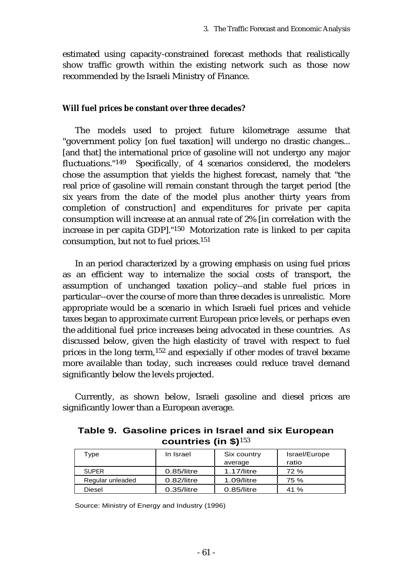estimated using capacity-constrained forecast methods that realistically show traffic growth within the existing network such as those now recommended by the Israeli Ministry of Finance.

## **Will fuel prices be constant over three decades?**

The models used to project future kilometrage assume that "government policy [on fuel taxation] will undergo no drastic changes... [and that] the international price of gasoline will not undergo any major fluctuations."149 Specifically, of 4 scenarios considered, the modelers chose the assumption that yields the highest forecast, namely that "the real price of gasoline will remain constant through the target period [the six years from the date of the model plus another thirty years from completion of construction] and expenditures for private per capita consumption will increase at an annual rate of 2% [in correlation with the increase in per capita GDP]."150 Motorization rate is linked to per capita consumption, but not to fuel prices.151

In an period characterized by a growing emphasis on using fuel prices as an efficient way to internalize the social costs of transport, the assumption of unchanged taxation policy--and stable fuel prices in particular--over the course of more than three decades is unrealistic. More appropriate would be a scenario in which Israeli fuel prices and vehicle taxes began to approximate current European price levels, or perhaps even the additional fuel price increases being advocated in these countries. As discussed below, given the high elasticity of travel with respect to fuel prices in the long term,152 and especially if other modes of travel became more available than today, such increases could reduce travel demand significantly below the levels projected.

Currently, as shown below, Israeli gasoline and diesel prices are significantly lower than a European average.

**Table 9. Gasoline prices in Israel and six European countries (in \$)**<sup>153</sup>

| Type             | In Israel     | Six country   | Israel/Europe |
|------------------|---------------|---------------|---------------|
|                  |               | average       | ratio         |
| <b>SUPER</b>     | $0.85$ /litre | $1.17$ /litre | 72 %          |
| Regular unleaded | $0.82$ /litre | 1.09/litre    | 75 %          |
| <b>Diesel</b>    | $0.35$ /litre | $0.85$ /litre | 41%           |

Source: Ministry of Energy and Industry (1996)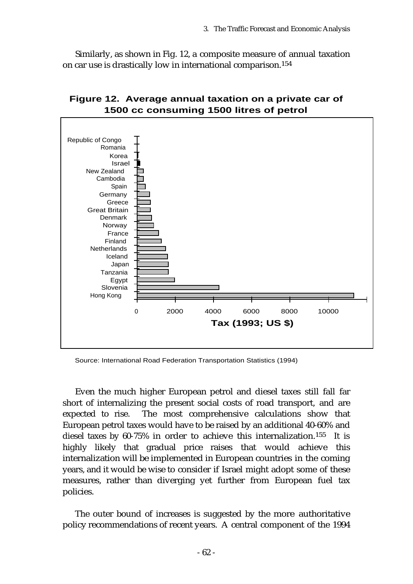Similarly, as shown in Fig. 12, a composite measure of annual taxation on car use is drastically low in international comparison.154



# **Figure 12. Average annual taxation on a private car of 1500 cc consuming 1500 litres of petrol**

Source: International Road Federation Transportation Statistics (1994)

Even the much higher European petrol and diesel taxes still fall far short of internalizing the present social costs of road transport, and are expected to rise. The most comprehensive calculations show that European petrol taxes would have to be raised by an additional 40-60% and diesel taxes by 60-75% in order to achieve this internalization.<sup>155</sup> It is highly likely that gradual price raises that would achieve this internalization will be implemented in European countries in the coming years, and it would be wise to consider if Israel might adopt some of these measures, rather than diverging yet further from European fuel tax policies.

The outer bound of increases is suggested by the more authoritative policy recommendations of recent years. A central component of the 1994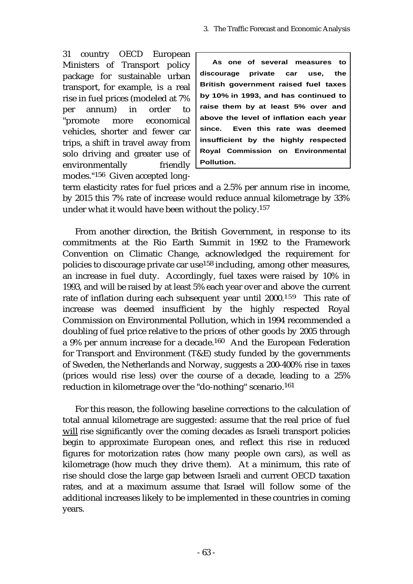31 country OECD European Ministers of Transport policy package for sustainable urban transport, for example, is a real rise in fuel prices (modeled at 7% per annum) in order to "promote more economical vehicles, shorter and fewer car trips, a shift in travel away from solo driving and greater use of environmentally friendly modes."156 Given accepted long-

**As one of several measures to discourage private car use, the British government raised fuel taxes by 10% in 1993, and has continued to raise them by at least 5% over and above the level of inflation each year since. Even this rate was deemed insufficient by the highly respected Royal Commission on Environmental Pollution.**

term elasticity rates for fuel prices and a 2.5% per annum rise in income, by 2015 this 7% rate of increase would reduce annual kilometrage by 33% under what it would have been without the policy.157

From another direction, the British Government, in response to its commitments at the Rio Earth Summit in 1992 to the Framework Convention on Climatic Change, acknowledged the requirement for policies to discourage private car use158 including, among other measures, an increase in fuel duty. Accordingly, fuel taxes were raised by 10% in 1993, and will be raised by at least 5% each year over and above the current rate of inflation during each subsequent year until 2000.159 This rate of increase was deemed insufficient by the highly respected Royal Commission on Environmental Pollution, which in 1994 recommended a doubling of fuel price relative to the prices of other goods by 2005 through a 9% per annum increase for a decade.160 And the European Federation for Transport and Environment (T&E) study funded by the governments of Sweden, the Netherlands and Norway, suggests a 200-400% rise in taxes (prices would rise less) over the course of a decade, leading to a 25% reduction in kilometrage over the "do-nothing" scenario.161

For this reason, the following baseline corrections to the calculation of total annual kilometrage are suggested: assume that the real price of fuel will rise significantly over the coming decades as Israeli transport policies begin to approximate European ones, and reflect this rise in reduced figures for motorization rates (how many people own cars), as well as kilometrage (how much they drive them). At a minimum, this rate of rise should close the large gap between Israeli and current OECD taxation rates, and at a maximum assume that Israel will follow some of the additional increases likely to be implemented in these countries in coming years.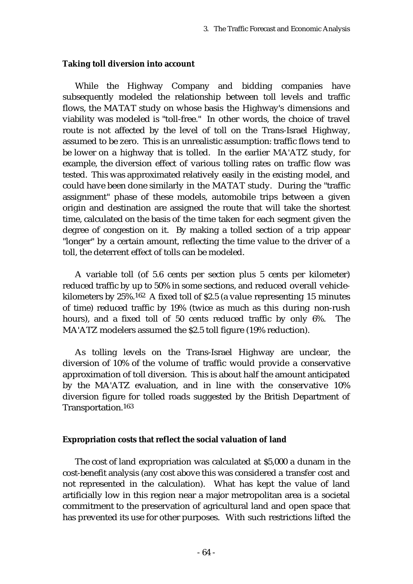### **Taking toll diversion into account**

While the Highway Company and bidding companies have subsequently modeled the relationship between toll levels and traffic flows, the MATAT study on whose basis the Highway's dimensions and viability was modeled is "toll-free." In other words, the choice of travel route is not affected by the level of toll on the Trans-Israel Highway, assumed to be zero. This is an unrealistic assumption: traffic flows tend to be lower on a highway that is tolled. In the earlier MA'ATZ study, for example, the diversion effect of various tolling rates on traffic flow was tested. This was approximated relatively easily in the existing model, and could have been done similarly in the MATAT study. During the "traffic assignment" phase of these models, automobile trips between a given origin and destination are assigned the route that will take the shortest time, calculated on the basis of the time taken for each segment given the degree of congestion on it. By making a tolled section of a trip appear "longer" by a certain amount, reflecting the time value to the driver of a toll, the deterrent effect of tolls can be modeled.

A variable toll (of 5.6 cents per section plus 5 cents per kilometer) reduced traffic by up to 50% in some sections, and reduced overall vehiclekilometers by 25%.162 A fixed toll of \$2.5 (a value representing 15 minutes of time) reduced traffic by 19% (twice as much as this during non-rush hours), and a fixed toll of 50 cents reduced traffic by only 6%. The MA'ATZ modelers assumed the \$2.5 toll figure (19% reduction).

As tolling levels on the Trans-Israel Highway are unclear, the diversion of 10% of the volume of traffic would provide a conservative approximation of toll diversion. This is about half the amount anticipated by the MA'ATZ evaluation, and in line with the conservative 10% diversion figure for tolled roads suggested by the British Department of Transportation.163

#### **Expropriation costs that reflect the social valuation of land**

The cost of land expropriation was calculated at \$5,000 a dunam in the cost-benefit analysis (any cost above this was considered a transfer cost and not represented in the calculation). What has kept the value of land artificially low in this region near a major metropolitan area is a societal commitment to the preservation of agricultural land and open space that has prevented its use for other purposes. With such restrictions lifted the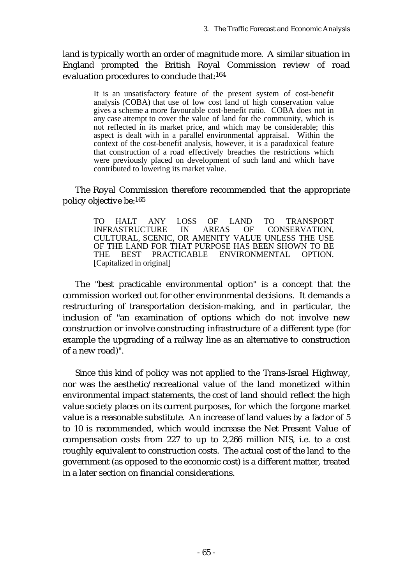land is typically worth an order of magnitude more. A similar situation in England prompted the British Royal Commission review of road evaluation procedures to conclude that:164

> It is an unsatisfactory feature of the present system of cost-benefit analysis (COBA) that use of low cost land of high conservation value gives a scheme a more favourable cost-benefit ratio. COBA does not in any case attempt to cover the value of land for the community, which is not reflected in its market price, and which may be considerable; this aspect is dealt with in a parallel environmental appraisal. Within the context of the cost-benefit analysis, however, it is a paradoxical feature that construction of a road effectively breaches the restrictions which were previously placed on development of such land and which have contributed to lowering its market value.

The Royal Commission therefore recommended that the appropriate policy objective be:165

> TO HALT ANY LOSS OF LAND TO TRANSPORT INFRASTRUCTURE IN AREAS OF CONSERVATION, CULTURAL, SCENIC, OR AMENITY VALUE UNLESS THE USE OF THE LAND FOR THAT PURPOSE HAS BEEN SHOWN TO BE THE BEST PRACTICABLE ENVIRONMENTAL OPTION. [Capitalized in original]

The "best practicable environmental option" is a concept that the commission worked out for other environmental decisions. It demands a restructuring of transportation decision-making, and in particular, the inclusion of "an examination of options which do not involve new construction or involve constructing infrastructure of a different type (for example the upgrading of a railway line as an alternative to construction of a new road)".

Since this kind of policy was not applied to the Trans-Israel Highway, nor was the aesthetic/recreational value of the land monetized within environmental impact statements, the cost of land should reflect the high value society places on its current purposes, for which the forgone market value is a reasonable substitute. An increase of land values by a factor of 5 to 10 is recommended, which would increase the Net Present Value of compensation costs from 227 to up to 2,266 million NIS, i.e. to a cost roughly equivalent to construction costs. The actual cost of the land to the government (as opposed to the economic cost) is a different matter, treated in a later section on financial considerations.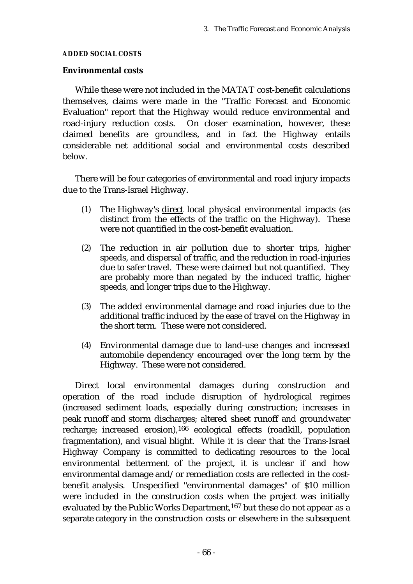#### **ADDED SOCIAL COSTS**

#### **Environmental costs**

While these were not included in the MATAT cost-benefit calculations themselves, claims were made in the "Traffic Forecast and Economic Evaluation" report that the Highway would reduce environmental and road-injury reduction costs. On closer examination, however, these claimed benefits are groundless, and in fact the Highway entails considerable net additional social and environmental costs described below.

There will be four categories of environmental and road injury impacts due to the Trans-Israel Highway.

- (1) The Highway's direct local physical environmental impacts (as distinct from the effects of the traffic on the Highway). These were not quantified in the cost-benefit evaluation.
- (2) The reduction in air pollution due to shorter trips, higher speeds, and dispersal of traffic, and the reduction in road-injuries due to safer travel. These were claimed but not quantified. They are probably more than negated by the induced traffic, higher speeds, and longer trips due to the Highway.
- (3) The added environmental damage and road injuries due to the additional traffic induced by the ease of travel on the Highway in the short term. These were not considered.
- (4) Environmental damage due to land-use changes and increased automobile dependency encouraged over the long term by the Highway. These were not considered.

Direct local environmental damages during construction and operation of the road include disruption of hydrological regimes (increased sediment loads, especially during construction; increases in peak runoff and storm discharges; altered sheet runoff and groundwater recharge; increased erosion),166 ecological effects (roadkill, population fragmentation), and visual blight. While it is clear that the Trans-Israel Highway Company is committed to dedicating resources to the local environmental betterment of the project, it is unclear if and how environmental damage and/or remediation costs are reflected in the costbenefit analysis. Unspecified "environmental damages" of \$10 million were included in the construction costs when the project was initially evaluated by the Public Works Department,<sup>167</sup> but these do not appear as a separate category in the construction costs or elsewhere in the subsequent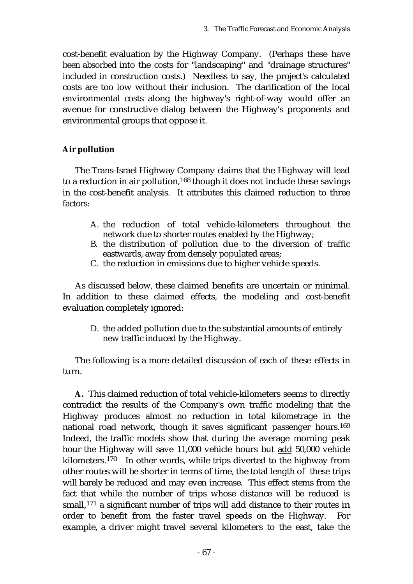cost-benefit evaluation by the Highway Company. (Perhaps these have been absorbed into the costs for "landscaping" and "drainage structures" included in construction costs.) Needless to say, the project's calculated costs are too low without their inclusion. The clarification of the local environmental costs along the highway's right-of-way would offer an avenue for constructive dialog between the Highway's proponents and environmental groups that oppose it.

## **Air pollution**

The Trans-Israel Highway Company claims that the Highway will lead to a reduction in air pollution,<sup>168</sup> though it does not include these savings in the cost-benefit analysis. It attributes this claimed reduction to three factors:

- A. the reduction of total vehicle-kilometers throughout the network due to shorter routes enabled by the Highway;
- B. the distribution of pollution due to the diversion of traffic eastwards, away from densely populated areas;
- C. the reduction in emissions due to higher vehicle speeds.

As discussed below, these claimed benefits are uncertain or minimal. In addition to these claimed effects, the modeling and cost-benefit evaluation completely ignored:

D. the added pollution due to the substantial amounts of entirely new traffic induced by the Highway.

The following is a more detailed discussion of each of these effects in turn.

**A.** This claimed reduction of total vehicle-kilometers seems to directly contradict the results of the Company's own traffic modeling that the Highway produces almost no reduction in total kilometrage in the national road network, though it saves significant passenger hours.169 Indeed, the traffic models show that during the average morning peak hour the Highway will save 11,000 vehicle hours but add 50,000 vehicle kilometers.170 In other words, while trips diverted to the highway from other routes will be shorter in terms of time, the total length of these trips will barely be reduced and may even increase. This effect stems from the fact that while the number of trips whose distance will be reduced is small,171 a significant number of trips will add distance to their routes in order to benefit from the faster travel speeds on the Highway. For example, a driver might travel several kilometers to the east, take the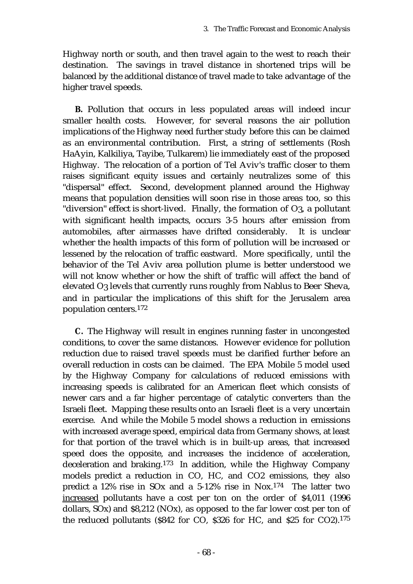Highway north or south, and then travel again to the west to reach their destination. The savings in travel distance in shortened trips will be balanced by the additional distance of travel made to take advantage of the higher travel speeds.

**B.** Pollution that occurs in less populated areas will indeed incur smaller health costs. However, for several reasons the air pollution implications of the Highway need further study before this can be claimed as an environmental contribution. First, a string of settlements (Rosh HaAyin, Kalkiliya, Tayibe, Tulkarem) lie immediately east of the proposed Highway. The relocation of a portion of Tel Aviv's traffic closer to them raises significant equity issues and certainly neutralizes some of this "dispersal" effect. Second, development planned around the Highway means that population densities will soon rise in those areas too, so this "diversion" effect is short-lived. Finally, the formation of O3, a pollutant with significant health impacts, occurs 3-5 hours after emission from automobiles, after airmasses have drifted considerably. It is unclear whether the health impacts of this form of pollution will be increased or lessened by the relocation of traffic eastward. More specifically, until the behavior of the Tel Aviv area pollution plume is better understood we will not know whether or how the shift of traffic will affect the band of elevated O3 levels that currently runs roughly from Nablus to Beer Sheva, and in particular the implications of this shift for the Jerusalem area population centers.172

**C.** The Highway will result in engines running faster in uncongested conditions, to cover the same distances. However evidence for pollution reduction due to raised travel speeds must be clarified further before an overall reduction in costs can be claimed. The EPA Mobile 5 model used by the Highway Company for calculations of reduced emissions with increasing speeds is calibrated for an American fleet which consists of newer cars and a far higher percentage of catalytic converters than the Israeli fleet. Mapping these results onto an Israeli fleet is a very uncertain exercise. And while the Mobile 5 model shows a reduction in emissions with increased average speed, empirical data from Germany shows, at least for that portion of the travel which is in built-up areas, that increased speed does the opposite, and increases the incidence of acceleration, deceleration and braking.173 In addition, while the Highway Company models predict a reduction in CO, HC, and CO2 emissions, they also predict a 12% rise in SOx and a 5-12% rise in Nox.174 The latter two increased pollutants have a cost per ton on the order of \$4,011 (1996 dollars, SOx) and \$8,212 (NOx), as opposed to the far lower cost per ton of the reduced pollutants (\$842 for CO, \$326 for HC, and \$25 for CO2).175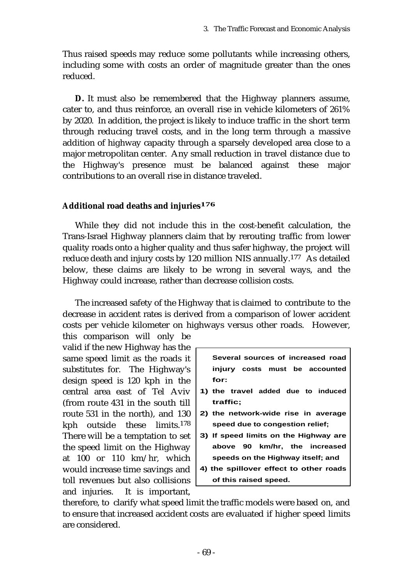Thus raised speeds may reduce some pollutants while increasing others, including some with costs an order of magnitude greater than the ones reduced.

**D.** It must also be remembered that the Highway planners assume, cater to, and thus reinforce, an overall rise in vehicle kilometers of 261% by 2020. In addition, the project is likely to induce traffic in the short term through reducing travel costs, and in the long term through a massive addition of highway capacity through a sparsely developed area close to a major metropolitan center. Any small reduction in travel distance due to the Highway's presence must be balanced against these major contributions to an overall rise in distance traveled.

# **Additional road deaths and injuries176**

While they did not include this in the cost-benefit calculation, the Trans-Israel Highway planners claim that by rerouting traffic from lower quality roads onto a higher quality and thus safer highway, the project will reduce death and injury costs by 120 million NIS annually.177 As detailed below, these claims are likely to be wrong in several ways, and the Highway could increase, rather than decrease collision costs.

The increased safety of the Highway that is claimed to contribute to the decrease in accident rates is derived from a comparison of lower accident costs per vehicle kilometer on highways versus other roads. However, this comparison will only be

valid if the new Highway has the same speed limit as the roads it substitutes for. The Highway's design speed is 120 kph in the central area east of Tel Aviv (from route 431 in the south till route 531 in the north), and 130 kph outside these limits.178 There will be a temptation to set the speed limit on the Highway at 100 or 110 km/hr, which would increase time savings and toll revenues but also collisions and injuries. It is important,

| Several sources of increased road |  |  |  |  |                                    |
|-----------------------------------|--|--|--|--|------------------------------------|
|                                   |  |  |  |  | injury costs must be accounted     |
| for:                              |  |  |  |  |                                    |
|                                   |  |  |  |  | 1) the travel added due to induced |
| traffic;                          |  |  |  |  |                                    |

- **2) the network-wide rise in average speed due to congestion relief;**
- **3) If speed limits on the Highway are above 90 km/hr, the increased speeds on the Highway itself; and**
- **4) the spillover effect to other roads of this raised speed.**

therefore, to clarify what speed limit the traffic models were based on, and to ensure that increased accident costs are evaluated if higher speed limits are considered.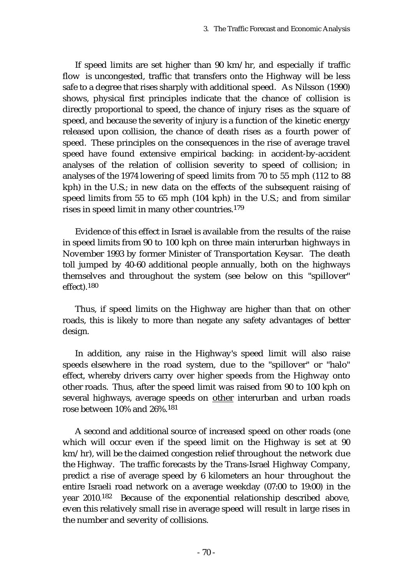If speed limits are set higher than 90 km/hr, and especially if traffic flow is uncongested, traffic that transfers onto the Highway will be less safe to a degree that rises sharply with additional speed. As Nilsson (1990) shows, physical first principles indicate that the chance of collision is directly proportional to speed, the chance of injury rises as the square of speed, and because the severity of injury is a function of the kinetic energy released upon collision, the chance of death rises as a fourth power of speed. These principles on the consequences in the rise of average travel speed have found extensive empirical backing: in accident-by-accident analyses of the relation of collision severity to speed of collision; in analyses of the 1974 lowering of speed limits from 70 to 55 mph (112 to 88 kph) in the U.S.; in new data on the effects of the subsequent raising of speed limits from 55 to 65 mph (104 kph) in the U.S.; and from similar rises in speed limit in many other countries.179

Evidence of this effect in Israel is available from the results of the raise in speed limits from 90 to 100 kph on three main interurban highways in November 1993 by former Minister of Transportation Keysar. The death toll jumped by 40-60 additional people annually, both on the highways themselves and throughout the system (see below on this "spillover" effect).180

Thus, if speed limits on the Highway are higher than that on other roads, this is likely to more than negate any safety advantages of better design.

In addition, any raise in the Highway's speed limit will also raise speeds elsewhere in the road system, due to the "spillover" or "halo" effect, whereby drivers carry over higher speeds from the Highway onto other roads. Thus, after the speed limit was raised from 90 to 100 kph on several highways, average speeds on other interurban and urban roads rose between 10% and 26%.181

A second and additional source of increased speed on other roads (one which will occur even if the speed limit on the Highway is set at 90 km/hr), will be the claimed congestion relief throughout the network due the Highway. The traffic forecasts by the Trans-Israel Highway Company, predict a rise of average speed by 6 kilometers an hour throughout the entire Israeli road network on a average weekday (07:00 to 19:00) in the year 2010.182 Because of the exponential relationship described above, even this relatively small rise in average speed will result in large rises in the number and severity of collisions.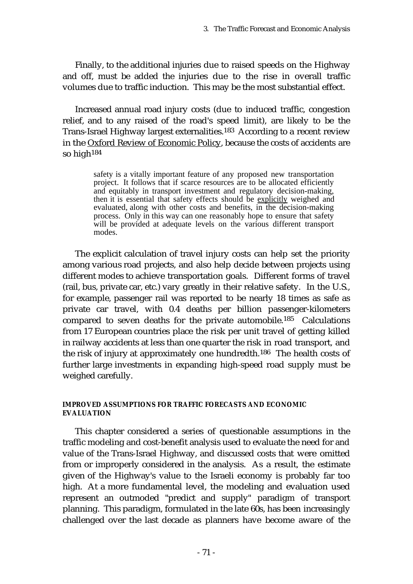Finally, to the additional injuries due to raised speeds on the Highway and off, must be added the injuries due to the rise in overall traffic volumes due to traffic induction. This may be the most substantial effect.

Increased annual road injury costs (due to induced traffic, congestion relief, and to any raised of the road's speed limit), are likely to be the Trans-Israel Highway largest externalities.183 According to a recent review in the Oxford Review of Economic Policy, because the costs of accidents are so high184

> safety is a vitally important feature of any proposed new transportation project. It follows that if scarce resources are to be allocated efficiently and equitably in transport investment and regulatory decision-making, then it is essential that safety effects should be explicitly weighed and evaluated, along with other costs and benefits, in the decision-making process. Only in this way can one reasonably hope to ensure that safety will be provided at adequate levels on the various different transport modes.

The explicit calculation of travel injury costs can help set the priority among various road projects, and also help decide between projects using different modes to achieve transportation goals. Different forms of travel (rail, bus, private car, etc.) vary greatly in their relative safety. In the U.S., for example, passenger rail was reported to be nearly 18 times as safe as private car travel, with 0.4 deaths per billion passenger-kilometers compared to seven deaths for the private automobile.185 Calculations from 17 European countries place the risk per unit travel of getting killed in railway accidents at less than one quarter the risk in road transport, and the risk of injury at approximately one hundredth.186 The health costs of further large investments in expanding high-speed road supply must be weighed carefully.

### **IMPROVED ASSUMPTIONS FOR TRAFFIC FORECASTS AND ECONOMIC EVALUATION**

This chapter considered a series of questionable assumptions in the traffic modeling and cost-benefit analysis used to evaluate the need for and value of the Trans-Israel Highway, and discussed costs that were omitted from or improperly considered in the analysis. As a result, the estimate given of the Highway's value to the Israeli economy is probably far too high. At a more fundamental level, the modeling and evaluation used represent an outmoded "predict and supply" paradigm of transport planning. This paradigm, formulated in the late 60s, has been increasingly challenged over the last decade as planners have become aware of the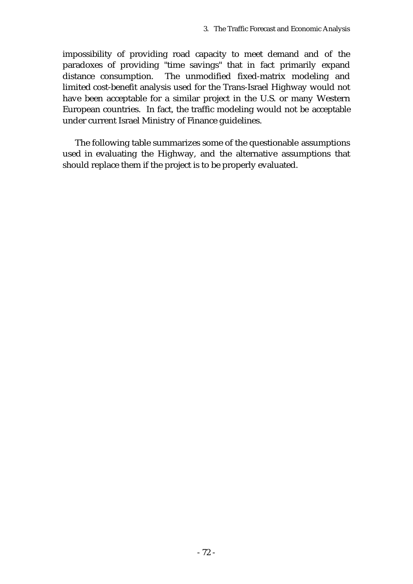impossibility of providing road capacity to meet demand and of the paradoxes of providing "time savings" that in fact primarily expand distance consumption. The unmodified fixed-matrix modeling and limited cost-benefit analysis used for the Trans-Israel Highway would not have been acceptable for a similar project in the U.S. or many Western European countries. In fact, the traffic modeling would not be acceptable under current Israel Ministry of Finance guidelines.

The following table summarizes some of the questionable assumptions used in evaluating the Highway, and the alternative assumptions that should replace them if the project is to be properly evaluated.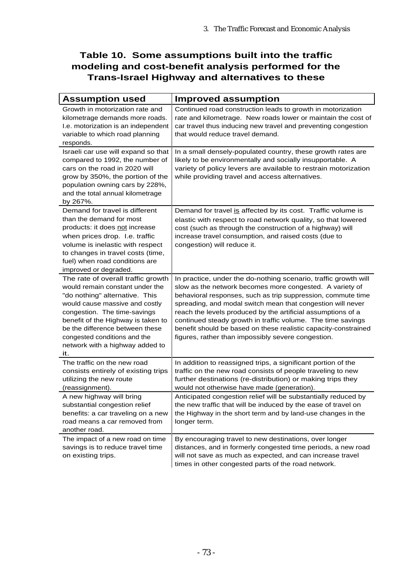## **Table 10. Some assumptions built into the traffic modeling and cost-benefit analysis performed for the Trans-Israel Highway and alternatives to these**

| <b>Assumption used</b>                                                                                                                                                                                                                                                                                                       | <b>Improved assumption</b>                                                                                                                                                                                                                                                                                                                                                                                                                                                                                         |
|------------------------------------------------------------------------------------------------------------------------------------------------------------------------------------------------------------------------------------------------------------------------------------------------------------------------------|--------------------------------------------------------------------------------------------------------------------------------------------------------------------------------------------------------------------------------------------------------------------------------------------------------------------------------------------------------------------------------------------------------------------------------------------------------------------------------------------------------------------|
| Growth in motorization rate and<br>kilometrage demands more roads.<br>I.e. motorization is an independent<br>variable to which road planning<br>responds.                                                                                                                                                                    | Continued road construction leads to growth in motorization<br>rate and kilometrage. New roads lower or maintain the cost of<br>car travel thus inducing new travel and preventing congestion<br>that would reduce travel demand.                                                                                                                                                                                                                                                                                  |
| Israeli car use will expand so that<br>compared to 1992, the number of<br>cars on the road in 2020 will<br>grow by 350%, the portion of the<br>population owning cars by 228%,<br>and the total annual kilometrage<br>by 267%.                                                                                               | In a small densely-populated country, these growth rates are<br>likely to be environmentally and socially insupportable. A<br>variety of policy levers are available to restrain motorization<br>while providing travel and access alternatives.                                                                                                                                                                                                                                                                   |
| Demand for travel is different<br>than the demand for most<br>products: it does not increase<br>when prices drop. I.e. traffic<br>volume is inelastic with respect<br>to changes in travel costs (time,<br>fuel) when road conditions are<br>improved or degraded.                                                           | Demand for travel is affected by its cost. Traffic volume is<br>elastic with respect to road network quality, so that lowered<br>cost (such as through the construction of a highway) will<br>increase travel consumption, and raised costs (due to<br>congestion) will reduce it.                                                                                                                                                                                                                                 |
| The rate of overall traffic growth<br>would remain constant under the<br>"do nothing" alternative. This<br>would cause massive and costly<br>congestion. The time-savings<br>benefit of the Highway is taken to<br>be the difference between these<br>congested conditions and the<br>network with a highway added to<br>it. | In practice, under the do-nothing scenario, traffic growth will<br>slow as the network becomes more congested. A variety of<br>behavioral responses, such as trip suppression, commute time<br>spreading, and modal switch mean that congestion will never<br>reach the levels produced by the artificial assumptions of a<br>continued steady growth in traffic volume. The time savings<br>benefit should be based on these realistic capacity-constrained<br>figures, rather than impossibly severe congestion. |
| The traffic on the new road<br>consists entirely of existing trips<br>utilizing the new route<br>(reassignment).                                                                                                                                                                                                             | In addition to reassigned trips, a significant portion of the<br>traffic on the new road consists of people traveling to new<br>further destinations (re-distribution) or making trips they<br>would not otherwise have made (generation).                                                                                                                                                                                                                                                                         |
| A new highway will bring<br>substantial congestion relief<br>benefits: a car traveling on a new<br>road means a car removed from<br>another road.                                                                                                                                                                            | Anticipated congestion relief will be substantially reduced by<br>the new traffic that will be induced by the ease of travel on<br>the Highway in the short term and by land-use changes in the<br>longer term.                                                                                                                                                                                                                                                                                                    |
| The impact of a new road on time<br>savings is to reduce travel time<br>on existing trips.                                                                                                                                                                                                                                   | By encouraging travel to new destinations, over longer<br>distances, and in formerly congested time periods, a new road<br>will not save as much as expected, and can increase travel<br>times in other congested parts of the road network.                                                                                                                                                                                                                                                                       |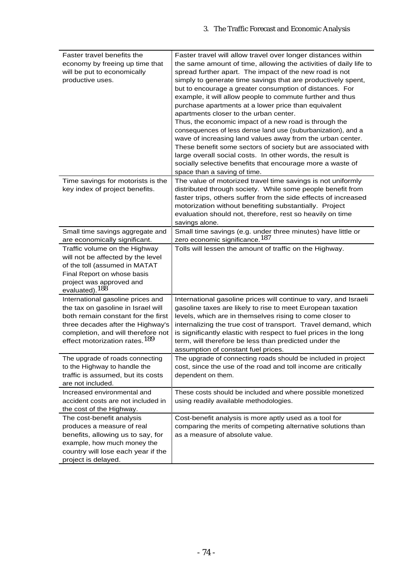| Faster travel benefits the                                        | Faster travel will allow travel over longer distances within                   |
|-------------------------------------------------------------------|--------------------------------------------------------------------------------|
| economy by freeing up time that                                   | the same amount of time, allowing the activities of daily life to              |
| will be put to economically                                       | spread further apart. The impact of the new road is not                        |
| productive uses.                                                  | simply to generate time savings that are productively spent,                   |
|                                                                   | but to encourage a greater consumption of distances. For                       |
|                                                                   | example, it will allow people to commute further and thus                      |
|                                                                   | purchase apartments at a lower price than equivalent                           |
|                                                                   | apartments closer to the urban center.                                         |
|                                                                   | Thus, the economic impact of a new road is through the                         |
|                                                                   | consequences of less dense land use (suburbanization), and a                   |
|                                                                   | wave of increasing land values away from the urban center.                     |
|                                                                   | These benefit some sectors of society but are associated with                  |
|                                                                   | large overall social costs. In other words, the result is                      |
|                                                                   | socially selective benefits that encourage more a waste of                     |
|                                                                   | space than a saving of time.                                                   |
| Time savings for motorists is the                                 | The value of motorized travel time savings is not uniformly                    |
| key index of project benefits.                                    | distributed through society. While some people benefit from                    |
|                                                                   | faster trips, others suffer from the side effects of increased                 |
|                                                                   | motorization without benefiting substantially. Project                         |
|                                                                   | evaluation should not, therefore, rest so heavily on time                      |
|                                                                   | savings alone.<br>Small time savings (e.g. under three minutes) have little or |
| Small time savings aggregate and<br>are economically significant. | zero economic significance. <sup>187</sup>                                     |
| Traffic volume on the Highway                                     | Tolls will lessen the amount of traffic on the Highway.                        |
| will not be affected by the level                                 |                                                                                |
| of the toll (assumed in MATAT                                     |                                                                                |
| Final Report on whose basis                                       |                                                                                |
| project was approved and                                          |                                                                                |
| evaluated). <sup>188</sup>                                        |                                                                                |
| International gasoline prices and                                 | International gasoline prices will continue to vary, and Israeli               |
| the tax on gasoline in Israel will                                | gasoline taxes are likely to rise to meet European taxation                    |
| both remain constant for the first                                | levels, which are in themselves rising to come closer to                       |
| three decades after the Highway's                                 | internalizing the true cost of transport. Travel demand, which                 |
| completion, and will therefore not                                | is significantly elastic with respect to fuel prices in the long               |
| effect motorization rates. <sup>189</sup>                         | term, will therefore be less than predicted under the                          |
|                                                                   | assumption of constant fuel prices.                                            |
| The upgrade of roads connecting                                   | The upgrade of connecting roads should be included in project                  |
| to the Highway to handle the                                      | cost, since the use of the road and toll income are critically                 |
| traffic is assumed, but its costs                                 | dependent on them.                                                             |
| are not included.                                                 |                                                                                |
| Increased environmental and                                       | These costs should be included and where possible monetized                    |
| accident costs are not included in                                | using readily available methodologies.                                         |
| the cost of the Highway.                                          |                                                                                |
| The cost-benefit analysis                                         | Cost-benefit analysis is more aptly used as a tool for                         |
| produces a measure of real                                        | comparing the merits of competing alternative solutions than                   |
| benefits, allowing us to say, for                                 | as a measure of absolute value.                                                |
| example, how much money the                                       |                                                                                |
| country will lose each year if the                                |                                                                                |
| project is delayed.                                               |                                                                                |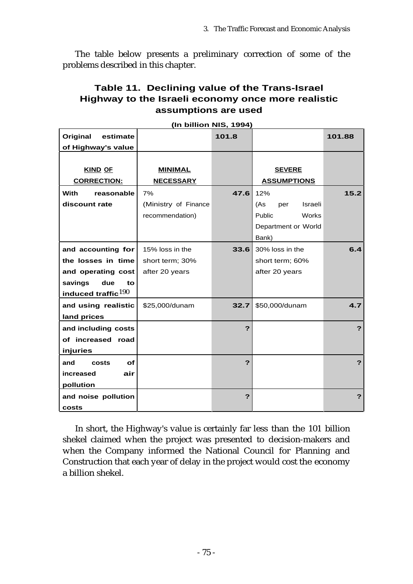The table below presents a preliminary correction of some of the problems described in this chapter.

## **Table 11. Declining value of the Trans-Israel Highway to the Israeli economy once more realistic assumptions are used**

|                           | (In billion NIS, 1994) |       |                       |        |
|---------------------------|------------------------|-------|-----------------------|--------|
| Original<br>estimate      |                        | 101.8 |                       | 101.88 |
| of Highway's value        |                        |       |                       |        |
|                           |                        |       |                       |        |
| <b>KIND OF</b>            | <b>MINIMAL</b>         |       | <b>SEVERE</b>         |        |
| <b>CORRECTION:</b>        | <b>NECESSARY</b>       |       | <b>ASSUMPTIONS</b>    |        |
| <b>With</b><br>reasonable | 7%                     | 47.6  | 12%                   | 15.2   |
| discount rate             | (Ministry of Finance   |       | Israeli<br>(As<br>per |        |
|                           | recommendation)        |       | Public<br>Works       |        |
|                           |                        |       | Department or World   |        |
|                           |                        |       | Bank)                 |        |
| and accounting for        | 15% loss in the        | 33.6  | 30% loss in the       | 6.4    |
| the losses in time        | short term; 30%        |       | short term; 60%       |        |
| and operating cost        | after 20 years         |       | after 20 years        |        |
| savings<br>due<br>to      |                        |       |                       |        |
| induced traffic $190$     |                        |       |                       |        |
| and using realistic       | \$25,000/dunam         | 32.7  | \$50,000/dunam        | 4.7    |
| land prices               |                        |       |                       |        |
| and including costs       |                        | 2     |                       | ?      |
| of increased road         |                        |       |                       |        |
| injuries                  |                        |       |                       |        |
| of<br>and<br>costs        |                        | ?     |                       | ?      |
| increased<br>air          |                        |       |                       |        |
| pollution                 |                        |       |                       |        |
| and noise pollution       |                        | ?     |                       | ?      |
| costs                     |                        |       |                       |        |

**(In billion NIS, 1994)**

In short, the Highway's value is certainly far less than the 101 billion shekel claimed when the project was presented to decision-makers and when the Company informed the National Council for Planning and Construction that each year of delay in the project would cost the economy a billion shekel.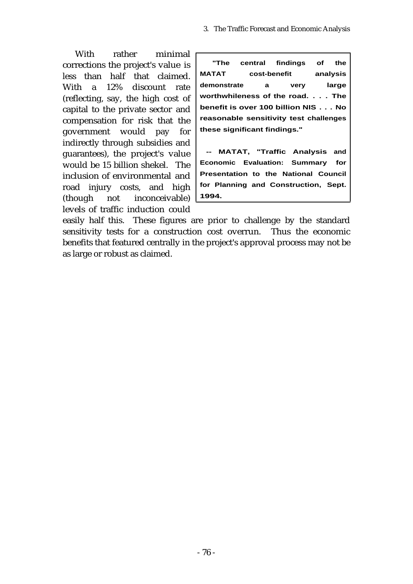With rather minimal corrections the project's value is less than half that claimed. With a 12% discount rate (reflecting, say, the high cost of capital to the private sector and compensation for risk that the government would pay for indirectly through subsidies and guarantees), the project's value would be 15 billion shekel. The inclusion of environmental and road injury costs, and high (though not inconceivable) levels of traffic induction could

**"The central findings of the MATAT cost-benefit analysis demonstrate a very large worthwhileness of the road. . . . The benefit is over 100 billion NIS . . . No reasonable sensitivity test challenges these significant findings."**

**-- MATAT, "Traffic Analysis and Economic Evaluation: Summary for Presentation to the National Council for Planning and Construction, Sept. 1994.**

easily half this. These figures are prior to challenge by the standard sensitivity tests for a construction cost overrun. Thus the economic benefits that featured centrally in the project's approval process may not be as large or robust as claimed.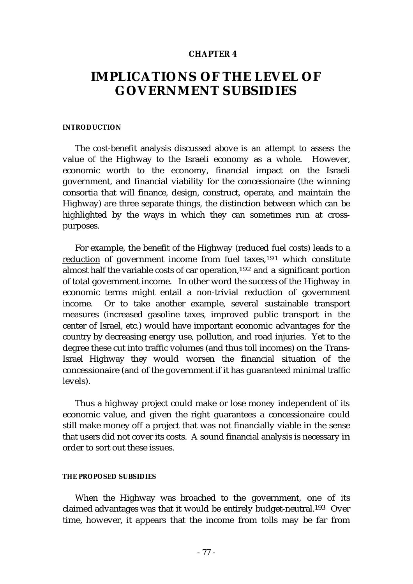#### **CHAPTER 4**

## **IMPLICATIONS OF THE LEVEL OF GOVERNMENT SUBSIDIES**

#### **INTRODUCTION**

The cost-benefit analysis discussed above is an attempt to assess the value of the Highway to the Israeli economy as a whole. However, economic worth to the economy, financial impact on the Israeli government, and financial viability for the concessionaire (the winning consortia that will finance, design, construct, operate, and maintain the Highway) are three separate things, the distinction between which can be highlighted by the ways in which they can sometimes run at crosspurposes.

For example, the benefit of the Highway (reduced fuel costs) leads to a reduction of government income from fuel taxes,191 which constitute almost half the variable costs of car operation,192 and a significant portion of total government income. In other word the success of the Highway in economic terms might entail a non-trivial reduction of government income. Or to take another example, several sustainable transport measures (increased gasoline taxes, improved public transport in the center of Israel, etc.) would have important economic advantages for the country by decreasing energy use, pollution, and road injuries. Yet to the degree these cut into traffic volumes (and thus toll incomes) on the Trans-Israel Highway they would worsen the financial situation of the concessionaire (and of the government if it has guaranteed minimal traffic levels).

Thus a highway project could make or lose money independent of its economic value, and given the right guarantees a concessionaire could still make money off a project that was not financially viable in the sense that users did not cover its costs. A sound financial analysis is necessary in order to sort out these issues.

#### **THE PROPOSED SUBSIDIES**

When the Highway was broached to the government, one of its claimed advantages was that it would be entirely budget-neutral.193 Over time, however, it appears that the income from tolls may be far from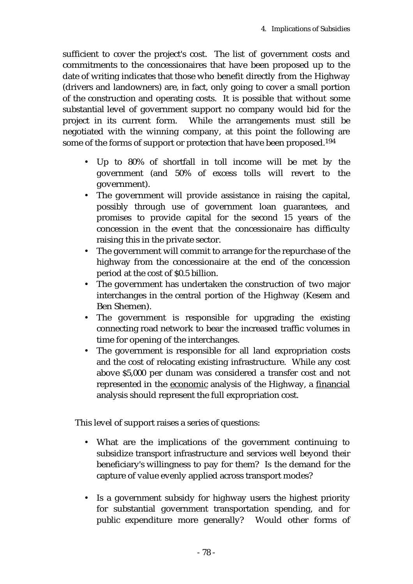sufficient to cover the project's cost. The list of government costs and commitments to the concessionaires that have been proposed up to the date of writing indicates that those who benefit directly from the Highway (drivers and landowners) are, in fact, only going to cover a small portion of the construction and operating costs. It is possible that without some substantial level of government support no company would bid for the project in its current form. While the arrangements must still be negotiated with the winning company, at this point the following are some of the forms of support or protection that have been proposed.194

- Up to 80% of shortfall in toll income will be met by the government (and 50% of excess tolls will revert to the government).
- The government will provide assistance in raising the capital, possibly through use of government loan guarantees, and promises to provide capital for the second 15 years of the concession in the event that the concessionaire has difficulty raising this in the private sector.
- The government will commit to arrange for the repurchase of the highway from the concessionaire at the end of the concession period at the cost of \$0.5 billion.
- The government has undertaken the construction of two major interchanges in the central portion of the Highway (Kesem and Ben Shemen).
- The government is responsible for upgrading the existing connecting road network to bear the increased traffic volumes in time for opening of the interchanges.
- The government is responsible for all land expropriation costs and the cost of relocating existing infrastructure. While any cost above \$5,000 per dunam was considered a transfer cost and not represented in the economic analysis of the Highway, a financial analysis should represent the full expropriation cost.

This level of support raises a series of questions:

- What are the implications of the government continuing to subsidize transport infrastructure and services well beyond their beneficiary's willingness to pay for them? Is the demand for the capture of value evenly applied across transport modes?
- Is a government subsidy for highway users the highest priority for substantial government transportation spending, and for public expenditure more generally? Would other forms of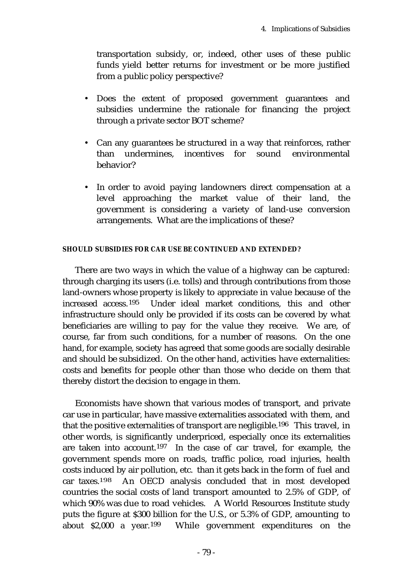transportation subsidy, or, indeed, other uses of these public funds yield better returns for investment or be more justified from a public policy perspective?

- Does the extent of proposed government guarantees and subsidies undermine the rationale for financing the project through a private sector BOT scheme?
- Can any guarantees be structured in a way that reinforces, rather than undermines, incentives for sound environmental behavior?
- In order to avoid paying landowners direct compensation at a level approaching the market value of their land, the government is considering a variety of land-use conversion arrangements. What are the implications of these?

#### **SHOULD SUBSIDIES FOR CAR USE BE CONTINUED AND EXTENDED?**

There are two ways in which the value of a highway can be captured: through charging its users (i.e. tolls) and through contributions from those land-owners whose property is likely to appreciate in value because of the increased access.195 Under ideal market conditions, this and other infrastructure should only be provided if its costs can be covered by what beneficiaries are willing to pay for the value they receive. We are, of course, far from such conditions, for a number of reasons. On the one hand, for example, society has agreed that some goods are socially desirable and should be subsidized. On the other hand, activities have externalities: costs and benefits for people other than those who decide on them that thereby distort the decision to engage in them.

Economists have shown that various modes of transport, and private car use in particular, have massive externalities associated with them, and that the positive externalities of transport are negligible.196 This travel, in other words, is significantly underpriced, especially once its externalities are taken into account.197 In the case of car travel, for example, the government spends more on roads, traffic police, road injuries, health costs induced by air pollution, etc. than it gets back in the form of fuel and car taxes.198 An OECD analysis concluded that in most developed countries the social costs of land transport amounted to 2.5% of GDP, of which 90% was due to road vehicles. A World Resources Institute study puts the figure at \$300 billion for the U.S., or 5.3% of GDP, amounting to about \$2,000 a year.199 While government expenditures on the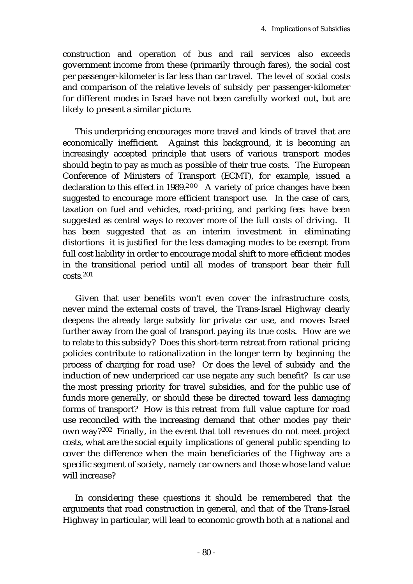construction and operation of bus and rail services also exceeds government income from these (primarily through fares), the social cost per passenger-kilometer is far less than car travel. The level of social costs and comparison of the relative levels of subsidy per passenger-kilometer for different modes in Israel have not been carefully worked out, but are likely to present a similar picture.

This underpricing encourages more travel and kinds of travel that are economically inefficient. Against this background, it is becoming an increasingly accepted principle that users of various transport modes should begin to pay as much as possible of their true costs. The European Conference of Ministers of Transport (ECMT), for example, issued a declaration to this effect in 1989.200 A variety of price changes have been suggested to encourage more efficient transport use. In the case of cars, taxation on fuel and vehicles, road-pricing, and parking fees have been suggested as central ways to recover more of the full costs of driving. It has been suggested that as an interim investment in eliminating distortions it is justified for the less damaging modes to be exempt from full cost liability in order to encourage modal shift to more efficient modes in the transitional period until all modes of transport bear their full costs.201

Given that user benefits won't even cover the infrastructure costs, never mind the external costs of travel, the Trans-Israel Highway clearly deepens the already large subsidy for private car use, and moves Israel further away from the goal of transport paying its true costs. How are we to relate to this subsidy? Does this short-term retreat from rational pricing policies contribute to rationalization in the longer term by beginning the process of charging for road use? Or does the level of subsidy and the induction of new underpriced car use negate any such benefit? Is car use the most pressing priority for travel subsidies, and for the public use of funds more generally, or should these be directed toward less damaging forms of transport? How is this retreat from full value capture for road use reconciled with the increasing demand that other modes pay their own way?202 Finally, in the event that toll revenues do not meet project costs, what are the social equity implications of general public spending to cover the difference when the main beneficiaries of the Highway are a specific segment of society, namely car owners and those whose land value will increase?

In considering these questions it should be remembered that the arguments that road construction in general, and that of the Trans-Israel Highway in particular, will lead to economic growth both at a national and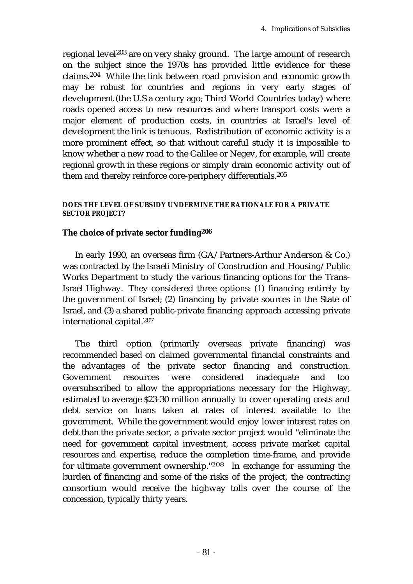regional level203 are on very shaky ground. The large amount of research on the subject since the 1970s has provided little evidence for these claims.204 While the link between road provision and economic growth may be robust for countries and regions in very early stages of development (the U.S a century ago; Third World Countries today) where roads opened access to new resources and where transport costs were a major element of production costs, in countries at Israel's level of development the link is tenuous. Redistribution of economic activity is a more prominent effect, so that without careful study it is impossible to know whether a new road to the Galilee or Negev, for example, will create regional growth in these regions or simply drain economic activity out of them and thereby reinforce core-periphery differentials.205

### **DOES THE LEVEL OF SUBSIDY UNDERMINE THE RATIONALE FOR A PRIVATE SECTOR PROJECT?**

## **The choice of private sector funding206**

In early 1990, an overseas firm (GA/Partners-Arthur Anderson & Co.) was contracted by the Israeli Ministry of Construction and Housing/Public Works Department to study the various financing options for the Trans-Israel Highway. They considered three options: (1) financing entirely by the government of Israel; (2) financing by private sources in the State of Israel, and (3) a shared public-private financing approach accessing private international capital.207

The third option (primarily overseas private financing) was recommended based on claimed governmental financial constraints and the advantages of the private sector financing and construction. Government resources were considered inadequate and too oversubscribed to allow the appropriations necessary for the Highway, estimated to average \$23-30 million annually to cover operating costs and debt service on loans taken at rates of interest available to the government. While the government would enjoy lower interest rates on debt than the private sector, a private sector project would "eliminate the need for government capital investment, access private market capital resources and expertise, reduce the completion time-frame, and provide for ultimate government ownership."208 In exchange for assuming the burden of financing and some of the risks of the project, the contracting consortium would receive the highway tolls over the course of the concession, typically thirty years.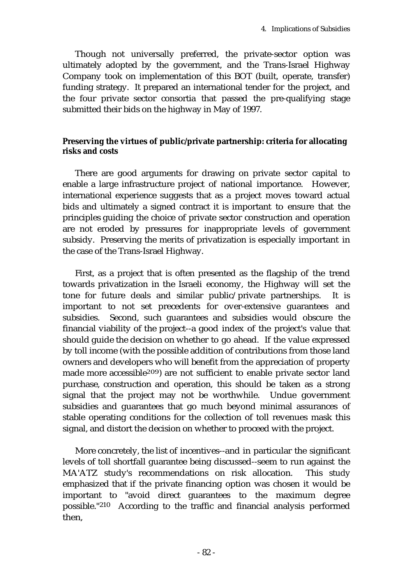Though not universally preferred, the private-sector option was ultimately adopted by the government, and the Trans-Israel Highway Company took on implementation of this BOT (built, operate, transfer) funding strategy. It prepared an international tender for the project, and the four private sector consortia that passed the pre-qualifying stage submitted their bids on the highway in May of 1997.

### **Preserving the virtues of public/private partnership: criteria for allocating risks and costs**

There are good arguments for drawing on private sector capital to enable a large infrastructure project of national importance. However, international experience suggests that as a project moves toward actual bids and ultimately a signed contract it is important to ensure that the principles guiding the choice of private sector construction and operation are not eroded by pressures for inappropriate levels of government subsidy. Preserving the merits of privatization is especially important in the case of the Trans-Israel Highway.

First, as a project that is often presented as the flagship of the trend towards privatization in the Israeli economy, the Highway will set the tone for future deals and similar public/private partnerships. It is important to not set precedents for over-extensive guarantees and subsidies. Second, such guarantees and subsidies would obscure the financial viability of the project--a good index of the project's value that should guide the decision on whether to go ahead. If the value expressed by toll income (with the possible addition of contributions from those land owners and developers who will benefit from the appreciation of property made more accessible209) are not sufficient to enable private sector land purchase, construction and operation, this should be taken as a strong signal that the project may not be worthwhile. Undue government subsidies and guarantees that go much beyond minimal assurances of stable operating conditions for the collection of toll revenues mask this signal, and distort the decision on whether to proceed with the project.

More concretely, the list of incentives--and in particular the significant levels of toll shortfall guarantee being discussed--seem to run against the MA'ATZ study's recommendations on risk allocation. This study emphasized that if the private financing option was chosen it would be important to "avoid direct guarantees to the maximum degree possible."210 According to the traffic and financial analysis performed then,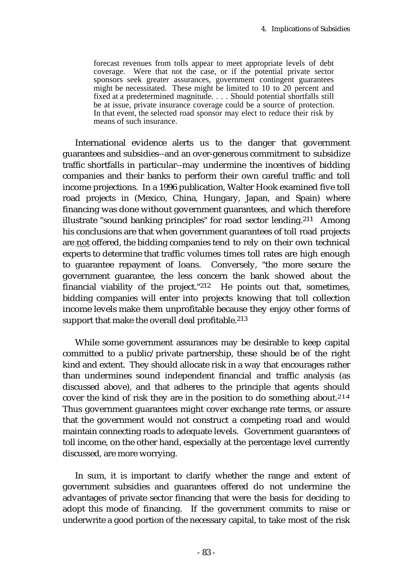forecast revenues from tolls appear to meet appropriate levels of debt coverage. Were that not the case, or if the potential private sector sponsors seek greater assurances, government contingent guarantees might be necessitated. These might be limited to 10 to 20 percent and fixed at a predetermined magnitude. . . . Should potential shortfalls still be at issue, private insurance coverage could be a source of protection. In that event, the selected road sponsor may elect to reduce their risk by means of such insurance.

International evidence alerts us to the danger that government guarantees and subsidies--and an over-generous commitment to subsidize traffic shortfalls in particular--may undermine the incentives of bidding companies and their banks to perform their own careful traffic and toll income projections. In a 1996 publication, Walter Hook examined five toll road projects in (Mexico, China, Hungary, Japan, and Spain) where financing was done without government guarantees, and which therefore illustrate "sound banking principles" for road sector lending.211 Among his conclusions are that when government guarantees of toll road projects are not offered, the bidding companies tend to rely on their own technical experts to determine that traffic volumes times toll rates are high enough to guarantee repayment of loans. Conversely, "the more secure the government guarantee, the less concern the bank showed about the financial viability of the project."212 He points out that, sometimes, bidding companies will enter into projects knowing that toll collection income levels make them unprofitable because they enjoy other forms of support that make the overall deal profitable.<sup>213</sup>

While some government assurances may be desirable to keep capital committed to a public/private partnership, these should be of the right kind and extent. They should allocate risk in a way that encourages rather than undermines sound independent financial and traffic analysis (as discussed above), and that adheres to the principle that agents should cover the kind of risk they are in the position to do something about.<sup>214</sup> Thus government guarantees might cover exchange rate terms, or assure that the government would not construct a competing road and would maintain connecting roads to adequate levels. Government guarantees of toll income, on the other hand, especially at the percentage level currently discussed, are more worrying.

In sum, it is important to clarify whether the range and extent of government subsidies and guarantees offered do not undermine the advantages of private sector financing that were the basis for deciding to adopt this mode of financing. If the government commits to raise or underwrite a good portion of the necessary capital, to take most of the risk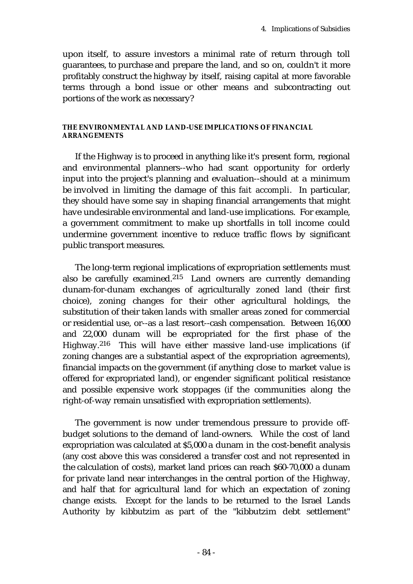upon itself, to assure investors a minimal rate of return through toll guarantees, to purchase and prepare the land, and so on, couldn't it more profitably construct the highway by itself, raising capital at more favorable terms through a bond issue or other means and subcontracting out portions of the work as necessary?

#### **THE ENVIRONMENTAL AND LAND-USE IMPLICATIONS OF FINANCIAL ARRANGEMENTS**

If the Highway is to proceed in anything like it's present form, regional and environmental planners--who had scant opportunity for orderly input into the project's planning and evaluation--should at a minimum be involved in limiting the damage of this *fait accompli*. In particular, they should have some say in shaping financial arrangements that might have undesirable environmental and land-use implications. For example, a government commitment to make up shortfalls in toll income could undermine government incentive to reduce traffic flows by significant public transport measures.

The long-term regional implications of expropriation settlements must also be carefully examined.215 Land owners are currently demanding dunam-for-dunam exchanges of agriculturally zoned land (their first choice), zoning changes for their other agricultural holdings, the substitution of their taken lands with smaller areas zoned for commercial or residential use, or--as a last resort--cash compensation. Between 16,000 and 22,000 dunam will be expropriated for the first phase of the Highway.216 This will have either massive land-use implications (if zoning changes are a substantial aspect of the expropriation agreements), financial impacts on the government (if anything close to market value is offered for expropriated land), or engender significant political resistance and possible expensive work stoppages (if the communities along the right-of-way remain unsatisfied with expropriation settlements).

The government is now under tremendous pressure to provide offbudget solutions to the demand of land-owners. While the cost of land expropriation was calculated at \$5,000 a dunam in the cost-benefit analysis (any cost above this was considered a transfer cost and not represented in the calculation of costs), market land prices can reach \$60-70,000 a dunam for private land near interchanges in the central portion of the Highway, and half that for agricultural land for which an expectation of zoning change exists. Except for the lands to be returned to the Israel Lands Authority by kibbutzim as part of the "kibbutzim debt settlement"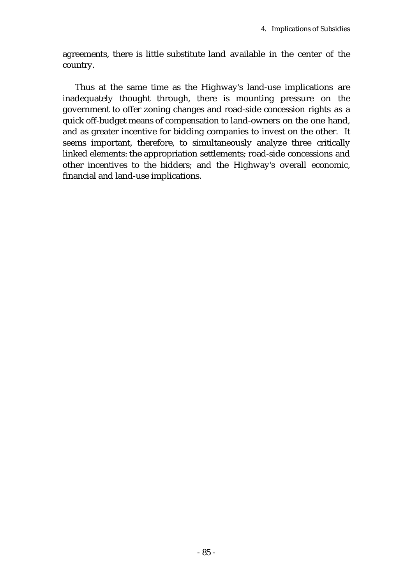agreements, there is little substitute land available in the center of the country.

Thus at the same time as the Highway's land-use implications are inadequately thought through, there is mounting pressure on the government to offer zoning changes and road-side concession rights as a quick off-budget means of compensation to land-owners on the one hand, and as greater incentive for bidding companies to invest on the other. It seems important, therefore, to simultaneously analyze three critically linked elements: the appropriation settlements; road-side concessions and other incentives to the bidders; and the Highway's overall economic, financial and land-use implications.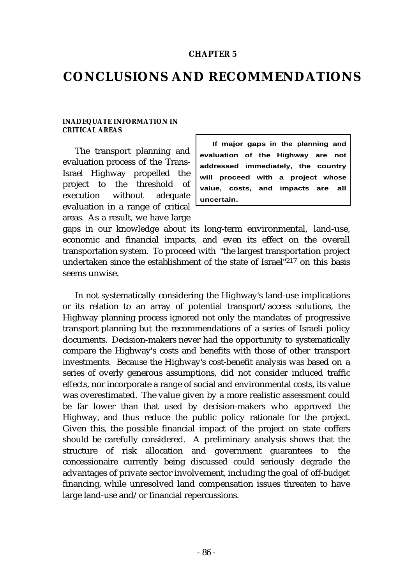#### **CHAPTER 5**

## **CONCLUSIONS AND RECOMMENDATIONS**

#### **INADEQUATE INFORMATION IN CRITICAL AREAS**

The transport planning and evaluation process of the Trans-Israel Highway propelled the project to the threshold of execution without adequate evaluation in a range of critical areas. As a result, we have large

**If major gaps in the planning and evaluation of the Highway are not addressed immediately, the country will proceed with a project whose value, costs, and impacts are all uncertain.**

gaps in our knowledge about its long-term environmental, land-use, economic and financial impacts, and even its effect on the overall transportation system. To proceed with "the largest transportation project undertaken since the establishment of the state of Israel"217 on this basis seems unwise.

In not systematically considering the Highway's land-use implications or its relation to an array of potential transport/access solutions, the Highway planning process ignored not only the mandates of progressive transport planning but the recommendations of a series of Israeli policy documents. Decision-makers never had the opportunity to systematically compare the Highway's costs and benefits with those of other transport investments. Because the Highway's cost-benefit analysis was based on a series of overly generous assumptions, did not consider induced traffic effects, nor incorporate a range of social and environmental costs, its value was overestimated. The value given by a more realistic assessment could be far lower than that used by decision-makers who approved the Highway, and thus reduce the public policy rationale for the project. Given this, the possible financial impact of the project on state coffers should be carefully considered. A preliminary analysis shows that the structure of risk allocation and government guarantees to the concessionaire currently being discussed could seriously degrade the advantages of private sector involvement, including the goal of off-budget financing, while unresolved land compensation issues threaten to have large land-use and/or financial repercussions.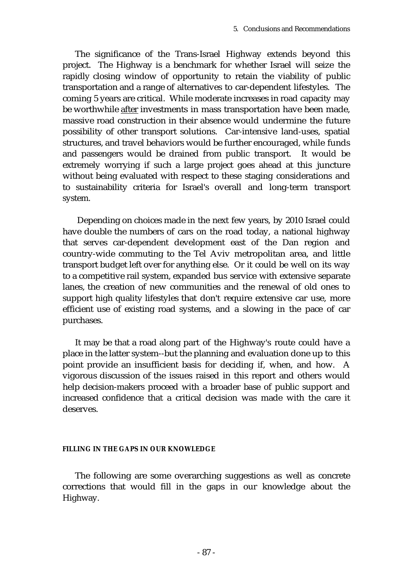The significance of the Trans-Israel Highway extends beyond this project. The Highway is a benchmark for whether Israel will seize the rapidly closing window of opportunity to retain the viability of public transportation and a range of alternatives to car-dependent lifestyles. The coming 5 years are critical. While moderate increases in road capacity may be worthwhile after investments in mass transportation have been made, massive road construction in their absence would undermine the future possibility of other transport solutions. Car-intensive land-uses, spatial structures, and travel behaviors would be further encouraged, while funds and passengers would be drained from public transport. It would be extremely worrying if such a large project goes ahead at this juncture without being evaluated with respect to these staging considerations and to sustainability criteria for Israel's overall and long-term transport system.

Depending on choices made in the next few years, by 2010 Israel could have double the numbers of cars on the road today, a national highway that serves car-dependent development east of the Dan region and country-wide commuting to the Tel Aviv metropolitan area, and little transport budget left over for anything else. Or it could be well on its way to a competitive rail system, expanded bus service with extensive separate lanes, the creation of new communities and the renewal of old ones to support high quality lifestyles that don't require extensive car use, more efficient use of existing road systems, and a slowing in the pace of car purchases.

It may be that a road along part of the Highway's route could have a place in the latter system--but the planning and evaluation done up to this point provide an insufficient basis for deciding if, when, and how. A vigorous discussion of the issues raised in this report and others would help decision-makers proceed with a broader base of public support and increased confidence that a critical decision was made with the care it deserves.

#### **FILLING IN THE GAPS IN OUR KNOWLEDGE**

The following are some overarching suggestions as well as concrete corrections that would fill in the gaps in our knowledge about the Highway.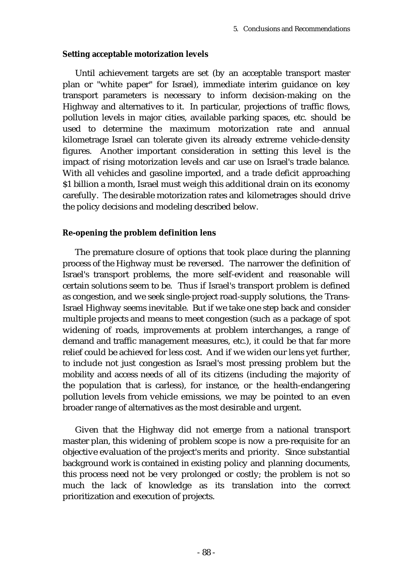### **Setting acceptable motorization levels**

Until achievement targets are set (by an acceptable transport master plan or "white paper" for Israel), immediate interim guidance on key transport parameters is necessary to inform decision-making on the Highway and alternatives to it. In particular, projections of traffic flows, pollution levels in major cities, available parking spaces, etc. should be used to determine the maximum motorization rate and annual kilometrage Israel can tolerate given its already extreme vehicle-density figures. Another important consideration in setting this level is the impact of rising motorization levels and car use on Israel's trade balance. With all vehicles and gasoline imported, and a trade deficit approaching \$1 billion a month, Israel must weigh this additional drain on its economy carefully. The desirable motorization rates and kilometrages should drive the policy decisions and modeling described below.

### **Re-opening the problem definition lens**

The premature closure of options that took place during the planning process of the Highway must be reversed. The narrower the definition of Israel's transport problems, the more self-evident and reasonable will certain solutions seem to be. Thus if Israel's transport problem is defined as congestion, and we seek single-project road-supply solutions, the Trans-Israel Highway seems inevitable. But if we take one step back and consider multiple projects and means to meet congestion (such as a package of spot widening of roads, improvements at problem interchanges, a range of demand and traffic management measures, etc.), it could be that far more relief could be achieved for less cost. And if we widen our lens yet further, to include not just congestion as Israel's most pressing problem but the mobility and access needs of all of its citizens (including the majority of the population that is carless), for instance, or the health-endangering pollution levels from vehicle emissions, we may be pointed to an even broader range of alternatives as the most desirable and urgent.

Given that the Highway did not emerge from a national transport master plan, this widening of problem scope is now a pre-requisite for an objective evaluation of the project's merits and priority. Since substantial background work is contained in existing policy and planning documents, this process need not be very prolonged or costly; the problem is not so much the lack of knowledge as its translation into the correct prioritization and execution of projects.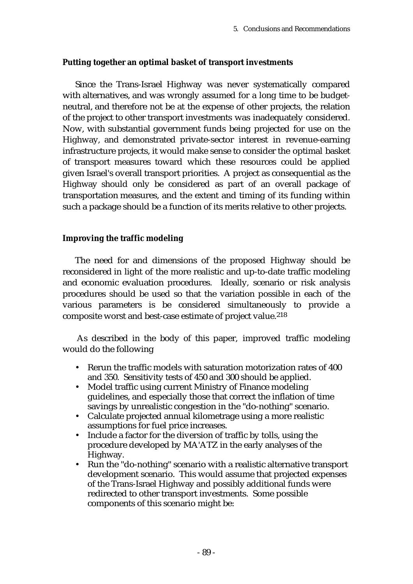## **Putting together an optimal basket of transport investments**

Since the Trans-Israel Highway was never systematically compared with alternatives, and was wrongly assumed for a long time to be budgetneutral, and therefore not be at the expense of other projects, the relation of the project to other transport investments was inadequately considered. Now, with substantial government funds being projected for use on the Highway, and demonstrated private-sector interest in revenue-earning infrastructure projects, it would make sense to consider the optimal basket of transport measures toward which these resources could be applied given Israel's overall transport priorities. A project as consequential as the Highway should only be considered as part of an overall package of transportation measures, and the extent and timing of its funding within such a package should be a function of its merits relative to other projects.

### **Improving the traffic modeling**

The need for and dimensions of the proposed Highway should be reconsidered in light of the more realistic and up-to-date traffic modeling and economic evaluation procedures. Ideally, scenario or risk analysis procedures should be used so that the variation possible in each of the various parameters is be considered simultaneously to provide a composite worst and best-case estimate of project value.218

As described in the body of this paper, improved traffic modeling would do the following

- Rerun the traffic models with saturation motorization rates of 400 and 350. Sensitivity tests of 450 and 300 should be applied.
- Model traffic using current Ministry of Finance modeling guidelines, and especially those that correct the inflation of time savings by unrealistic congestion in the "do-nothing" scenario.
- Calculate projected annual kilometrage using a more realistic assumptions for fuel price increases.
- Include a factor for the diversion of traffic by tolls, using the procedure developed by MA'ATZ in the early analyses of the Highway.
- Run the "do-nothing" scenario with a realistic alternative transport development scenario. This would assume that projected expenses of the Trans-Israel Highway and possibly additional funds were redirected to other transport investments. Some possible components of this scenario might be: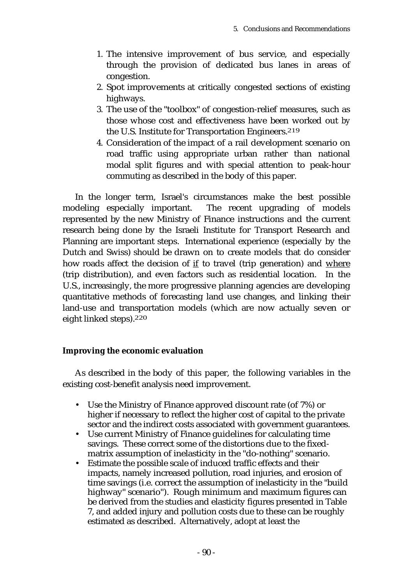- 1. The intensive improvement of bus service, and especially through the provision of dedicated bus lanes in areas of congestion.
- 2. Spot improvements at critically congested sections of existing highways.
- 3. The use of the "toolbox" of congestion-relief measures, such as those whose cost and effectiveness have been worked out by the U.S. Institute for Transportation Engineers.<sup>219</sup>
- 4. Consideration of the impact of a rail development scenario on road traffic using appropriate urban rather than national modal split figures and with special attention to peak-hour commuting as described in the body of this paper.

In the longer term, Israel's circumstances make the best possible modeling especially important. The recent upgrading of models represented by the new Ministry of Finance instructions and the current research being done by the Israeli Institute for Transport Research and Planning are important steps. International experience (especially by the Dutch and Swiss) should be drawn on to create models that do consider how roads affect the decision of if to travel (trip generation) and where (trip distribution), and even factors such as residential location. In the U.S., increasingly, the more progressive planning agencies are developing quantitative methods of forecasting land use changes, and linking their land-use and transportation models (which are now actually seven or eight linked steps).220

## **Improving the economic evaluation**

As described in the body of this paper, the following variables in the existing cost-benefit analysis need improvement.

- Use the Ministry of Finance approved discount rate (of 7%) or higher if necessary to reflect the higher cost of capital to the private sector and the indirect costs associated with government guarantees.
- Use current Ministry of Finance guidelines for calculating time savings. These correct some of the distortions due to the fixedmatrix assumption of inelasticity in the "do-nothing" scenario.
- Estimate the possible scale of induced traffic effects and their impacts, namely increased pollution, road injuries, and erosion of time savings (i.e. correct the assumption of inelasticity in the "build highway" scenario"). Rough minimum and maximum figures can be derived from the studies and elasticity figures presented in Table 7, and added injury and pollution costs due to these can be roughly estimated as described. Alternatively, adopt at least the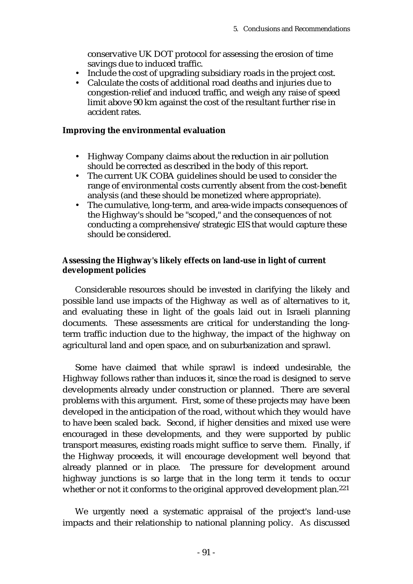conservative UK DOT protocol for assessing the erosion of time savings due to induced traffic.

- Include the cost of upgrading subsidiary roads in the project cost.<br>• Calculate the costs of additional road deaths and injuries due to
- Calculate the costs of additional road deaths and injuries due to congestion-relief and induced traffic, and weigh any raise of speed limit above 90 km against the cost of the resultant further rise in accident rates.

#### **Improving the environmental evaluation**

- Highway Company claims about the reduction in air pollution should be corrected as described in the body of this report.
- The current UK COBA guidelines should be used to consider the range of environmental costs currently absent from the cost-benefit analysis (and these should be monetized where appropriate).
- The cumulative, long-term, and area-wide impacts consequences of the Highway's should be "scoped," and the consequences of not conducting a comprehensive/strategic EIS that would capture these should be considered.

### **Assessing the Highway's likely effects on land-use in light of current development policies**

Considerable resources should be invested in clarifying the likely and possible land use impacts of the Highway as well as of alternatives to it, and evaluating these in light of the goals laid out in Israeli planning documents. These assessments are critical for understanding the longterm traffic induction due to the highway, the impact of the highway on agricultural land and open space, and on suburbanization and sprawl.

Some have claimed that while sprawl is indeed undesirable, the Highway follows rather than induces it, since the road is designed to serve developments already under construction or planned. There are several problems with this argument. First, some of these projects may have been developed in the anticipation of the road, without which they would have to have been scaled back. Second, if higher densities and mixed use were encouraged in these developments, and they were supported by public transport measures, existing roads might suffice to serve them. Finally, if the Highway proceeds, it will encourage development well beyond that already planned or in place. The pressure for development around highway junctions is so large that in the long term it tends to occur whether or not it conforms to the original approved development plan.<sup>221</sup>

We urgently need a systematic appraisal of the project's land-use impacts and their relationship to national planning policy. As discussed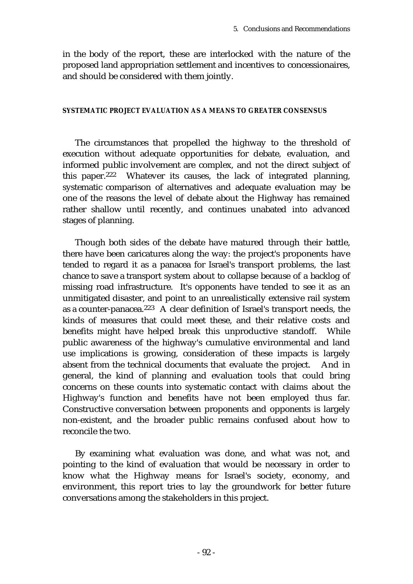in the body of the report, these are interlocked with the nature of the proposed land appropriation settlement and incentives to concessionaires, and should be considered with them jointly.

#### **SYSTEMATIC PROJECT EVALUATION AS A MEANS TO GREATER CONSENSUS**

The circumstances that propelled the highway to the threshold of execution without adequate opportunities for debate, evaluation, and informed public involvement are complex, and not the direct subject of this paper.222 Whatever its causes, the lack of integrated planning, systematic comparison of alternatives and adequate evaluation may be one of the reasons the level of debate about the Highway has remained rather shallow until recently, and continues unabated into advanced stages of planning.

Though both sides of the debate have matured through their battle, there have been caricatures along the way: the project's proponents have tended to regard it as a panacea for Israel's transport problems, the last chance to save a transport system about to collapse because of a backlog of missing road infrastructure. It's opponents have tended to see it as an unmitigated disaster, and point to an unrealistically extensive rail system as a counter-panacea.223 A clear definition of Israel's transport needs, the kinds of measures that could meet these, and their relative costs and benefits might have helped break this unproductive standoff. While public awareness of the highway's cumulative environmental and land use implications is growing, consideration of these impacts is largely absent from the technical documents that evaluate the project. And in general, the kind of planning and evaluation tools that could bring concerns on these counts into systematic contact with claims about the Highway's function and benefits have not been employed thus far. Constructive conversation between proponents and opponents is largely non-existent, and the broader public remains confused about how to reconcile the two.

By examining what evaluation was done, and what was not, and pointing to the kind of evaluation that would be necessary in order to know what the Highway means for Israel's society, economy, and environment, this report tries to lay the groundwork for better future conversations among the stakeholders in this project.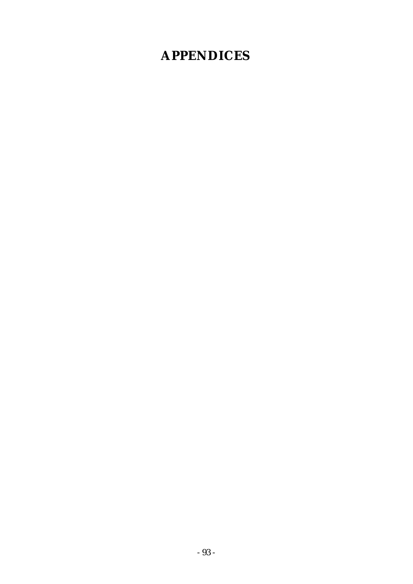# **APPENDICES**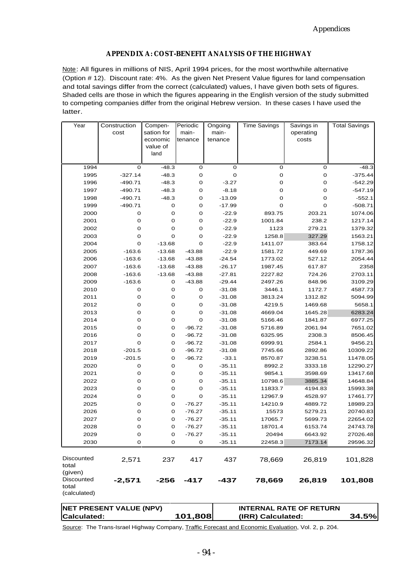#### **APPENDIX A: COST-BENEFIT ANALYSIS OF THE HIGHWAY**

Note: All figures in millions of NIS, April 1994 prices, for the most worthwhile alternative (Option # 12). Discount rate: 4%. As the given Net Present Value figures for land compensation and total savings differ from the correct (calculated) values, I have given both sets of figures. Shaded cells are those in which the figures appearing in the English version of the study submitted to competing companies differ from the original Hebrew version. In these cases I have used the latter.

| Year                                           | Construction<br>cost           | Compen-<br>sation for<br>economic<br>value of | Periodic<br>main-<br>tenance | Ongoing<br>main-<br>tenance | <b>Time Savings</b>            | Savings in<br>operating<br>costs | <b>Total Savings</b> |
|------------------------------------------------|--------------------------------|-----------------------------------------------|------------------------------|-----------------------------|--------------------------------|----------------------------------|----------------------|
|                                                |                                | land                                          |                              |                             |                                |                                  |                      |
| 1994                                           | 0                              | $-48.3$                                       | 0                            | 0                           | o                              | o                                | $-48.3$              |
| 1995                                           | $-327.14$                      | $-48.3$                                       | $\mathsf{O}\xspace$          | $\mathbf 0$                 | 0                              | $\mathbf 0$                      | $-375.44$            |
| 1996                                           | $-490.71$                      | $-48.3$                                       | 0                            | $-3.27$                     | 0                              | $\mathbf 0$                      | $-542.29$            |
| 1997                                           | $-490.71$                      | $-48.3$                                       | 0                            | $-8.18$                     | 0                              | $\mathbf 0$                      | $-547.19$            |
| 1998                                           | $-490.71$                      | $-48.3$                                       | 0                            | $-13.09$                    | 0                              | O                                | $-552.1$             |
| 1999                                           | $-490.71$                      | o                                             | 0                            | $-17.99$                    | 0                              | O                                | $-508.71$            |
| 2000                                           | o                              | 0                                             | o                            | $-22.9$                     | 893.75                         | 203.21                           | 1074.06              |
| 2001                                           | 0                              | $\mathbf 0$                                   | o                            | $-22.9$                     | 1001.84                        | 238.2                            | 1217.14              |
| 2002                                           | 0                              | 0                                             | o                            | $-22.9$                     | 1123                           | 279.21                           | 1379.32              |
| 2003                                           | 0                              | O                                             | O                            | $-22.9$                     | 1258.8                         | 327.29                           | 1563.21              |
| 2004                                           | 0                              | $-13.68$                                      | 0                            | $-22.9$                     | 1411.07                        | 383.64                           | 1758.12              |
| 2005                                           | $-163.6$                       | $-13.68$                                      | $-43.88$                     | $-22.9$                     | 1581.72                        | 449.69                           | 1787.36              |
| 2006                                           | $-163.6$                       | $-13.68$                                      | $-43.88$                     | $-24.54$                    | 1773.02                        | 527.12                           | 2054.44              |
| 2007                                           | $-163.6$                       | $-13.68$                                      | $-43.88$                     | $-26.17$                    | 1987.45                        | 617.87                           | 2358                 |
| 2008                                           | $-163.6$                       | $-13.68$                                      | $-43.88$                     | $-27.81$                    | 2227.82                        | 724.26                           | 2703.11              |
| 2009                                           | $-163.6$                       | o                                             | $-43.88$                     | $-29.44$                    | 2497.26                        | 848.96                           | 3109.29              |
| 2010                                           | o                              | $\mathbf 0$                                   | o                            | $-31.08$                    | 3446.1                         | 1172.7                           | 4587.73              |
| 2011                                           | 0                              | $\mathbf 0$                                   | 0                            | $-31.08$                    | 3813.24                        | 1312.82                          | 5094.99              |
| 2012                                           | o                              | 0                                             | o                            | $-31.08$                    | 4219.5                         | 1469.68                          | 5658.1               |
| 2013                                           | 0                              | 0                                             | 0                            | $-31.08$                    | 4669.04                        | 1645.28                          | 6283.24              |
| 2014                                           | 0                              | 0                                             | 0                            | $-31.08$                    | 5166.46                        | 1841.87                          | 6977.25              |
| 2015                                           | 0                              | 0                                             | $-96.72$                     | $-31.08$                    | 5716.89                        | 2061.94                          | 7651.02              |
| 2016                                           | 0                              | 0                                             | $-96.72$                     | -31.08                      | 6325.95                        | 2308.3                           | 8506.45              |
| 2017                                           | 0                              | 0                                             | $-96.72$                     | -31.08                      | 6999.91                        | 2584.1                           | 9456.21              |
| 2018                                           | $-201.5$                       | 0                                             | $-96.72$                     | $-31.08$                    | 7745.66                        | 2892.86                          | 10309.22             |
| 2019                                           | $-201.5$                       | 0                                             | $-96.72$                     | $-33.1$                     | 8570.87                        | 3238.51                          | 11478.05             |
| 2020                                           | o                              | 0                                             | 0                            | $-35.11$                    | 8992.2                         | 3333.18                          | 12290.27             |
| 2021                                           | o                              | $\mathbf 0$                                   | $\mathsf{O}\xspace$          | $-35.11$                    | 9854.1                         | 3598.69                          | 13417.68             |
| 2022                                           | 0                              | $\mathbf 0$                                   | 0                            | $-35.11$                    | 10798.6                        | 3885.34                          | 14648.84             |
| 2023                                           | 0                              | $\mathbf 0$                                   | 0                            | $-35.11$                    | 11833.7                        | 4194.83                          | 15993.38             |
| 2024                                           | o                              | 0                                             | o                            | $-35.11$                    | 12967.9                        | 4528.97                          | 17461.77             |
| 2025                                           | o                              | o                                             | $-76.27$                     | $-35.11$                    | 14210.9                        | 4889.72                          | 18989.23             |
| 2026                                           | o                              | 0                                             | $-76.27$                     | $-35.11$                    | 15573                          | 5279.21                          | 20740.83             |
| 2027                                           | o                              | $\mathbf 0$                                   | $-76.27$                     | $-35.11$                    | 17065.7                        | 5699.73                          | 22654.02             |
| 2028                                           | 0                              | O                                             | $-76.27$                     | $-35.11$                    | 18701.4                        | 6153.74                          | 24743.78             |
| 2029                                           | 0                              | 0                                             | -76.27                       | -35.11                      | 20494                          | 6643.92                          | 27026.48             |
| 2030                                           | 0                              | 0                                             | 0                            | $-35.11$                    | 22458.3                        | 7173.14                          | 29596.32             |
| Discounted<br>total                            | 2,571                          | 237                                           | 417                          | 437                         | 78,669                         | 26,819                           | 101,828              |
| (given)<br>Discounted<br>total<br>(calculated) | $-2,571$                       | $-256$                                        | -417                         | -437                        | 78,669                         | 26,819                           | 101,808              |
|                                                | <b>NET PRESENT VALUE (NPV)</b> |                                               |                              |                             | <b>INTERNAL RATE OF RETURN</b> |                                  |                      |
| 101,808<br><b>Calculated:</b>                  |                                |                                               | (IRR) Calculated:            |                             | 34.5%                          |                                  |                      |

**Calculated: 101,808** Source: The Trans-Israel Highway Company, Traffic Forecast and Economic Evaluation, Vol. 2, p. 204.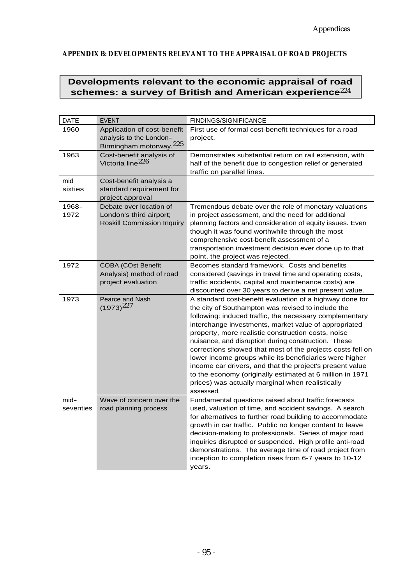#### **APPENDIX B: DEVELOPMENTS RELEVANT TO THE APPRAISAL OF ROAD PROJECTS**

## **Developments relevant to the economic appraisal of road** schemes: a survey of British and American experience<sup>224</sup>

| <b>DATE</b>          | <b>EVENT</b>                                                                                  | FINDINGS/SIGNIFICANCE                                                                                                                                                                                                                                                                                                                                                                                                                                                                                                                                                                                                                                              |
|----------------------|-----------------------------------------------------------------------------------------------|--------------------------------------------------------------------------------------------------------------------------------------------------------------------------------------------------------------------------------------------------------------------------------------------------------------------------------------------------------------------------------------------------------------------------------------------------------------------------------------------------------------------------------------------------------------------------------------------------------------------------------------------------------------------|
| 1960                 | Application of cost-benefit<br>analysis to the London-<br>Birmingham motorway. <sup>225</sup> | First use of formal cost-benefit techniques for a road<br>project.                                                                                                                                                                                                                                                                                                                                                                                                                                                                                                                                                                                                 |
| 1963                 | Cost-benefit analysis of<br>Victoria line <sup>226</sup>                                      | Demonstrates substantial return on rail extension, with<br>half of the benefit due to congestion relief or generated<br>traffic on parallel lines.                                                                                                                                                                                                                                                                                                                                                                                                                                                                                                                 |
| mid<br>sixties       | Cost-benefit analysis a<br>standard requirement for<br>project approval                       |                                                                                                                                                                                                                                                                                                                                                                                                                                                                                                                                                                                                                                                                    |
| 1968-<br>1972        | Debate over location of<br>London's third airport:<br><b>Roskill Commission Inquiry</b>       | Tremendous debate over the role of monetary valuations<br>in project assessment, and the need for additional<br>planning factors and consideration of equity issues. Even<br>though it was found worthwhile through the most<br>comprehensive cost-benefit assessment of a<br>transportation investment decision ever done up to that<br>point, the project was rejected.                                                                                                                                                                                                                                                                                          |
| 1972                 | <b>COBA (COst Benefit</b><br>Analysis) method of road<br>project evaluation                   | Becomes standard framework. Costs and benefits<br>considered (savings in travel time and operating costs,<br>traffic accidents, capital and maintenance costs) are<br>discounted over 30 years to derive a net present value.                                                                                                                                                                                                                                                                                                                                                                                                                                      |
| 1973                 | Pearce and Nash<br>$(1973)^{227}$                                                             | A standard cost-benefit evaluation of a highway done for<br>the city of Southampton was revised to include the<br>following: induced traffic, the necessary complementary<br>interchange investments, market value of appropriated<br>property, more realistic construction costs, noise<br>nuisance, and disruption during construction. These<br>corrections showed that most of the projects costs fell on<br>lower income groups while its beneficiaries were higher<br>income car drivers, and that the project's present value<br>to the economy (originally estimated at 6 million in 1971<br>prices) was actually marginal when realistically<br>assessed. |
| $mid$ -<br>seventies | Wave of concern over the<br>road planning process                                             | Fundamental questions raised about traffic forecasts<br>used, valuation of time, and accident savings. A search<br>for alternatives to further road building to accommodate<br>growth in car traffic. Public no longer content to leave<br>decision-making to professionals. Series of major road<br>inquiries disrupted or suspended. High profile anti-road<br>demonstrations. The average time of road project from<br>inception to completion rises from 6-7 years to 10-12<br>years.                                                                                                                                                                          |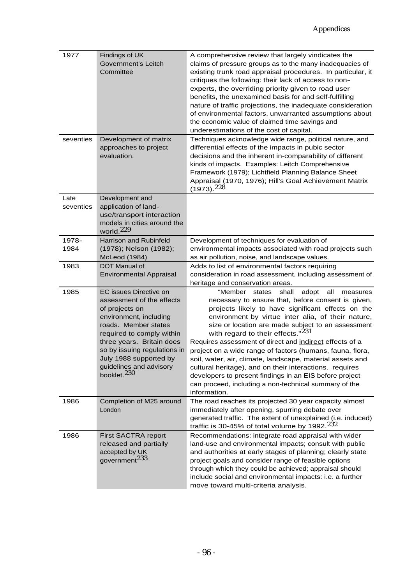| 1977              | Findings of UK<br>Government's Leitch<br>Committee                                                                                                                                                                                                                                                | A comprehensive review that largely vindicates the<br>claims of pressure groups as to the many inadequacies of<br>existing trunk road appraisal procedures. In particular, it<br>critiques the following: their lack of access to non-<br>experts, the overriding priority given to road user<br>benefits, the unexamined basis for and self-fulfilling<br>nature of traffic projections, the inadequate consideration<br>of environmental factors, unwarranted assumptions about<br>the economic value of claimed time savings and<br>underestimations of the cost of capital.                                                                                                                                     |
|-------------------|---------------------------------------------------------------------------------------------------------------------------------------------------------------------------------------------------------------------------------------------------------------------------------------------------|---------------------------------------------------------------------------------------------------------------------------------------------------------------------------------------------------------------------------------------------------------------------------------------------------------------------------------------------------------------------------------------------------------------------------------------------------------------------------------------------------------------------------------------------------------------------------------------------------------------------------------------------------------------------------------------------------------------------|
| seventies         | Development of matrix<br>approaches to project<br>evaluation.                                                                                                                                                                                                                                     | Techniques acknowledge wide range, political nature, and<br>differential effects of the impacts in pubic sector<br>decisions and the inherent in-comparability of different<br>kinds of impacts. Examples: Leitch Comprehensive<br>Framework (1979); Lichtfield Planning Balance Sheet<br>Appraisal (1970, 1976); Hill's Goal Achievement Matrix<br>$(1973).^{228}$                                                                                                                                                                                                                                                                                                                                                 |
| Late<br>seventies | Development and<br>application of land-<br>use/transport interaction<br>models in cities around the<br>world. $229$                                                                                                                                                                               |                                                                                                                                                                                                                                                                                                                                                                                                                                                                                                                                                                                                                                                                                                                     |
| 1978-<br>1984     | Harrison and Rubinfeld<br>(1978); Nelson (1982);<br>McLeod (1984)                                                                                                                                                                                                                                 | Development of techniques for evaluation of<br>environmental impacts associated with road projects such<br>as air pollution, noise, and landscape values.                                                                                                                                                                                                                                                                                                                                                                                                                                                                                                                                                           |
| 1983              | DOT Manual of<br><b>Environmental Appraisal</b>                                                                                                                                                                                                                                                   | Adds to list of environmental factors requiring<br>consideration in road assessment, including assessment of<br>heritage and conservation areas.                                                                                                                                                                                                                                                                                                                                                                                                                                                                                                                                                                    |
| 1985              | EC issues Directive on<br>assessment of the effects<br>of projects on<br>environment, including<br>roads. Member states<br>required to comply within<br>three years. Britain does<br>so by issuing regulations in<br>July 1988 supported by<br>guidelines and advisory<br>booklet. <sup>230</sup> | "Member<br>shall<br>all<br>states<br>adopt<br>measures<br>necessary to ensure that, before consent is given,<br>projects likely to have significant effects on the<br>environment by virtue inter alia, of their nature,<br>size or location are made subject to an assessment<br>with regard to their effects." <sup>231</sup><br>Requires assessment of direct and indirect effects of a<br>project on a wide range of factors (humans, fauna, flora,<br>soil, water, air, climate, landscape, material assets and<br>cultural heritage), and on their interactions. requires<br>developers to present findings in an EIS before project<br>can proceed, including a non-technical summary of the<br>information. |
| 1986              | Completion of M25 around<br>London                                                                                                                                                                                                                                                                | The road reaches its projected 30 year capacity almost<br>immediately after opening, spurring debate over<br>generated traffic. The extent of unexplained (i.e. induced)<br>traffic is 30-45% of total volume by 1992. $232$                                                                                                                                                                                                                                                                                                                                                                                                                                                                                        |
| 1986              | First SACTRA report<br>released and partially<br>accepted by UK<br>government <sup>233</sup>                                                                                                                                                                                                      | Recommendations: integrate road appraisal with wider<br>land-use and environmental impacts; consult with public<br>and authorities at early stages of planning; clearly state<br>project goals and consider range of feasible options<br>through which they could be achieved; appraisal should<br>include social and environmental impacts: i.e. a further<br>move toward multi-criteria analysis.                                                                                                                                                                                                                                                                                                                 |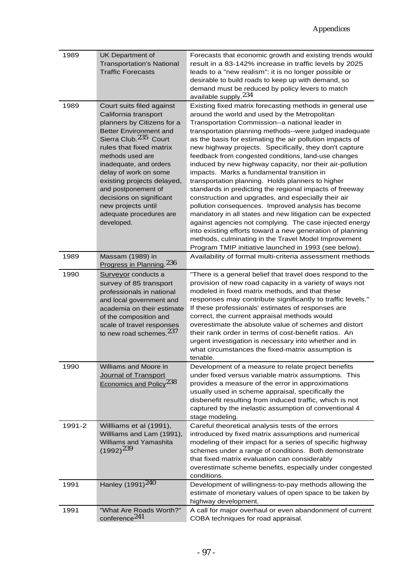| 1989   | UK Department of<br><b>Transportation's National</b><br><b>Traffic Forecasts</b>                                                                                                                                                                                                                                                                                                                 | Forecasts that economic growth and existing trends would<br>result in a 83-142% increase in traffic levels by 2025<br>leads to a "new realism": it is no longer possible or<br>desirable to build roads to keep up with demand, so<br>demand must be reduced by policy levers to match<br>available supply. <sup>234</sup>                                                                                                                                                                                                                                                                                                                                                                                                                                                                                                                                                                                                                                                                                                                             |
|--------|--------------------------------------------------------------------------------------------------------------------------------------------------------------------------------------------------------------------------------------------------------------------------------------------------------------------------------------------------------------------------------------------------|--------------------------------------------------------------------------------------------------------------------------------------------------------------------------------------------------------------------------------------------------------------------------------------------------------------------------------------------------------------------------------------------------------------------------------------------------------------------------------------------------------------------------------------------------------------------------------------------------------------------------------------------------------------------------------------------------------------------------------------------------------------------------------------------------------------------------------------------------------------------------------------------------------------------------------------------------------------------------------------------------------------------------------------------------------|
| 1989   | Court suits filed against<br>California transport<br>planners by Citizens for a<br>Better Environment and<br>Sierra Club. <sup>235</sup> Court<br>rules that fixed matrix<br>methods used are<br>inadequate, and orders<br>delay of work on some<br>existing projects delayed,<br>and postponement of<br>decisions on significant<br>new projects until<br>adequate procedures are<br>developed. | Existing fixed matrix forecasting methods in general use<br>around the world and used by the Metropolitan<br>Transportation Commission--a national leader in<br>transportation planning methods--were judged inadequate<br>as the basis for estimating the air pollution impacts of<br>new highway projects. Specifically, they don't capture<br>feedback from congested conditions, land-use changes<br>induced by new highway capacity, nor their air-pollution<br>impacts. Marks a fundamental transition in<br>transportation planning. Holds planners to higher<br>standards in predicting the regional impacts of freeway<br>construction and upgrades, and especially their air<br>pollution consequences. Improved analysis has become<br>mandatory in all states and new litigation can be expected<br>against agencies not complying. The case injected energy<br>into existing efforts toward a new generation of planning<br>methods, culminating in the Travel Model Improvement<br>Program TMIP initiative launched in 1993 (see below). |
| 1989   | Massam (1989) in<br>Progress in Planning. <sup>236</sup>                                                                                                                                                                                                                                                                                                                                         | Availability of formal multi-criteria assessment methods                                                                                                                                                                                                                                                                                                                                                                                                                                                                                                                                                                                                                                                                                                                                                                                                                                                                                                                                                                                               |
| 1990   | Surveyor conducts a<br>survey of 85 transport<br>professionals in national<br>and local government and<br>academia on their estimate<br>of the composition and<br>scale of travel responses<br>to new road schemes. <sup>237</sup>                                                                                                                                                               | "There is a general belief that travel does respond to the<br>provision of new road capacity in a variety of ways not<br>modeled in fixed matrix methods, and that these<br>responses may contribute significantly to traffic levels."<br>If these professionals' estimates of responses are<br>correct, the current appraisal methods would<br>overestimate the absolute value of schemes and distort<br>their rank order in terms of cost-benefit ratios. An<br>urgent investigation is necessary into whether and in<br>what circumstances the fixed-matrix assumption is<br>tenable.                                                                                                                                                                                                                                                                                                                                                                                                                                                               |
| 1990   | Williams and Moore in<br>Journal of Transport<br>Economics and Policy <sup>238</sup>                                                                                                                                                                                                                                                                                                             | Development of a measure to relate project benefits<br>under fixed versus variable matrix assumptions. This<br>provides a measure of the error in approximations<br>usually used in scheme appraisal, specifically the<br>disbenefit resulting from induced traffic, which is not<br>captured by the inelastic assumption of conventional 4<br>stage modeling.                                                                                                                                                                                                                                                                                                                                                                                                                                                                                                                                                                                                                                                                                         |
| 1991-2 | Willliams et al (1991),<br>Willliams and Lam (1991),<br>Williams and Yamashita<br>$(1992)^{239}$                                                                                                                                                                                                                                                                                                 | Careful theoretical analysis tests of the errors<br>introduced by fixed matrix assumptions and numerical<br>modeling of their impact for a series of specific highway<br>schemes under a range of conditions. Both demonstrate<br>that fixed matrix evaluation can considerably<br>overestimate scheme benefits, especially under congested<br>conditions.                                                                                                                                                                                                                                                                                                                                                                                                                                                                                                                                                                                                                                                                                             |
| 1991   | Hanley (1991) <sup>240</sup>                                                                                                                                                                                                                                                                                                                                                                     | Development of willingness-to-pay methods allowing the<br>estimate of monetary values of open space to be taken by<br>highway development.                                                                                                                                                                                                                                                                                                                                                                                                                                                                                                                                                                                                                                                                                                                                                                                                                                                                                                             |
| 1991   | "What Are Roads Worth?"<br>conference <sup>241</sup>                                                                                                                                                                                                                                                                                                                                             | A call for major overhaul or even abandonment of current<br>COBA techniques for road appraisal.                                                                                                                                                                                                                                                                                                                                                                                                                                                                                                                                                                                                                                                                                                                                                                                                                                                                                                                                                        |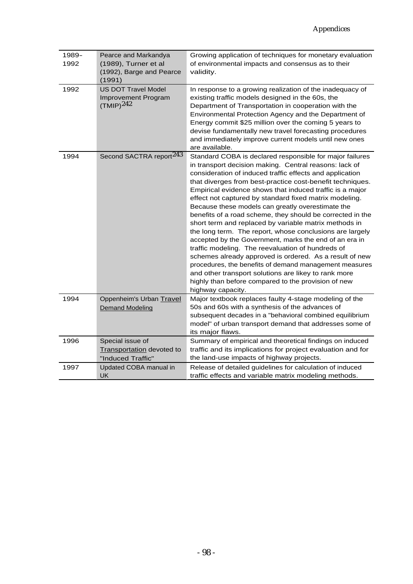| 1989-<br>1992 | Pearce and Markandya<br>(1989), Turner et al<br>(1992), Barge and Pearce<br>(1991) | Growing application of techniques for monetary evaluation<br>of environmental impacts and consensus as to their<br>validity.                                                                                                                                                                                                                                                                                                                                                                                                                                                                                                                                                                                                                                                                                                                                                                                                                                                      |
|---------------|------------------------------------------------------------------------------------|-----------------------------------------------------------------------------------------------------------------------------------------------------------------------------------------------------------------------------------------------------------------------------------------------------------------------------------------------------------------------------------------------------------------------------------------------------------------------------------------------------------------------------------------------------------------------------------------------------------------------------------------------------------------------------------------------------------------------------------------------------------------------------------------------------------------------------------------------------------------------------------------------------------------------------------------------------------------------------------|
| 1992          | <b>US DOT Travel Model</b><br>Improvement Program<br>$(TMIP)^{242}$                | In response to a growing realization of the inadequacy of<br>existing traffic models designed in the 60s, the<br>Department of Transportation in cooperation with the<br>Environmental Protection Agency and the Department of<br>Energy commit \$25 million over the coming 5 years to<br>devise fundamentally new travel forecasting procedures<br>and immediately improve current models until new ones<br>are available.                                                                                                                                                                                                                                                                                                                                                                                                                                                                                                                                                      |
| 1994          | Second SACTRA report <sup>243</sup>                                                | Standard COBA is declared responsible for major failures<br>in transport decision making. Central reasons: lack of<br>consideration of induced traffic effects and application<br>that diverges from best-practice cost-benefit techniques.<br>Empirical evidence shows that induced traffic is a major<br>effect not captured by standard fixed matrix modeling.<br>Because these models can greatly overestimate the<br>benefits of a road scheme, they should be corrected in the<br>short term and replaced by variable matrix methods in<br>the long term. The report, whose conclusions are largely<br>accepted by the Government, marks the end of an era in<br>traffic modeling. The reevaluation of hundreds of<br>schemes already approved is ordered. As a result of new<br>procedures, the benefits of demand management measures<br>and other transport solutions are likey to rank more<br>highly than before compared to the provision of new<br>highway capacity. |
| 1994          | Oppenheim's Urban Travel<br><b>Demand Modeling</b>                                 | Major textbook replaces faulty 4-stage modeling of the<br>50s and 60s with a synthesis of the advances of<br>subsequent decades in a "behavioral combined equilibrium<br>model" of urban transport demand that addresses some of<br>its major flaws.                                                                                                                                                                                                                                                                                                                                                                                                                                                                                                                                                                                                                                                                                                                              |
| 1996          | Special issue of<br><b>Transportation</b> devoted to<br>"Induced Traffic"          | Summary of empirical and theoretical findings on induced<br>traffic and its implications for project evaluation and for<br>the land-use impacts of highway projects.                                                                                                                                                                                                                                                                                                                                                                                                                                                                                                                                                                                                                                                                                                                                                                                                              |
| 1997          | Updated COBA manual in<br><b>UK</b>                                                | Release of detailed guidelines for calculation of induced<br>traffic effects and variable matrix modeling methods.                                                                                                                                                                                                                                                                                                                                                                                                                                                                                                                                                                                                                                                                                                                                                                                                                                                                |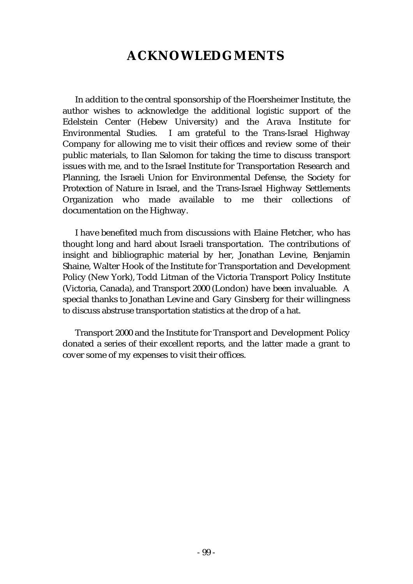# **ACKNOWLEDGMENTS**

In addition to the central sponsorship of the Floersheimer Institute, the author wishes to acknowledge the additional logistic support of the Edelstein Center (Hebew University) and the Arava Institute for Environmental Studies. I am grateful to the Trans-Israel Highway Company for allowing me to visit their offices and review some of their public materials, to Ilan Salomon for taking the time to discuss transport issues with me, and to the Israel Institute for Transportation Research and Planning, the Israeli Union for Environmental Defense, the Society for Protection of Nature in Israel, and the Trans-Israel Highway Settlements Organization who made available to me their collections of documentation on the Highway.

I have benefited much from discussions with Elaine Fletcher, who has thought long and hard about Israeli transportation. The contributions of insight and bibliographic material by her, Jonathan Levine, Benjamin Shaine, Walter Hook of the Institute for Transportation and Development Policy (New York), Todd Litman of the Victoria Transport Policy Institute (Victoria, Canada), and Transport 2000 (London) have been invaluable. A special thanks to Jonathan Levine and Gary Ginsberg for their willingness to discuss abstruse transportation statistics at the drop of a hat.

Transport 2000 and the Institute for Transport and Development Policy donated a series of their excellent reports, and the latter made a grant to cover some of my expenses to visit their offices.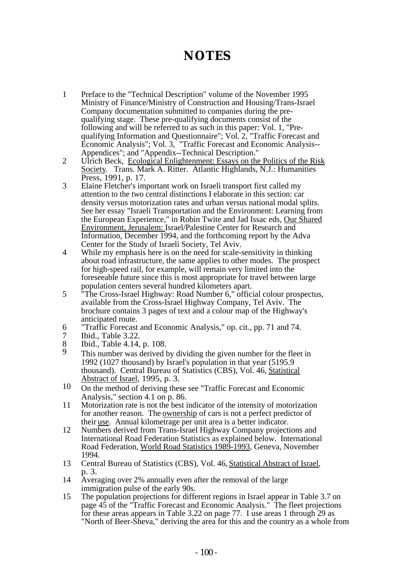# **NOTES**

- 1 Preface to the "Technical Description" volume of the November 1995 Ministry of Finance/Ministry of Construction and Housing/Trans-Israel Company documentation submitted to companies during the prequalifying stage. These pre-qualifying documents consist of the following and will be referred to as such in this paper: Vol. 1, "Prequalifying Information and Questionnaire"; Vol. 2, "Traffic Forecast and Economic Analysis"; Vol. 3, "Traffic Forecast and Economic Analysis-- Appendices"; and "Appendix--Technical Description."
- 2 Ulrich Beck, Ecological Enlightenment: Essays on the Politics of the Risk Society. Trans. Mark A. Ritter. Atlantic Highlands, N.J.: Humanities Press, 1991, p. 17.
- 3 Elaine Fletcher's important work on Israeli transport first called my attention to the two central distinctions I elaborate in this section: car density versus motorization rates and urban versus national modal splits. See her essay "Israeli Transportation and the Environment: Learning from the European Experience," in Robin Twite and Jad Issac eds, Our Shared Environment, Jerusalem: Israel/Palestine Center for Research and Information, December 1994, and the forthcoming report by the Adva Center for the Study of Israeli Society, Tel Aviv.
- 4 While my emphasis here is on the need for scale-sensitivity in thinking about road infrastructure, the same applies to other modes. The prospect for high-speed rail, for example, will remain very limited into the foreseeable future since this is most appropriate for travel between large population centers several hundred kilometers apart.
- 5 "The Cross-Israel Highway: Road Number 6," official colour prospectus, available from the Cross-Israel Highway Company, Tel Aviv. The brochure contains 3 pages of text and a colour map of the Highway's anticipated route.
- 6 "Traffic Forecast and Economic Analysis," op. cit., pp. 71 and 74.
- Ibid., Table 3.22.
- 8 Ibid., Table 4.14, p. 108.<br>9 This number was derived
- This number was derived by dividing the given number for the fleet in 1992 (1027 thousand) by Israel's population in that year (5195.9 thousand). Central Bureau of Statistics (CBS), Vol. 46, Statistical Abstract of Israel, 1995, p. 3.
- 10 On the method of deriving these see "Traffic Forecast and Economic Analysis," section 4.1 on p. 86.
- 11 Motorization rate is not the best indicator of the intensity of motorization for another reason. The ownership of cars is not a perfect predictor of their use. Annual kilometrage per unit area is a better indicator.
- 12 Numbers derived from Trans-Israel Highway Company projections and International Road Federation Statistics as explained below. International Road Federation, World Road Statistics 1989-1993, Geneva, November 1994.
- 13 Central Bureau of Statistics (CBS), Vol. 46, Statistical Abstract of Israel, p. 3.
- 14 Averaging over 2% annually even after the removal of the large immigration pulse of the early 90s.
- 15 The population projections for different regions in Israel appear in Table 3.7 on page 45 of the "Traffic Forecast and Economic Analysis." The fleet projections for these areas appears in Table 3.22 on page 77. I use areas 1 through 29 as "North of Beer-Sheva," deriving the area for this and the country as a whole from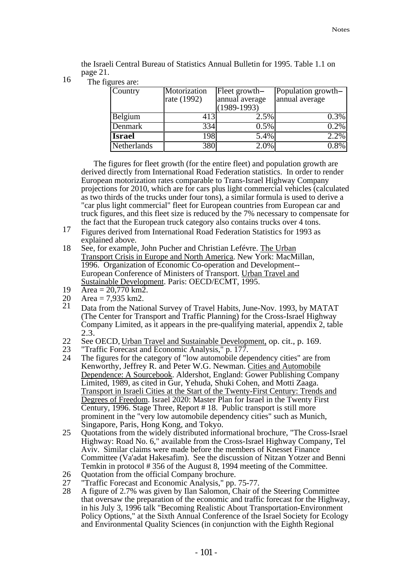the Israeli Central Bureau of Statistics Annual Bulletin for 1995. Table 1.1 on page 21.

16 The figures are:

| Country       | Motorization<br>rate (1992) | Fleet growth-<br>annual average<br>$(1989-1993)$ | Population growth-<br>annual average |
|---------------|-----------------------------|--------------------------------------------------|--------------------------------------|
| Belgium       | 413                         | 2.5%                                             | 0.3%                                 |
| Denmark       | 3341                        | $0.5\%$                                          | $0.2\%$                              |
| <b>Israel</b> | 1981                        | 5.4%                                             | 2.2%                                 |
| Netherlands   | $38\overline{0}$            | $2.0\%$                                          | 0.8%                                 |

The figures for fleet growth (for the entire fleet) and population growth are derived directly from International Road Federation statistics. In order to render European motorization rates comparable to Trans-Israel Highway Company projections for 2010, which are for cars plus light commercial vehicles (calculated as two thirds of the trucks under four tons), a similar formula is used to derive a "car plus light commercial" fleet for European countries from European car and truck figures, and this fleet size is reduced by the 7% necessary to compensate for the fact that the European truck category also contains trucks over 4 tons.

- 17 Figures derived from International Road Federation Statistics for 1993 as explained above.
- 18 See, for example, John Pucher and Christian Lefévre. The Urban Transport Crisis in Europe and North America. New York: MacMillan, 1996. Organization of Economic Co-operation and Development-- European Conference of Ministers of Transport. Urban Travel and Sustainable Development. Paris: OECD/ECMT, 1995.
- 19 Area = 20,770 km2.
- 20 Area = 7,935 km2.<br>21 Data from the Natio
- Data from the National Survey of Travel Habits, June-Nov. 1993, by MATAT (The Center for Transport and Traffic Planning) for the Cross-Israel Highway Company Limited, as it appears in the pre-qualifying material, appendix 2, table 2.3.
- 22 See OECD, Urban Travel and Sustainable Development, op. cit., p. 169.<br>23 "Traffic Forecast and Economic Analysis," p. 177.
- 23 "Traffic Forecast and Economic Analysis," p. 177.<br>24 The figures for the category of "low automobile dep
- The figures for the category of "low automobile dependency cities" are from Kenworthy, Jeffrey R. and Peter W.G. Newman. Cities and Automobile Dependence: A Sourcebook. Aldershot, England: Gower Publishing Company Limited, 1989, as cited in Gur, Yehuda, Shuki Cohen, and Motti Zaaga. Transport in Israeli Cities at the Start of the Twenty-First Century: Trends and Degrees of Freedom. Israel 2020: Master Plan for Israel in the Twenty First Century, 1996. Stage Three, Report # 18. Public transport is still more prominent in the "very low automobile dependency cities" such as Munich, Singapore, Paris, Hong Kong, and Tokyo.
- 25 Quotations from the widely distributed informational brochure, "The Cross-Israel Highway: Road No. 6," available from the Cross-Israel Highway Company, Tel Aviv. Similar claims were made before the members of Knesset Finance Committee (Va'adat Hakesafim). See the discussion of Nitzan Yotzer and Benni Temkin in protocol # 356 of the August 8, 1994 meeting of the Committee.
- 26 Quotation from the official Company brochure.<br>27 Traffic Forecast and Economic Analysis." pp.
- 27 Traffic Forecast and Economic Analysis," pp. 75-77.<br>28 A figure of 2.7% was given by Ilan Salomon. Chair of
- A figure of 2.7% was given by Ilan Salomon, Chair of the Steering Committee that oversaw the preparation of the economic and traffic forecast for the Highway, in his July 3, 1996 talk "Becoming Realistic About Transportation-Environment Policy Options," at the Sixth Annual Conference of the Israel Society for Ecology and Environmental Quality Sciences (in conjunction with the Eighth Regional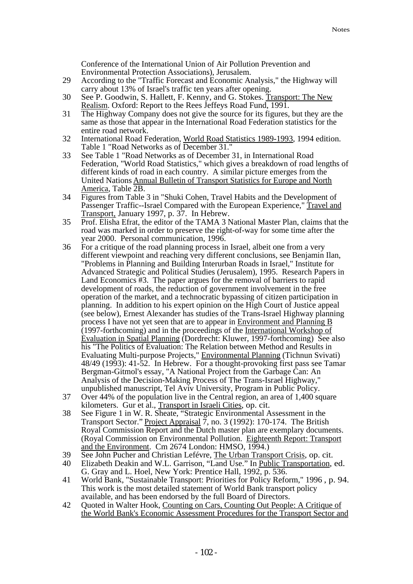Conference of the International Union of Air Pollution Prevention and Environmental Protection Associations), Jerusalem.

- 29 According to the "Traffic Forecast and Economic Analysis," the Highway will carry about 13% of Israel's traffic ten years after opening.
- 30 See P. Goodwin, S. Hallett, F. Kenny, and G. Stokes. Transport: The New Realism. Oxford: Report to the Rees Jeffeys Road Fund, 1991.
- 31 The Highway Company does not give the source for its figures, but they are the same as those that appear in the International Road Federation statistics for the entire road network.
- 32 International Road Federation, World Road Statistics 1989-1993, 1994 edition. Table 1 "Road Networks as of December 31."
- 33 See Table 1 "Road Networks as of December 31, in International Road Federation, "World Road Statistics," which gives a breakdown of road lengths of different kinds of road in each country. A similar picture emerges from the United Nations Annual Bulletin of Transport Statistics for Europe and North America, Table 2B.
- 34 Figures from Table 3 in "Shuki Cohen, Travel Habits and the Development of Passenger Traffic--Israel Compared with the European Experience," Travel and Transport, January 1997, p. 37. In Hebrew.
- 35 Prof. Elisha Efrat, the editor of the TAMA 3 National Master Plan, claims that the road was marked in order to preserve the right-of-way for some time after the year 2000. Personal communication, 1996.
- 36 For a critique of the road planning process in Israel, albeit one from a very different viewpoint and reaching very different conclusions, see Benjamin Ilan, "Problems in Planning and Building Interurban Roads in Israel," Institute for Advanced Strategic and Political Studies (Jerusalem), 1995. Research Papers in Land Economics #3. The paper argues for the removal of barriers to rapid development of roads, the reduction of government involvement in the free operation of the market, and a technocratic bypassing of citizen participation in planning. In addition to his expert opinion on the High Court of Justice appeal (see below), Ernest Alexander has studies of the Trans-Israel Highway planning process I have not yet seen that are to appear in Environment and Planning B (1997-forthcoming) and in the proceedings of the International Workshop of Evaluation in Spatial Planning (Dordrecht: Kluwer, 1997-forthcoming) See also his "The Politics of Evaluation: The Relation between Method and Results in Evaluating Multi-purpose Projects," Environmental Planning (Tichnun Svivati) 48/49 (1993): 41-52. In Hebrew. For a thought-provoking first pass see Tamar Bergman-Gitmol's essay, "A National Project from the Garbage Can: An Analysis of the Decision-Making Process of The Trans-Israel Highway," unpublished manuscript, Tel Aviv University, Program in Public Policy.
- 37 Over 44% of the population live in the Central region, an area of 1,400 square kilometers. Gur et al., Transport in Israeli Cities, op. cit.
- 38 See Figure 1 in W. R. Sheate, "Strategic Environmental Assessment in the Transport Sector." Project Appraisal 7, no. 3 (1992): 170-174. The British Royal Commission Report and the Dutch master plan are exemplary documents. (Royal Commission on Environmental Pollution. Eighteenth Report: Transport and the Environment. Cm 2674 London: HMSO, 1994.)
- 39 See John Pucher and Christian Lefévre, The Urban Transport Crisis, op. cit.
- 40 Elizabeth Deakin and W.L. Garrison, "Land Use." In <u>Public Transportation</u>, ed. G. Gray and L. Hoel, New York: Prentice Hall, 1992, p. 536.
- 41 World Bank, "Sustainable Transport: Priorities for Policy Reform," 1996 , p. 94. This work is the most detailed statement of World Bank transport policy available, and has been endorsed by the full Board of Directors.
- 42 Quoted in Walter Hook, Counting on Cars, Counting Out People: A Critique of the World Bank's Economic Assessment Procedures for the Transport Sector and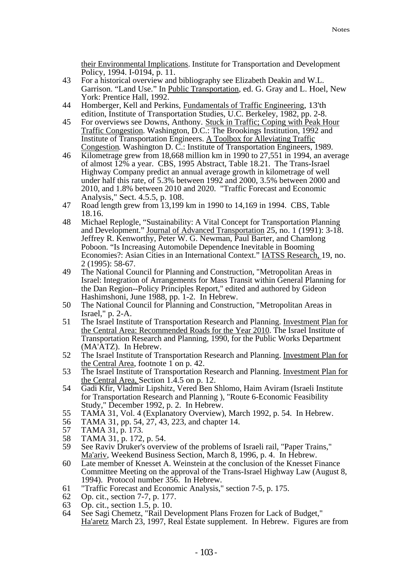their Environmental Implications. Institute for Transportation and Development Policy, 1994. I-0194, p. 11.

- 43 For a historical overview and bibliography see Elizabeth Deakin and W.L. Garrison. "Land Use." In Public Transportation, ed. G. Gray and L. Hoel, New York: Prentice Hall, 1992.
- 44 Homberger, Kell and Perkins, Fundamentals of Traffic Engineering, 13'th edition, Institute of Transportation Studies, U.C. Berkeley, 1982, pp. 2-8.
- 45 For overviews see Downs, Anthony. Stuck in Traffic; Coping with Peak Hour Traffic Congestion. Washington, D.C.: The Brookings Institution, 1992 and Institute of Transportation Engineers. A Toolbox for Alleviating Traffic Congestion. Washington D. C.: Institute of Transportation Engineers, 1989.
- 46 Kilometrage grew from 18,668 million km in 1990 to 27,551 in 1994, an average of almost 12% a year. CBS, 1995 Abstract, Table 18.21. The Trans-Israel Highway Company predict an annual average growth in kilometrage of well under half this rate, of 5.3% between 1992 and 2000, 3.5% between 2000 and 2010, and 1.8% between 2010 and 2020. "Traffic Forecast and Economic Analysis," Sect. 4.5.5, p. 108.
- 47 Road length grew from 13,199 km in 1990 to 14,169 in 1994. CBS, Table 18.16.
- 48 Michael Replogle, "Sustainability: A Vital Concept for Transportation Planning and Development." Journal of Advanced Transportation 25, no. 1 (1991): 3-18. Jeffrey R. Kenworthy, Peter W. G. Newman, Paul Barter, and Chamlong Poboon. "Is Increasing Automobile Dependence Inevitable in Booming Economies?: Asian Cities in an International Context." IATSS Research, 19, no. 2 (1995): 58-67.
- 49 The National Council for Planning and Construction, "Metropolitan Areas in Israel: Integration of Arrangements for Mass Transit within General Planning for the Dan Region--Policy Principles Report," edited and authored by Gideon Hashimshoni, June 1988, pp. 1-2. In Hebrew.
- 50 The National Council for Planning and Construction, "Metropolitan Areas in Israel," p. 2-A.
- 51 The Israel Institute of Transportation Research and Planning. Investment Plan for the Central Area: Recommended Roads for the Year 2010. The Israel Institute of Transportation Research and Planning, 1990, for the Public Works Department (MA'ATZ). In Hebrew.
- 52 The Israel Institute of Transportation Research and Planning. Investment Plan for the Central Area, footnote 1 on p. 42.
- 53 The Israel Institute of Transportation Research and Planning. Investment Plan for the Central Area, Section 1.4.5 on p. 12.
- 54 Gadi Kfir, Vladmir Lipshitz, Vered Ben Shlomo, Haim Aviram (Israeli Institute for Transportation Research and Planning ), "Route 6-Economic Feasibility Study," December 1992, p. 2. In Hebrew.
- 55 TAMA 31, Vol. 4 (Explanatory Overview), March 1992, p. 54. In Hebrew.
- 56 TAMA 31, pp. 54, 27, 43, 223, and chapter 14.<br>57 TAMA 31, p. 173.
- 57 TAMA 31, p. 173.
- 58 TAMA 31, p. 172, p. 54.<br>59 See Raviv Druker's overv
- See Raviv Druker's overview of the problems of Israeli rail, "Paper Trains," Ma'ariv, Weekend Business Section, March 8, 1996, p. 4. In Hebrew.
- 60 Late member of Knesset A. Weinstein at the conclusion of the Knesset Finance Committee Meeting on the approval of the Trans-Israel Highway Law (August 8, 1994). Protocol number 356. In Hebrew.
- 61 "Traffic Forecast and Economic Analysis," section 7-5, p. 175.
- 62 Op. cit., section 7-7, p. 177.<br>63 Op. cit., section 1.5, p. 10.
- 63 Op. cit., section 1.5, p. 10.
- 64 See Sagi Chemetz, "Rail Development Plans Frozen for Lack of Budget," Ha'aretz March 23, 1997, Real Estate supplement. In Hebrew. Figures are from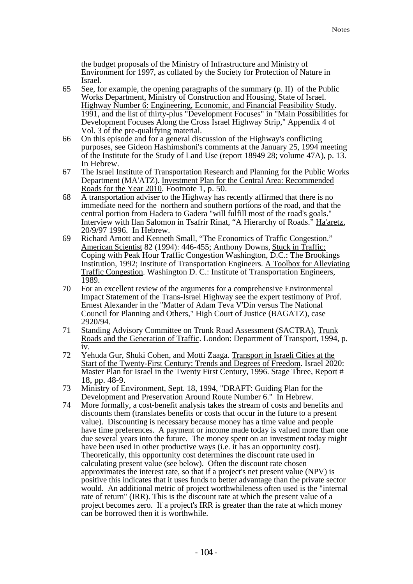the budget proposals of the Ministry of Infrastructure and Ministry of Environment for 1997, as collated by the Society for Protection of Nature in Israel.

- 65 See, for example, the opening paragraphs of the summary (p. II) of the Public Works Department, Ministry of Construction and Housing, State of Israel. Highway Number 6: Engineering, Economic, and Financial Feasibility Study. 1991, and the list of thirty-plus "Development Focuses" in "Main Possibilities for Development Focuses Along the Cross Israel Highway Strip," Appendix 4 of Vol. 3 of the pre-qualifying material.
- 66 On this episode and for a general discussion of the Highway's conflicting purposes, see Gideon Hashimshoni's comments at the January 25, 1994 meeting of the Institute for the Study of Land Use (report 18949 28; volume 47A), p. 13. In Hebrew.
- 67 The Israel Institute of Transportation Research and Planning for the Public Works Department (MA'ATZ). Investment Plan for the Central Area: Recommended Roads for the Year 2010. Footnote 1, p. 50.
- 68 A transportation adviser to the Highway has recently affirmed that there is no immediate need for the northern and southern portions of the road, and that the central portion from Hadera to Gadera "will fulfill most of the road's goals." Interview with Ilan Salomon in Tsafrir Rinat, "A Hierarchy of Roads." Ha'aretz, 20/9/97 1996. In Hebrew.
- 69 Richard Arnott and Kenneth Small, "The Economics of Traffic Congestion." American Scientist 82 (1994): 446-455; Anthony Downs, Stuck in Traffic; Coping with Peak Hour Traffic Congestion Washington, D.C.: The Brookings Institution, 1992; Institute of Transportation Engineers. A Toolbox for Alleviating Traffic Congestion. Washington D. C.: Institute of Transportation Engineers, 1989.
- 70 For an excellent review of the arguments for a comprehensive Environmental Impact Statement of the Trans-Israel Highway see the expert testimony of Prof. Ernest Alexander in the "Matter of Adam Teva V'Din versus The National Council for Planning and Others," High Court of Justice (BAGATZ), case 2920/94.
- 71 Standing Advisory Committee on Trunk Road Assessment (SACTRA), Trunk Roads and the Generation of Traffic. London: Department of Transport, 1994, p. iv.
- 72 Yehuda Gur, Shuki Cohen, and Motti Zaaga. Transport in Israeli Cities at the Start of the Twenty-First Century: Trends and Degrees of Freedom. Israel 2020: Master Plan for Israel in the Twenty First Century, 1996. Stage Three, Report # 18, pp. 48-9.
- 73 Ministry of Environment, Sept. 18, 1994, "DRAFT: Guiding Plan for the Development and Preservation Around Route Number 6." In Hebrew.
- 74 More formally, a cost-benefit analysis takes the stream of costs and benefits and discounts them (translates benefits or costs that occur in the future to a present value). Discounting is necessary because money has a time value and people have time preferences. A payment or income made today is valued more than one due several years into the future. The money spent on an investment today might have been used in other productive ways (i.e. it has an opportunity cost). Theoretically, this opportunity cost determines the discount rate used in calculating present value (see below). Often the discount rate chosen approximates the interest rate, so that if a project's net present value (NPV) is positive this indicates that it uses funds to better advantage than the private sector would. An additional metric of project worthwhileness often used is the "internal rate of return" (IRR). This is the discount rate at which the present value of a project becomes zero. If a project's IRR is greater than the rate at which money can be borrowed then it is worthwhile.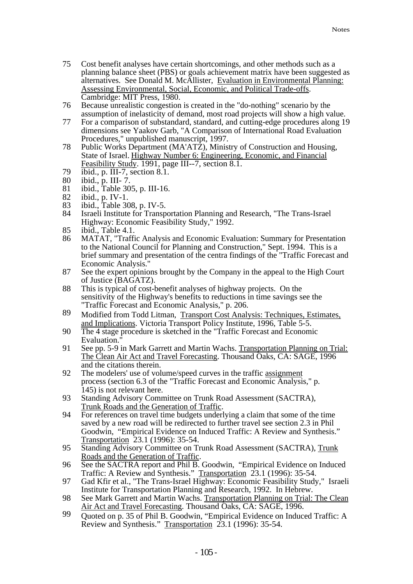- 75 Cost benefit analyses have certain shortcomings, and other methods such as a planning balance sheet (PBS) or goals achievement matrix have been suggested as alternatives. See Donald M. McAllister, Evaluation in Environmental Planning: Assessing Environmental, Social, Economic, and Political Trade-offs. Cambridge: MIT Press, 1980.
- 76 Because unrealistic congestion is created in the "do-nothing" scenario by the assumption of inelasticity of demand, most road projects will show a high value.
- 77 For a comparison of substandard, standard, and cutting-edge procedures along 19 dimensions see Yaakov Garb, "A Comparison of International Road Evaluation Procedures," unpublished manuscript, 1997.
- 78 Public Works Department (MA'ATZ), Ministry of Construction and Housing, State of Israel. Highway Number 6: Engineering, Economic, and Financial Feasibility Study. 1991, page III--7, section 8.1.
- 79 ibid., p. III-7, section 8.1.<br>80 ibid., p. III-7.
- ibid., p. III-7.
- 81 ibid., Table 305, p. III-16.<br>82 ibid., p. IV-1.
- 
- 82 ibid., p. IV-1.<br>83 ibid., Table 30 83 ibid., Table 308, p. IV-5.<br>84 Israeli Institute for Transp
- Israeli Institute for Transportation Planning and Research, "The Trans-Israel Highway: Economic Feasibility Study," 1992.
- 85 ibid., Table 4.1.<br>86 MATAT. "Traffi
- 86 MATAT, "Traffic Analysis and Economic Evaluation: Summary for Presentation to the National Council for Planning and Construction," Sept. 1994. This is a brief summary and presentation of the centra findings of the "Traffic Forecast and Economic Analysis."
- 87 See the expert opinions brought by the Company in the appeal to the High Court of Justice (BAGATZ).
- 88 This is typical of cost-benefit analyses of highway projects. On the sensitivity of the Highway's benefits to reductions in time savings see the "Traffic Forecast and Economic Analysis," p. 206.
- 89 Modified from Todd Litman, Transport Cost Analysis: Techniques, Estimates, and Implications. Victoria Transport Policy Institute, 1996, Table 5-5.
- 90 The 4 stage procedure is sketched in the "Traffic Forecast and Economic Evaluation."
- 91 See pp. 5-9 in Mark Garrett and Martin Wachs. Transportation Planning on Trial: The Clean Air Act and Travel Forecasting. Thousand Oaks, CA: SAGE, 1996 and the citations therein.
- 92 The modelers' use of volume/speed curves in the traffic assignment process (section 6.3 of the "Traffic Forecast and Economic Analysis," p. 145) is not relevant here.
- 93 Standing Advisory Committee on Trunk Road Assessment (SACTRA), Trunk Roads and the Generation of Traffic.
- 94 For references on travel time budgets underlying a claim that some of the time saved by a new road will be redirected to further travel see section 2.3 in Phil Goodwin, "Empirical Evidence on Induced Traffic: A Review and Synthesis." Transportation 23.1 (1996): 35-54.
- 95 Standing Advisory Committee on Trunk Road Assessment (SACTRA), Trunk Roads and the Generation of Traffic.
- 96 See the SACTRA report and Phil B. Goodwin, "Empirical Evidence on Induced Traffic: A Review and Synthesis." Transportation 23.1 (1996): 35-54.
- 97 Gad Kfir et al., "The Trans-Israel Highway: Economic Feasibility Study," Israeli Institute for Transportation Planning and Research, 1992. In Hebrew.
- 98 See Mark Garrett and Martin Wachs. Transportation Planning on Trial: The Clean Air Act and Travel Forecasting. Thousand Oaks, CA: SAGE, 1996.
- 99 Quoted on p. 35 of Phil B. Goodwin, "Empirical Evidence on Induced Traffic: A Review and Synthesis." Transportation 23.1 (1996): 35-54.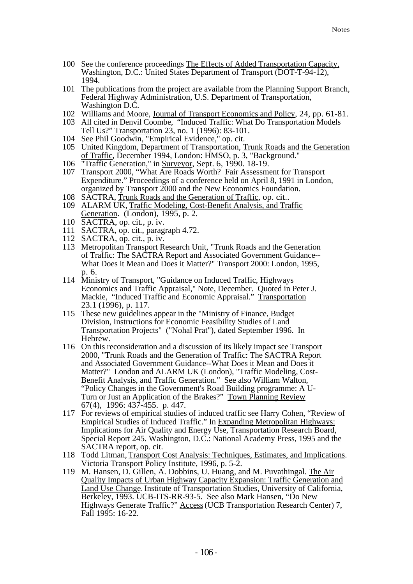- 100 See the conference proceedings The Effects of Added Transportation Capacity, Washington, D.C.: United States Department of Transport (DOT-T-94-12), 1994.
- 101 The publications from the project are available from the Planning Support Branch, Federal Highway Administration, U.S. Department of Transportation, Washington D.C.
- 102 Williams and Moore, Journal of Transport Economics and Policy, 24, pp. 61-81.
- 103 All cited in Denvil Coombe, "Induced Traffic: What Do Transportation Models Tell Us?" Transportation 23, no. 1 (1996): 83-101.
- 104 See Phil Goodwin, "Empirical Evidence," op. cit.
- 105 United Kingdom, Department of Transportation, Trunk Roads and the Generation of Traffic, December 1994, London: HMSO, p. 3, "Background."
- 106 "Traffic Generation," in Surveyor, Sept. 6, 1990. 18-19.
- 107 Transport 2000, "What Are Roads Worth? Fair Assessment for Transport Expenditure." Proceedings of a conference held on April 8, 1991 in London, organized by Transport 2000 and the New Economics Foundation.
- 108 SACTRA, Trunk Roads and the Generation of Traffic, op. cit..
- 109 ALARM UK, Traffic Modeling, Cost-Benefit Analysis, and Traffic Generation. (London), 1995, p. 2.
- 110 SACTRA, op. cit., p. iv.
- 111 SACTRA, op. cit., paragraph 4.72.
- 112 SACTRA, op. cit., p. iv.
- 113 Metropolitan Transport Research Unit, "Trunk Roads and the Generation of Traffic: The SACTRA Report and Associated Government Guidance-- What Does it Mean and Does it Matter?" Transport 2000: London, 1995, p. 6.
- 114 Ministry of Transport, "Guidance on Induced Traffic, Highways Economics and Traffic Appraisal," Note, December. Quoted in Peter J. Mackie, "Induced Traffic and Economic Appraisal." Transportation 23.1 (1996), p. 117.
- 115 These new guidelines appear in the "Ministry of Finance, Budget Division, Instructions for Economic Feasibility Studies of Land Transportation Projects" ("Nohal Prat"), dated September 1996. In Hebrew.
- 116 On this reconsideration and a discussion of its likely impact see Transport 2000, "Trunk Roads and the Generation of Traffic: The SACTRA Report and Associated Government Guidance--What Does it Mean and Does it Matter?" London and ALARM UK (London), "Traffic Modeling, Cost-Benefit Analysis, and Traffic Generation." See also William Walton, "Policy Changes in the Government's Road Building programme: A U-Turn or Just an Application of the Brakes?" Town Planning Review 67(4), 1996: 437-455. p. 447.
- 117 For reviews of empirical studies of induced traffic see Harry Cohen, "Review of Empirical Studies of Induced Traffic." In Expanding Metropolitan Highways: Implications for Air Quality and Energy Use, Transportation Research Board, Special Report 245. Washington, D.C.: National Academy Press, 1995 and the SACTRA report, op. cit.
- 118 Todd Litman, Transport Cost Analysis: Techniques, Estimates, and Implications. Victoria Transport Policy Institute, 1996, p. 5-2.
- 119 M. Hansen, D. Gillen, A. Dobbins, U. Huang, and M. Puvathingal. The Air Quality Impacts of Urban Highway Capacity Expansion: Traffic Generation and Land Use Change. Institute of Transportation Studies, University of California, Berkeley, 1993. UCB-ITS-RR-93-5. See also Mark Hansen, "Do New Highways Generate Traffic?" Access (UCB Transportation Research Center) 7, Fall 1995: 16-22.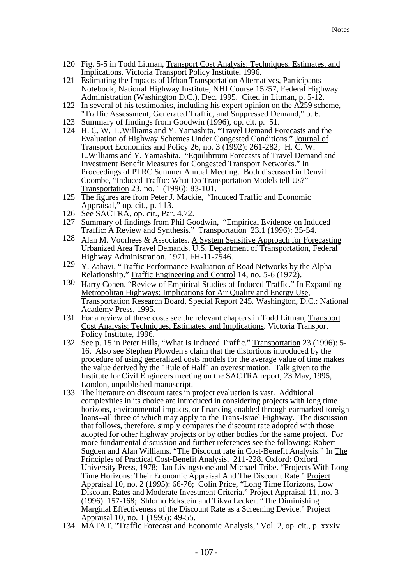- 120 Fig. 5-5 in Todd Litman, Transport Cost Analysis: Techniques, Estimates, and Implications. Victoria Transport Policy Institute, 1996.
- 121 Estimating the Impacts of Urban Transportation Alternatives, Participants Notebook, National Highway Institute, NHI Course 15257, Federal Highway Administration (Washington D.C.), Dec. 1995. Cited in Litman, p. 5-12.
- 122 In several of his testimonies, including his expert opinion on the A259 scheme, "Traffic Assessment, Generated Traffic, and Suppressed Demand," p. 6.
- 123 Summary of findings from Goodwin (1996), op. cit. p. 51.
- 124 H. C. W. L.Williams and Y. Yamashita. "Travel Demand Forecasts and the Evaluation of Highway Schemes Under Congested Conditions." Journal of Transport Economics and Policy 26, no. 3 (1992): 261-282; H. C. W. L.Williams and Y. Yamashita. "Equilibrium Forecasts of Travel Demand and Investment Benefit Measures for Congested Transport Networks." In Proceedings of PTRC Summer Annual Meeting. Both discussed in Denvil Coombe, "Induced Traffic: What Do Transportation Models tell Us?" Transportation 23, no. 1 (1996): 83-101.
- 125 The figures are from Peter J. Mackie, "Induced Traffic and Economic Appraisal," op. cit., p. 113.
- 126 See SACTRA, op. cit., Par. 4.72.
- 127 Summary of findings from Phil Goodwin, "Empirical Evidence on Induced Traffic: A Review and Synthesis." Transportation 23.1 (1996): 35-54.
- 128 Alan M. Voorhees & Associates. A System Sensitive Approach for Forecasting Urbanized Area Travel Demands. U.S. Department of Transportation, Federal Highway Administration, 1971. FH-11-7546.
- 129 Y. Zahavi, "Traffic Performance Evaluation of Road Networks by the Alpha-Relationship." Traffic Engineering and Control 14, no. 5-6 (1972).
- 130 Harry Cohen, "Review of Empirical Studies of Induced Traffic." In Expanding Metropolitan Highways: Implications for Air Quality and Energy Use, Transportation Research Board, Special Report 245. Washington, D.C.: National Academy Press, 1995.
- 131 For a review of these costs see the relevant chapters in Todd Litman, Transport Cost Analysis: Techniques, Estimates, and Implications. Victoria Transport Policy Institute, 1996.
- 132 See p. 15 in Peter Hills, "What Is Induced Traffic." Transportation 23 (1996): 5- 16. Also see Stephen Plowden's claim that the distortions introduced by the procedure of using generalized costs models for the average value of time makes the value derived by the "Rule of Half" an overestimation. Talk given to the Institute for Civil Engineers meeting on the SACTRA report, 23 May, 1995, London, unpublished manuscript.
- 133 The literature on discount rates in project evaluation is vast. Additional complexities in its choice are introduced in considering projects with long time horizons, environmental impacts, or financing enabled through earmarked foreign loans--all three of which may apply to the Trans-Israel Highway. The discussion that follows, therefore, simply compares the discount rate adopted with those adopted for other highway projects or by other bodies for the same project. For more fundamental discussion and further references see the following: Robert Sugden and Alan Williams. "The Discount rate in Cost-Benefit Analysis." In The Principles of Practical Cost-Benefit Analysis, 211-228. Oxford: Oxford University Press, 1978; Ian Livingstone and Michael Tribe. "Projects With Long Time Horizons: Their Economic Appraisal And The Discount Rate." Project Appraisal 10, no. 2 (1995): 66-76; Colin Price, "Long Time Horizons, Low Discount Rates and Moderate Investment Criteria." Project Appraisal 11, no. 3 (1996): 157-168; Shlomo Eckstein and Tikva Lecker. "The Diminishing Marginal Effectiveness of the Discount Rate as a Screening Device." Project Appraisal 10, no. 1 (1995): 49-55.
- 134 MATAT, "Traffic Forecast and Economic Analysis," Vol. 2, op. cit., p. xxxiv.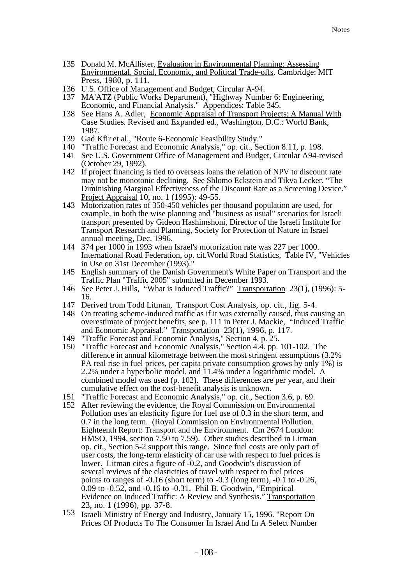- 135 Donald M. McAllister, Evaluation in Environmental Planning: Assessing Environmental, Social, Economic, and Political Trade-offs. Cambridge: MIT Press, 1980, p. 111.
- 136 U.S. Office of Management and Budget, Circular A-94.
- 137 MA'ATZ (Public Works Department), "Highway Number 6: Engineering, Economic, and Financial Analysis." Appendices: Table 345.
- 138 See Hans A. Adler, Economic Appraisal of Transport Projects: A Manual With Case Studies. Revised and Expanded ed., Washington, D.C.: World Bank, 1987.
- 139 Gad Kfir et al., "Route 6-Economic Feasibility Study."
- 140 "Traffic Forecast and Economic Analysis," op. cit., Section 8.11, p. 198.
- 141 See U.S. Government Office of Management and Budget, Circular A94-revised (October 29, 1992).
- 142 If project financing is tied to overseas loans the relation of NPV to discount rate may not be monotonic declining. See Shlomo Eckstein and Tikva Lecker. "The Diminishing Marginal Effectiveness of the Discount Rate as a Screening Device." Project Appraisal 10, no. 1 (1995): 49-55.
- 143 Motorization rates of 350-450 vehicles per thousand population are used, for example, in both the wise planning and "business as usual" scenarios for Israeli transport presented by Gideon Hashimshoni, Director of the Israeli Institute for Transport Research and Planning, Society for Protection of Nature in Israel annual meeting, Dec. 1996.
- 144 374 per 1000 in 1993 when Israel's motorization rate was 227 per 1000. International Road Federation, op. cit.World Road Statistics, Table IV, "Vehicles in Use on 31st December (1993)."
- 145 English summary of the Danish Government's White Paper on Transport and the Traffic Plan "Traffic 2005" submitted in December 1993.
- 146 See Peter J. Hills, "What is Induced Traffic?" Transportation 23(1), (1996): 5- 16.
- 147 Derived from Todd Litman, Transport Cost Analysis, op. cit., fig. 5-4.
- 148 On treating scheme-induced traffic as if it was externally caused, thus causing an overestimate of project benefits, see p. 111 in Peter J. Mackie, "Induced Traffic and Economic Appraisal." Transportation 23(1), 1996, p. 117.
- 149 "Traffic Forecast and Economic Analysis," Section 4, p. 25.
- 150 "Traffic Forecast and Economic Analysis," Section 4.4. pp. 101-102. The difference in annual kilometrage between the most stringent assumptions (3.2% PA real rise in fuel prices, per capita private consumption grows by only 1%) is 2.2% under a hyperbolic model, and 11.4% under a logarithmic model. A combined model was used (p. 102). These differences are per year, and their cumulative effect on the cost-benefit analysis is unknown.
- 151 "Traffic Forecast and Economic Analysis," op. cit., Section 3.6, p. 69.
- 152 After reviewing the evidence, the Royal Commission on Environmental Pollution uses an elasticity figure for fuel use of 0.3 in the short term, and 0.7 in the long term. (Royal Commission on Environmental Pollution. Eighteenth Report: Transport and the Environment. Cm 2674 London: HMSO, 1994, section 7.50 to 7.59). Other studies described in Litman op. cit., Section 5-2 support this range. Since fuel costs are only part of user costs, the long-term elasticity of car use with respect to fuel prices is lower. Litman cites a figure of -0.2, and Goodwin's discussion of several reviews of the elasticities of travel with respect to fuel prices points to ranges of -0.16 (short term) to -0.3 (long term), -0.1 to -0.26, 0.09 to -0.52, and -0.16 to -0.31. Phil B. Goodwin, "Empirical Evidence on Induced Traffic: A Review and Synthesis." Transportation 23, no. 1 (1996), pp. 37-8.
- 153 Israeli Ministry of Energy and Industry, January 15, 1996. "Report On Prices Of Products To The Consumer In Israel And In A Select Number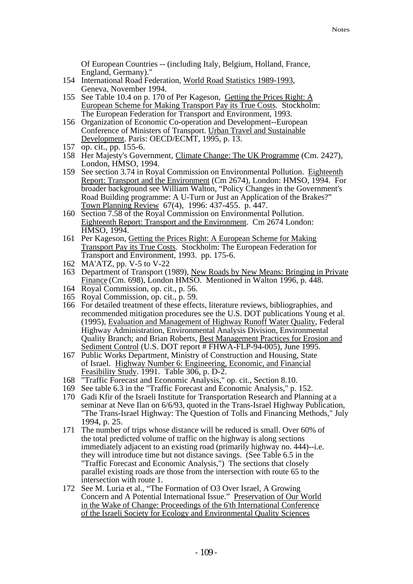Of European Countries -- (including Italy, Belgium, Holland, France, England, Germany)."

- 154 International Road Federation, World Road Statistics 1989-1993, Geneva, November 1994.
- 155 See Table 10.4 on p. 170 of Per Kageson, Getting the Prices Right: A European Scheme for Making Transport Pay its True Costs. Stockholm: The European Federation for Transport and Environment, 1993.
- 156 Organization of Economic Co-operation and Development--European Conference of Ministers of Transport. Urban Travel and Sustainable Development. Paris: OECD/ECMT, 1995, p. 13.
- 157 op. cit., pp. 155-6.
- 158 Her Majesty's Government, Climate Change: The UK Programme (Cm. 2427), London, HMSO, 1994.
- 159 See section 3.74 in Royal Commission on Environmental Pollution. Eighteenth Report: Transport and the Environment (Cm 2674), London: HMSO, 1994. For broader background see William Walton, "Policy Changes in the Government's Road Building programme: A U-Turn or Just an Application of the Brakes?" Town Planning Review 67(4), 1996: 437-455. p. 447.
- 160 Section 7.58 of the Royal Commission on Environmental Pollution. Eighteenth Report: Transport and the Environment. Cm 2674 London: HMSO, 1994.
- 161 Per Kageson, Getting the Prices Right: A European Scheme for Making Transport Pay its True Costs. Stockholm: The European Federation for Transport and Environment, 1993. pp. 175-6.
- 162 MA'ATZ, pp. V-5 to V-22
- 163 Department of Transport (1989), New Roads by New Means: Bringing in Private Finance (Cm. 698), London HMSO. Mentioned in Walton 1996, p. 448.
- 164 Royal Commission, op. cit., p. 56.
- 165 Royal Commission, op. cit., p. 59.
- 166 For detailed treatment of these effects, literature reviews, bibliographies, and recommended mitigation procedures see the U.S. DOT publications Young et al. (1995), Evaluation and Management of Highway Runoff Water Quality, Federal Highway Administration, Environmental Analysis Division, Environmental Quality Branch; and Brian Roberts, Best Management Practices for Erosion and Sediment Control (U.S. DOT report # FHWA-FLP-94-005), June 1995.
- 167 Public Works Department, Ministry of Construction and Housing, State of Israel. Highway Number 6: Engineering, Economic, and Financial Feasibility Study. 1991. Table 306, p. D-2.
- 168 "Traffic Forecast and Economic Analysis," op. cit., Section 8.10.
- 169 See table 6.3 in the "Traffic Forecast and Economic Analysis," p. 152.
- 170 Gadi Kfir of the Israeli Institute for Transportation Research and Planning at a seminar at Neve Ilan on 6/6/93, quoted in the Trans-Israel Highway Publication, "The Trans-Israel Highway: The Question of Tolls and Financing Methods," July 1994, p. 25.
- 171 The number of trips whose distance will be reduced is small. Over 60% of the total predicted volume of traffic on the highway is along sections immediately adjacent to an existing road (primarily highway no. 444)--i.e. they will introduce time but not distance savings. (See Table 6.5 in the "Traffic Forecast and Economic Analysis,") The sections that closely parallel existing roads are those from the intersection with route 65 to the intersection with route 1.
- 172 See M. Luria et al., "The Formation of O3 Over Israel, A Growing Concern and A Potential International Issue." Preservation of Our World in the Wake of Change: Proceedings of the 6'th International Conference of the Israeli Society for Ecology and Environmental Quality Sciences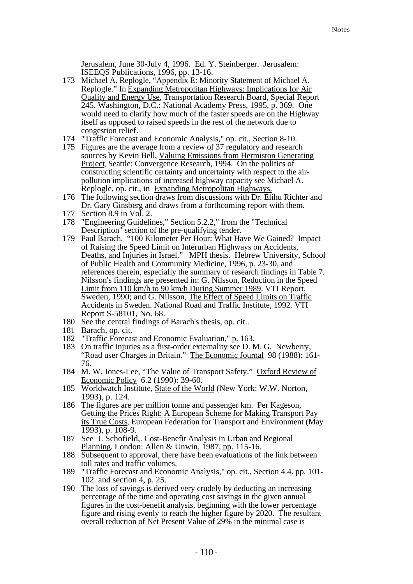Jerusalem, June 30-July 4, 1996. Ed. Y. Steinberger. Jerusalem: ISEEQS Publications, 1996, pp. 13-16.

- 173 Michael A. Replogle, "Appendix E: Minority Statement of Michael A. Replogle." In Expanding Metropolitan Highways: Implications for Air Quality and Energy Use, Transportation Research Board, Special Report 245. Washington, D.C.: National Academy Press, 1995, p. 369. One would need to clarify how much of the faster speeds are on the Highway itself as opposed to raised speeds in the rest of the network due to congestion relief.
- 174 "Traffic Forecast and Economic Analysis," op. cit., Section 8-10.
- 175 Figures are the average from a review of 37 regulatory and research sources by Kevin Bell, Valuing Emissions from Hermiston Generating Project, Seattle: Convergence Research, 1994. On the politics of constructing scientific certainty and uncertainty with respect to the airpollution implications of increased highway capacity see Michael A. Replogle, op. cit., in Expanding Metropolitan Highways.
- 176 The following section draws from discussions with Dr. Elihu Richter and Dr. Gary Ginsberg and draws from a forthcoming report with them.
- 177 Section 8.9 in Vol. 2.
- 178 "Engineering Guidelines," Section 5.2.2," from the "Technical Description" section of the pre-qualifying tender.
- 179 Paul Barach, "100 Kilometer Per Hour: What Have We Gained? Impact of Raising the Speed Limit on Interurban Highways on Accidents, Deaths, and Injuries in Israel." MPH thesis. Hebrew University, School of Public Health and Community Medicine, 1996, p. 23-30, and references therein, especially the summary of research findings in Table 7. Nilsson's findings are presented in: G. Nilsson, Reduction in the Speed Limit from 110 km/h to 90 km/h During Summer 1989. VTI Report, Sweden, 1990; and G. Nilsson, The Effect of Speed Limits on Traffic Accidents in Sweden. National Road and Traffic Institute, 1992. VTI Report S-58101, No. 68.
- 180 See the central findings of Barach's thesis, op. cit..
- 181 Barach, op. cit.
- 182 "Traffic Forecast and Economic Evaluation," p. 163.
- 183 On traffic injuries as a first-order externality see D. M. G. Newberry, "Road user Charges in Britain." The Economic Journal 98 (1988): 161- 76.
- 184 M. W. Jones-Lee, "The Value of Transport Safety." Oxford Review of Economic Policy 6.2 (1990): 39-60.
- 185 Worldwatch Institute, State of the World (New York: W.W. Norton, 1993), p. 124.
- 186 The figures are per million tonne and passenger km. Per Kageson, Getting the Prices Right: A European Scheme for Making Transport Pay its True Costs, European Federation for Transport and Environment (May 1993), p. 108-9.
- 187 See J. Schofield,. Cost-Benefit Analysis in Urban and Regional Planning. London: Allen & Unwin, 1987, pp. 115-16.
- 188 Subsequent to approval, there have been evaluations of the link between toll rates and traffic volumes.
- 189 "Traffic Forecast and Economic Analysis," op. cit., Section 4.4. pp. 101- 102. and section 4, p. 25.
- 190 The loss of savings is derived very crudely by deducting an increasing percentage of the time and operating cost savings in the given annual figures in the cost-benefit analysis, beginning with the lower percentage figure and rising evenly to reach the higher figure by 2020. The resultant overall reduction of Net Present Value of 29% in the minimal case is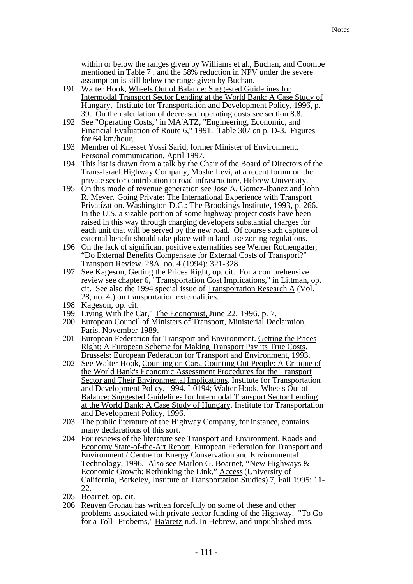within or below the ranges given by Williams et al., Buchan, and Coombe mentioned in Table 7 , and the 58% reduction in NPV under the severe assumption is still below the range given by Buchan.

- 191 Walter Hook, Wheels Out of Balance: Suggested Guidelines for Intermodal Transport Sector Lending at the World Bank: A Case Study of Hungary. Institute for Transportation and Development Policy, 1996, p. 39. On the calculation of decreased operating costs see section 8.8.
- 192 See "Operating Costs," in MA'ATZ, "Engineering, Economic, and Financial Evaluation of Route 6," 1991. Table 307 on p. D-3. Figures for 64 km/hour.
- 193 Member of Knesset Yossi Sarid, former Minister of Environment. Personal communication, April 1997.
- 194 This list is drawn from a talk by the Chair of the Board of Directors of the Trans-Israel Highway Company, Moshe Levi, at a recent forum on the private sector contribution to road infrastructure, Hebrew University.
- 195 On this mode of revenue generation see Jose A. Gomez-Ibanez and John R. Meyer. Going Private: The International Experience with Transport Privatization. Washington D.C.: The Brookings Institute, 1993, p. 266. In the U.S. a sizable portion of some highway project costs have been raised in this way through charging developers substantial charges for each unit that will be served by the new road. Of course such capture of external benefit should take place within land-use zoning regulations.
- 196 On the lack of significant positive externalities see Werner Rothengatter, "Do External Benefits Compensate for External Costs of Transport?" Transport Review. 28A, no. 4 (1994): 321-328.
- 197 See Kageson, Getting the Prices Right, op. cit. For a comprehensive review see chapter 6, "Transportation Cost Implications," in Littman, op. cit. See also the 1994 special issue of Transportation Research A (Vol. 28, no. 4.) on transportation externalities.
- 198 Kageson, op. cit.
- 199 Living With the Car," The Economist, June 22, 1996. p. 7.
- 200 European Council of Ministers of Transport, Ministerial Declaration, Paris, November 1989.
- 201 European Federation for Transport and Environment. Getting the Prices Right: A European Scheme for Making Transport Pay its True Costs. Brussels: European Federation for Transport and Environment, 1993.
- 202 See Walter Hook, Counting on Cars, Counting Out People: A Critique of the World Bank's Economic Assessment Procedures for the Transport Sector and Their Environmental Implications. Institute for Transportation and Development Policy, 1994. I-0194; Walter Hook, Wheels Out of Balance: Suggested Guidelines for Intermodal Transport Sector Lending at the World Bank: A Case Study of Hungary. Institute for Transportation and Development Policy, 1996.
- 203 The public literature of the Highway Company, for instance, contains many declarations of this sort.
- 204 For reviews of the literature see Transport and Environment. Roads and Economy State-of-the-Art Report. European Federation for Transport and Environment / Centre for Energy Conservation and Environmental Technology, 1996. Also see Marlon G. Boarnet, "New Highways & Economic Growth: Rethinking the Link," Access (University of California, Berkeley, Institute of Transportation Studies) 7, Fall 1995: 11- 22.
- 205 Boarnet, op. cit.
- 206 Reuven Gronau has written forcefully on some of these and other problems associated with private sector funding of the Highway. "To Go for a Toll--Probems," Ha'aretz n.d. In Hebrew, and unpublished mss.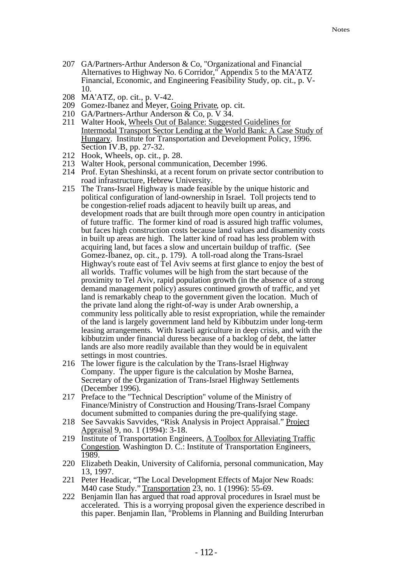- 207 GA/Partners-Arthur Anderson & Co, "Organizational and Financial Alternatives to Highway No. 6 Corridor," Appendix 5 to the MA'ATZ Financial, Economic, and Engineering Feasibility Study, op. cit., p. V-10.
- 208 MA'ATZ, op. cit., p. V-42.
- 209 Gomez-Ibanez and Meyer, Going Private, op. cit.
- 210 GA/Partners-Arthur Anderson & Co, p. V 34.
- 211 Walter Hook, Wheels Out of Balance: Suggested Guidelines for Intermodal Transport Sector Lending at the World Bank: A Case Study of Hungary. Institute for Transportation and Development Policy, 1996. Section IV.B, pp. 27-32.
- 212 Hook, Wheels, op. cit., p. 28.
- 213 Walter Hook, personal communication, December 1996.
- 214 Prof. Eytan Sheshinski, at a recent forum on private sector contribution to road infrastructure, Hebrew University.
- 215 The Trans-Israel Highway is made feasible by the unique historic and political configuration of land-ownership in Israel. Toll projects tend to be congestion-relief roads adjacent to heavily built up areas, and development roads that are built through more open country in anticipation of future traffic. The former kind of road is assured high traffic volumes, but faces high construction costs because land values and disamenity costs in built up areas are high. The latter kind of road has less problem with acquiring land, but faces a slow and uncertain buildup of traffic. (See Gomez-Ibanez, op. cit., p. 179). A toll-road along the Trans-Israel Highway's route east of Tel Aviv seems at first glance to enjoy the best of all worlds. Traffic volumes will be high from the start because of the proximity to Tel Aviv, rapid population growth (in the absence of a strong demand management policy) assures continued growth of traffic, and yet land is remarkably cheap to the government given the location. Much of the private land along the right-of-way is under Arab ownership, a community less politically able to resist expropriation, while the remainder of the land is largely government land held by Kibbutzim under long-term leasing arrangements. With Israeli agriculture in deep crisis, and with the kibbutzim under financial duress because of a backlog of debt, the latter lands are also more readily available than they would be in equivalent settings in most countries.
- 216 The lower figure is the calculation by the Trans-Israel Highway Company. The upper figure is the calculation by Moshe Barnea, Secretary of the Organization of Trans-Israel Highway Settlements (December 1996).
- 217 Preface to the "Technical Description" volume of the Ministry of Finance/Ministry of Construction and Housing/Trans-Israel Company document submitted to companies during the pre-qualifying stage.
- 218 See Savvakis Savvides, "Risk Analysis in Project Appraisal." Project Appraisal 9, no. 1 (1994): 3-18.
- 219 Institute of Transportation Engineers, A Toolbox for Alleviating Traffic Congestion. Washington D. C.: Institute of Transportation Engineers, 1989.
- 220 Elizabeth Deakin, University of California, personal communication, May 13, 1997.
- 221 Peter Headicar, "The Local Development Effects of Major New Roads: M40 case Study." Transportation 23, no. 1 (1996): 55-69.
- 222 Benjamin Ilan has argued that road approval procedures in Israel must be accelerated. This is a worrying proposal given the experience described in this paper. Benjamin Ilan, "Problems in Planning and Building Interurban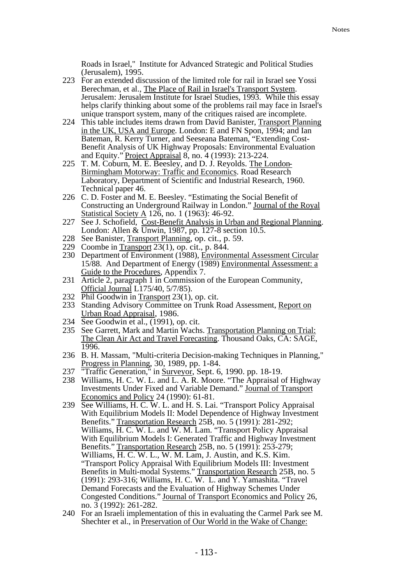Roads in Israel," Institute for Advanced Strategic and Political Studies (Jerusalem), 1995.

- 223 For an extended discussion of the limited role for rail in Israel see Yossi Berechman, et al., The Place of Rail in Israel's Transport System. Jerusalem: Jerusalem Institute for Israel Studies, 1993. While this essay helps clarify thinking about some of the problems rail may face in Israel's unique transport system, many of the critiques raised are incomplete.
- 224 This table includes items drawn from David Banister, Transport Planning in the UK, USA and Europe. London: E and FN Spon, 1994; and Ian Bateman, R. Kerry Turner, and Seeseana Bateman, "Extending Cost-Benefit Analysis of UK Highway Proposals: Environmental Evaluation and Equity." Project Appraisal 8, no. 4 (1993): 213-224.
- 225 T. M. Coburn, M. E. Beesley, and D. J. Reyolds. The London-Birmingham Motorway: Traffic and Economics. Road Research Laboratory, Department of Scientific and Industrial Research, 1960. Technical paper 46.
- 226 C. D. Foster and M. E. Beesley. "Estimating the Social Benefit of Constructing an Underground Railway in London." Journal of the Royal Statistical Society A 126, no. 1 (1963): 46-92.
- 227 See J. Schofield, Cost-Benefit Analysis in Urban and Regional Planning. London: Allen & Unwin, 1987, pp. 127-8 section 10.5.
- 228 See Banister, Transport Planning, op. cit., p. 59.
- 229 Coombe in Transport 23(1), op. cit., p. 844.
- 230 Department of Environment (1988), Environmental Assessment Circular 15/88. And Department of Energy (1989) Environmental Assessment: a Guide to the Procedures, Appendix 7.
- 231 Article 2, paragraph 1 in Commission of the European Community, Official Journal L175/40, 5/7/85).
- 232 Phil Goodwin in Transport 23(1), op. cit.
- 233 Standing Advisory Committee on Trunk Road Assessment, Report on Urban Road Appraisal, 1986.
- 234 See Goodwin et al., (1991), op. cit.
- 235 See Garrett, Mark and Martin Wachs. Transportation Planning on Trial: The Clean Air Act and Travel Forecasting. Thousand Oaks, CA: SAGE, 1996.
- 236 B. H. Massam, "Multi-criteria Decision-making Techniques in Planning," Progress in Planning, 30, 1989, pp. 1-84.
- 237 "Traffic Generation," in Surveyor, Sept. 6, 1990. pp. 18-19.
- 238 Williams, H. C. W. L. and L. A. R. Moore. "The Appraisal of Highway Investments Under Fixed and Variable Demand." Journal of Transport Economics and Policy 24 (1990): 61-81.
- 239 See Williams, H. C. W. L. and H. S. Lai. "Transport Policy Appraisal With Equilibrium Models II: Model Dependence of Highway Investment Benefits." Transportation Research 25B, no. 5 (1991): 281-292; Williams, H. C. W. L. and W. M. Lam. "Transport Policy Appraisal With Equilibrium Models I: Generated Traffic and Highway Investment Benefits." Transportation Research 25B, no. 5 (1991): 253-279; Williams, H. C. W. L., W. M. Lam, J. Austin, and K.S. Kim. "Transport Policy Appraisal With Equilibrium Models III: Investment Benefits in Multi-modal Systems." Transportation Research 25B, no. 5 (1991): 293-316; Williams, H. C. W. L. and Y. Yamashita. "Travel Demand Forecasts and the Evaluation of Highway Schemes Under Congested Conditions." Journal of Transport Economics and Policy 26, no. 3 (1992): 261-282.
- 240 For an Israeli implementation of this in evaluating the Carmel Park see M. Shechter et al., in Preservation of Our World in the Wake of Change: